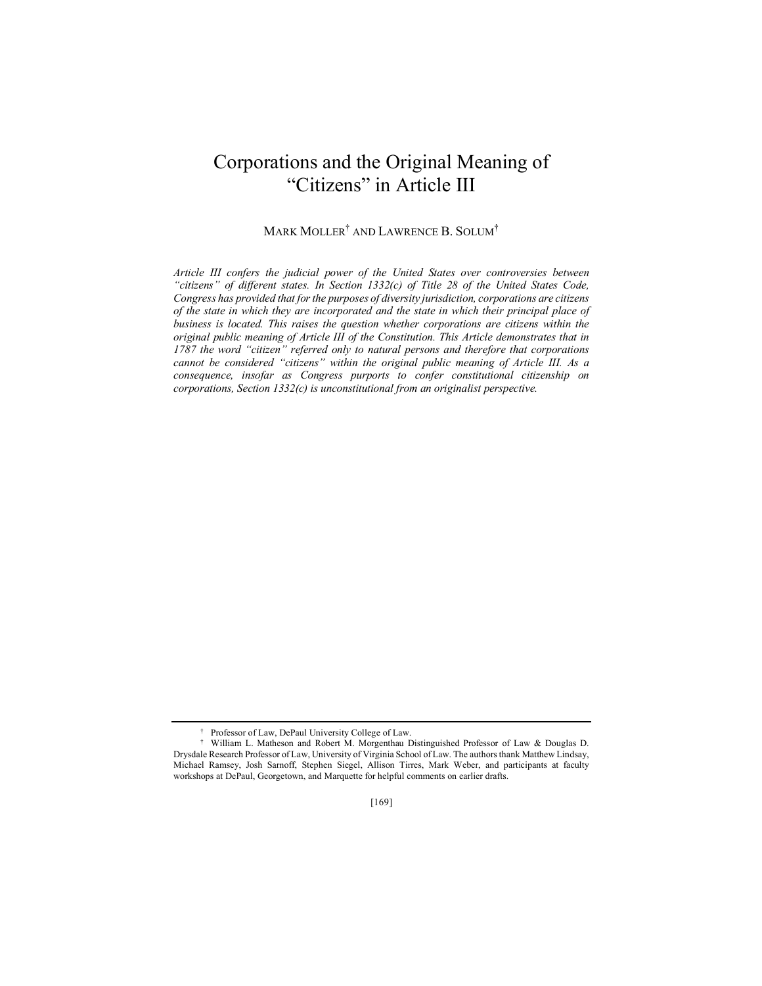# Corporations and the Original Meaning of "Citizens" in Article III

## MARK MOLLER† AND LAWRENCE B. SOLUM†

*Article III confers the judicial power of the United States over controversies between "citizens" of different states. In Section 1332(c) of Title 28 of the United States Code, Congress has provided that for the purposes of diversity jurisdiction, corporations are citizens of the state in which they are incorporated and the state in which their principal place of business is located. This raises the question whether corporations are citizens within the original public meaning of Article III of the Constitution. This Article demonstrates that in 1787 the word "citizen" referred only to natural persons and therefore that corporations cannot be considered "citizens" within the original public meaning of Article III. As a consequence, insofar as Congress purports to confer constitutional citizenship on corporations, Section 1332(c) is unconstitutional from an originalist perspective.*

<sup>†</sup> Professor of Law, DePaul University College of Law.

<sup>†</sup> William L. Matheson and Robert M. Morgenthau Distinguished Professor of Law & Douglas D. Drysdale Research Professor of Law, University of Virginia School of Law. The authors thank Matthew Lindsay, Michael Ramsey, Josh Sarnoff, Stephen Siegel, Allison Tirres, Mark Weber, and participants at faculty workshops at DePaul, Georgetown, and Marquette for helpful comments on earlier drafts.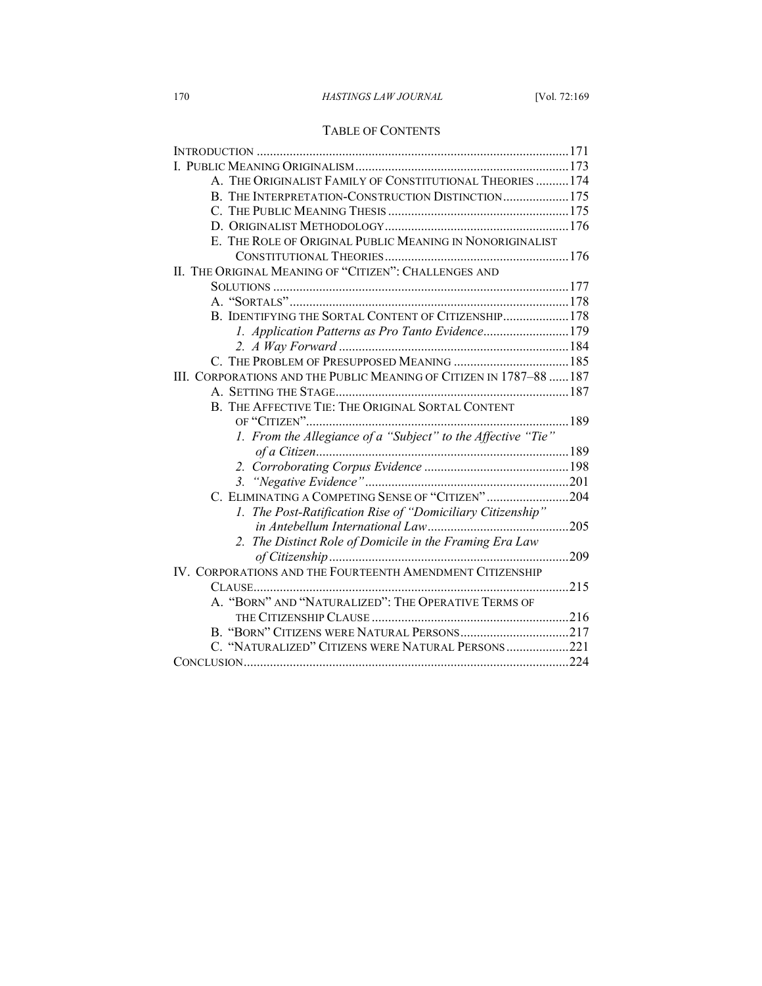## TABLE OF CONTENTS

| A. THE ORIGINALIST FAMILY OF CONSTITUTIONAL THEORIES  174           |     |
|---------------------------------------------------------------------|-----|
| B. THE INTERPRETATION-CONSTRUCTION DISTINCTION 175                  |     |
|                                                                     |     |
|                                                                     |     |
| E. THE ROLE OF ORIGINAL PUBLIC MEANING IN NONORIGINALIST            |     |
|                                                                     |     |
| II. THE ORIGINAL MEANING OF "CITIZEN": CHALLENGES AND               |     |
|                                                                     |     |
|                                                                     |     |
| B. IDENTIFYING THE SORTAL CONTENT OF CITIZENSHIP 178                |     |
| 1. Application Patterns as Pro Tanto Evidence179                    |     |
|                                                                     |     |
|                                                                     |     |
| III. CORPORATIONS AND THE PUBLIC MEANING OF CITIZEN IN 1787-88  187 |     |
|                                                                     |     |
| B. THE AFFECTIVE TIE: THE ORIGINAL SORTAL CONTENT                   |     |
|                                                                     |     |
| 1. From the Allegiance of a "Subject" to the Affective "Tie"        |     |
|                                                                     |     |
|                                                                     |     |
|                                                                     |     |
| C. ELIMINATING A COMPETING SENSE OF "CITIZEN"204                    |     |
| 1. The Post-Ratification Rise of "Domiciliary Citizenship"          |     |
|                                                                     |     |
| 2. The Distinct Role of Domicile in the Framing Era Law             |     |
|                                                                     | 209 |
| IV. CORPORATIONS AND THE FOURTEENTH AMENDMENT CITIZENSHIP           |     |
|                                                                     |     |
| A. "BORN" AND "NATURALIZED": THE OPERATIVE TERMS OF                 |     |
|                                                                     |     |
|                                                                     |     |
| C. "NATURALIZED" CITIZENS WERE NATURAL PERSONS221                   |     |
|                                                                     |     |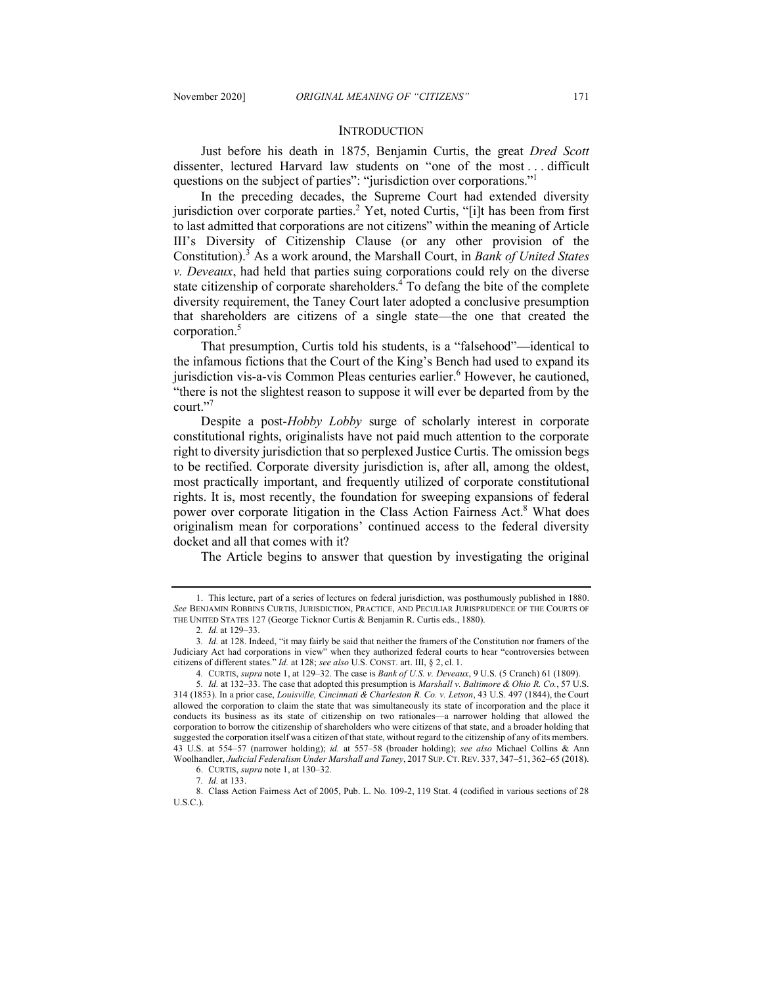#### **INTRODUCTION**

Just before his death in 1875, Benjamin Curtis, the great *Dred Scott*  dissenter, lectured Harvard law students on "one of the most . . . difficult questions on the subject of parties": "jurisdiction over corporations."1

In the preceding decades, the Supreme Court had extended diversity jurisdiction over corporate parties.<sup>2</sup> Yet, noted Curtis, "[i]t has been from first to last admitted that corporations are not citizens" within the meaning of Article III's Diversity of Citizenship Clause (or any other provision of the Constitution).<sup>3</sup> As a work around, the Marshall Court, in *Bank of United States v. Deveaux*, had held that parties suing corporations could rely on the diverse state citizenship of corporate shareholders.4 To defang the bite of the complete diversity requirement, the Taney Court later adopted a conclusive presumption that shareholders are citizens of a single state—the one that created the corporation.5

That presumption, Curtis told his students, is a "falsehood"—identical to the infamous fictions that the Court of the King's Bench had used to expand its jurisdiction vis-a-vis Common Pleas centuries earlier.<sup>6</sup> However, he cautioned, "there is not the slightest reason to suppose it will ever be departed from by the court."7

Despite a post-*Hobby Lobby* surge of scholarly interest in corporate constitutional rights, originalists have not paid much attention to the corporate right to diversity jurisdiction that so perplexed Justice Curtis. The omission begs to be rectified. Corporate diversity jurisdiction is, after all, among the oldest, most practically important, and frequently utilized of corporate constitutional rights. It is, most recently, the foundation for sweeping expansions of federal power over corporate litigation in the Class Action Fairness Act.<sup>8</sup> What does originalism mean for corporations' continued access to the federal diversity docket and all that comes with it?

The Article begins to answer that question by investigating the original

<sup>1.</sup> This lecture, part of a series of lectures on federal jurisdiction, was posthumously published in 1880. *See* BENJAMIN ROBBINS CURTIS, JURISDICTION, PRACTICE, AND PECULIAR JURISPRUDENCE OF THE COURTS OF THE UNITED STATES 127 (George Ticknor Curtis & Benjamin R. Curtis eds., 1880).

<sup>2</sup>*. Id.* at 129–33.

<sup>3</sup>*. Id.* at 128. Indeed, "it may fairly be said that neither the framers of the Constitution nor framers of the Judiciary Act had corporations in view" when they authorized federal courts to hear "controversies between citizens of different states." *Id.* at 128; *see also* U.S. CONST. art. III, § 2, cl. 1.

<sup>4</sup>*.* CURTIS, *supra* note 1, at 129–32. The case is *Bank of U.S. v. Deveaux*, 9 U.S. (5 Cranch) 61 (1809).

<sup>5</sup>*. Id.* at 132–33. The case that adopted this presumption is *Marshall v. Baltimore & Ohio R. Co.*, 57 U.S. 314 (1853). In a prior case, *Louisville, Cincinnati & Charleston R. Co. v. Letson*, 43 U.S. 497 (1844), the Court allowed the corporation to claim the state that was simultaneously its state of incorporation and the place it conducts its business as its state of citizenship on two rationales—a narrower holding that allowed the corporation to borrow the citizenship of shareholders who were citizens of that state, and a broader holding that suggested the corporation itself was a citizen of that state, without regard to the citizenship of any of its members. 43 U.S. at 554–57 (narrower holding); *id.* at 557–58 (broader holding); *see also* Michael Collins & Ann Woolhandler, *Judicial Federalism Under Marshall and Taney*, 2017 SUP. CT. REV. 337, 347–51, 362–65 (2018).

<sup>6.</sup> CURTIS, *supra* note 1, at 130–32.

<sup>7</sup>*. Id.* at 133.

<sup>8.</sup> Class Action Fairness Act of 2005, Pub. L. No. 109-2, 119 Stat. 4 (codified in various sections of 28 U.S.C.).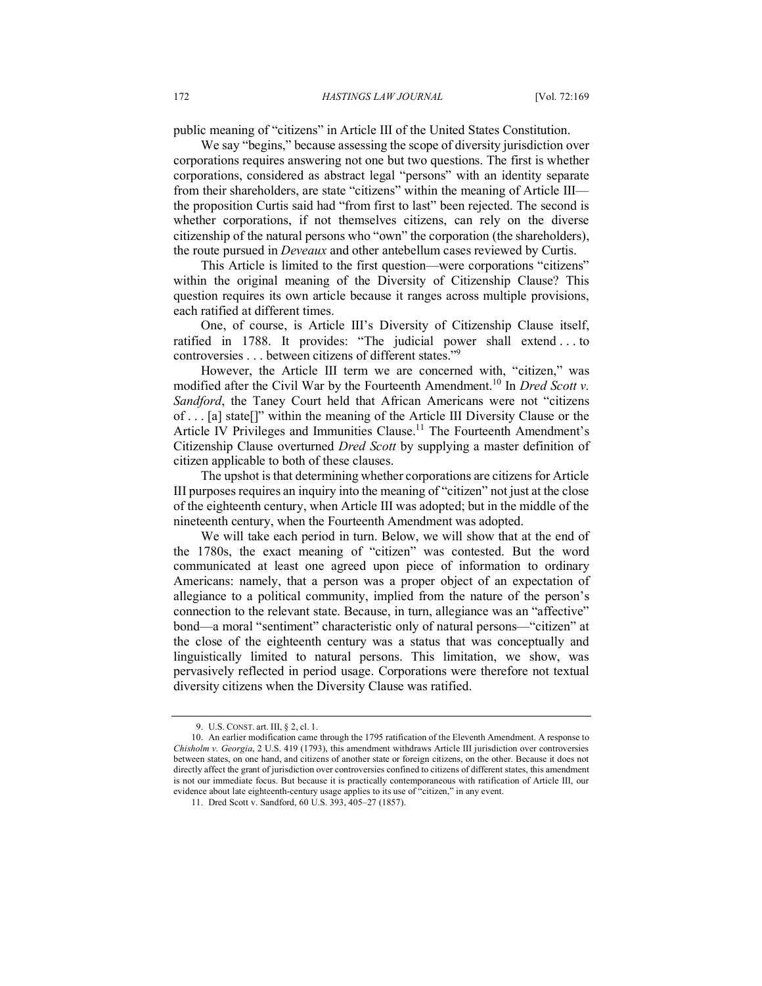public meaning of "citizens" in Article III of the United States Constitution.

We say "begins," because assessing the scope of diversity jurisdiction over corporations requires answering not one but two questions. The first is whether corporations, considered as abstract legal "persons" with an identity separate from their shareholders, are state "citizens" within the meaning of Article III the proposition Curtis said had "from first to last" been rejected. The second is whether corporations, if not themselves citizens, can rely on the diverse citizenship of the natural persons who "own" the corporation (the shareholders), the route pursued in *Deveaux* and other antebellum cases reviewed by Curtis.

This Article is limited to the first question—were corporations "citizens" within the original meaning of the Diversity of Citizenship Clause? This question requires its own article because it ranges across multiple provisions, each ratified at different times.

One, of course, is Article III's Diversity of Citizenship Clause itself, ratified in 1788. It provides: "The judicial power shall extend . . . to controversies . . . between citizens of different states."9

However, the Article III term we are concerned with, "citizen," was modified after the Civil War by the Fourteenth Amendment.<sup>10</sup> In *Dred Scott v. Sandford*, the Taney Court held that African Americans were not "citizens of . . . [a] state[]" within the meaning of the Article III Diversity Clause or the Article IV Privileges and Immunities Clause.<sup>11</sup> The Fourteenth Amendment's Citizenship Clause overturned *Dred Scott* by supplying a master definition of citizen applicable to both of these clauses.

The upshot is that determining whether corporations are citizens for Article III purposes requires an inquiry into the meaning of "citizen" not just at the close of the eighteenth century, when Article III was adopted; but in the middle of the nineteenth century, when the Fourteenth Amendment was adopted.

We will take each period in turn. Below, we will show that at the end of the 1780s, the exact meaning of "citizen" was contested. But the word communicated at least one agreed upon piece of information to ordinary Americans: namely, that a person was a proper object of an expectation of allegiance to a political community, implied from the nature of the person's connection to the relevant state. Because, in turn, allegiance was an "affective" bond—a moral "sentiment" characteristic only of natural persons—"citizen" at the close of the eighteenth century was a status that was conceptually and linguistically limited to natural persons. This limitation, we show, was pervasively reflected in period usage. Corporations were therefore not textual diversity citizens when the Diversity Clause was ratified.

<sup>9.</sup> U.S. CONST. art. III, § 2, cl. 1.

<sup>10.</sup> An earlier modification came through the 1795 ratification of the Eleventh Amendment. A response to *Chisholm v. Georgia*, 2 U.S. 419 (1793), this amendment withdraws Article III jurisdiction over controversies between states, on one hand, and citizens of another state or foreign citizens, on the other. Because it does not directly affect the grant of jurisdiction over controversies confined to citizens of different states, this amendment is not our immediate focus. But because it is practically contemporaneous with ratification of Article III, our evidence about late eighteenth-century usage applies to its use of "citizen," in any event.

<sup>11.</sup> Dred Scott v. Sandford, 60 U.S. 393, 405–27 (1857).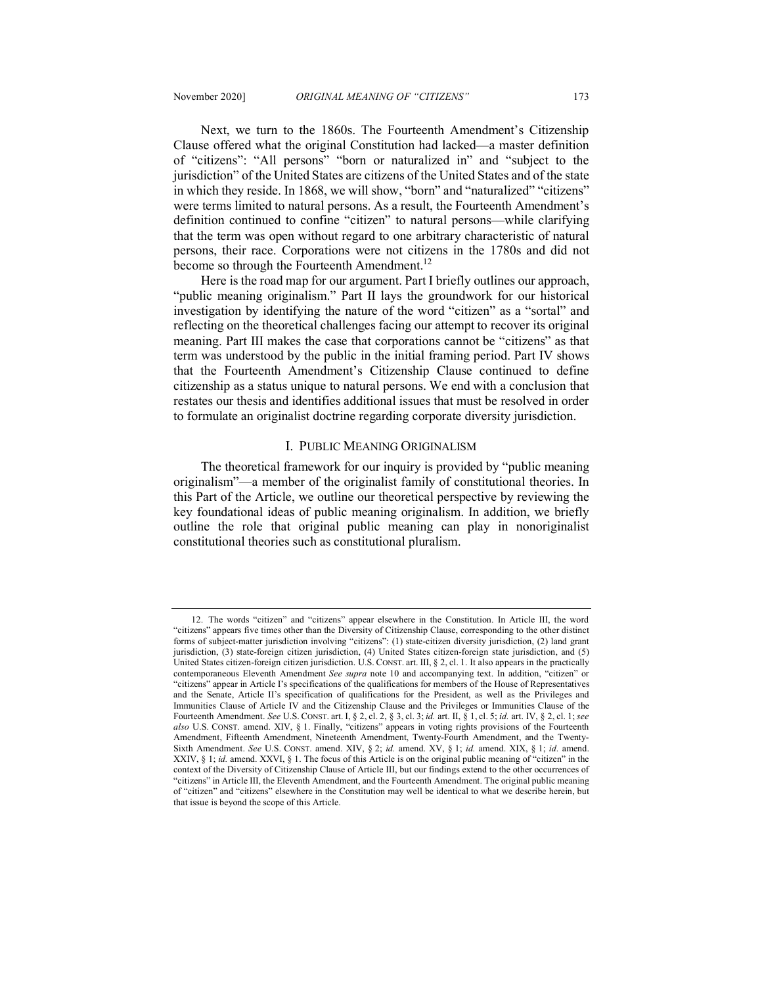Next, we turn to the 1860s. The Fourteenth Amendment's Citizenship Clause offered what the original Constitution had lacked—a master definition of "citizens": "All persons" "born or naturalized in" and "subject to the jurisdiction" of the United States are citizens of the United States and of the state in which they reside. In 1868, we will show, "born" and "naturalized" "citizens" were terms limited to natural persons. As a result, the Fourteenth Amendment's definition continued to confine "citizen" to natural persons—while clarifying that the term was open without regard to one arbitrary characteristic of natural

become so through the Fourteenth Amendment.<sup>12</sup> Here is the road map for our argument. Part I briefly outlines our approach, "public meaning originalism." Part II lays the groundwork for our historical investigation by identifying the nature of the word "citizen" as a "sortal" and reflecting on the theoretical challenges facing our attempt to recover its original meaning. Part III makes the case that corporations cannot be "citizens" as that term was understood by the public in the initial framing period. Part IV shows that the Fourteenth Amendment's Citizenship Clause continued to define citizenship as a status unique to natural persons. We end with a conclusion that restates our thesis and identifies additional issues that must be resolved in order to formulate an originalist doctrine regarding corporate diversity jurisdiction.

persons, their race. Corporations were not citizens in the 1780s and did not

#### I. PUBLIC MEANING ORIGINALISM

The theoretical framework for our inquiry is provided by "public meaning originalism"—a member of the originalist family of constitutional theories. In this Part of the Article, we outline our theoretical perspective by reviewing the key foundational ideas of public meaning originalism. In addition, we briefly outline the role that original public meaning can play in nonoriginalist constitutional theories such as constitutional pluralism.

<sup>12.</sup> The words "citizen" and "citizens" appear elsewhere in the Constitution. In Article III, the word "citizens" appears five times other than the Diversity of Citizenship Clause, corresponding to the other distinct forms of subject-matter jurisdiction involving "citizens": (1) state-citizen diversity jurisdiction, (2) land grant jurisdiction, (3) state-foreign citizen jurisdiction, (4) United States citizen-foreign state jurisdiction, and (5) United States citizen-foreign citizen jurisdiction. U.S. CONST. art. III, § 2, cl. 1. It also appears in the practically contemporaneous Eleventh Amendment *See supra* note 10 and accompanying text. In addition, "citizen" or "citizens" appear in Article I's specifications of the qualifications for members of the House of Representatives and the Senate, Article II's specification of qualifications for the President, as well as the Privileges and Immunities Clause of Article IV and the Citizenship Clause and the Privileges or Immunities Clause of the Fourteenth Amendment. *See* U.S. CONST. art. I, § 2, cl. 2, § 3, cl. 3; *id.* art. II, § 1, cl. 5; *id.* art. IV, § 2, cl. 1; *see also* U.S. CONST. amend. XIV, § 1. Finally, "citizens" appears in voting rights provisions of the Fourteenth Amendment, Fifteenth Amendment, Nineteenth Amendment, Twenty-Fourth Amendment, and the Twenty-Sixth Amendment. *See* U.S. CONST. amend. XIV, § 2; *id.* amend. XV, § 1; *id.* amend. XIX, § 1; *id.* amend. XXIV, § 1; *id.* amend. XXVI, § 1. The focus of this Article is on the original public meaning of "citizen" in the context of the Diversity of Citizenship Clause of Article III, but our findings extend to the other occurrences of "citizens" in Article III, the Eleventh Amendment, and the Fourteenth Amendment. The original public meaning of "citizen" and "citizens" elsewhere in the Constitution may well be identical to what we describe herein, but that issue is beyond the scope of this Article.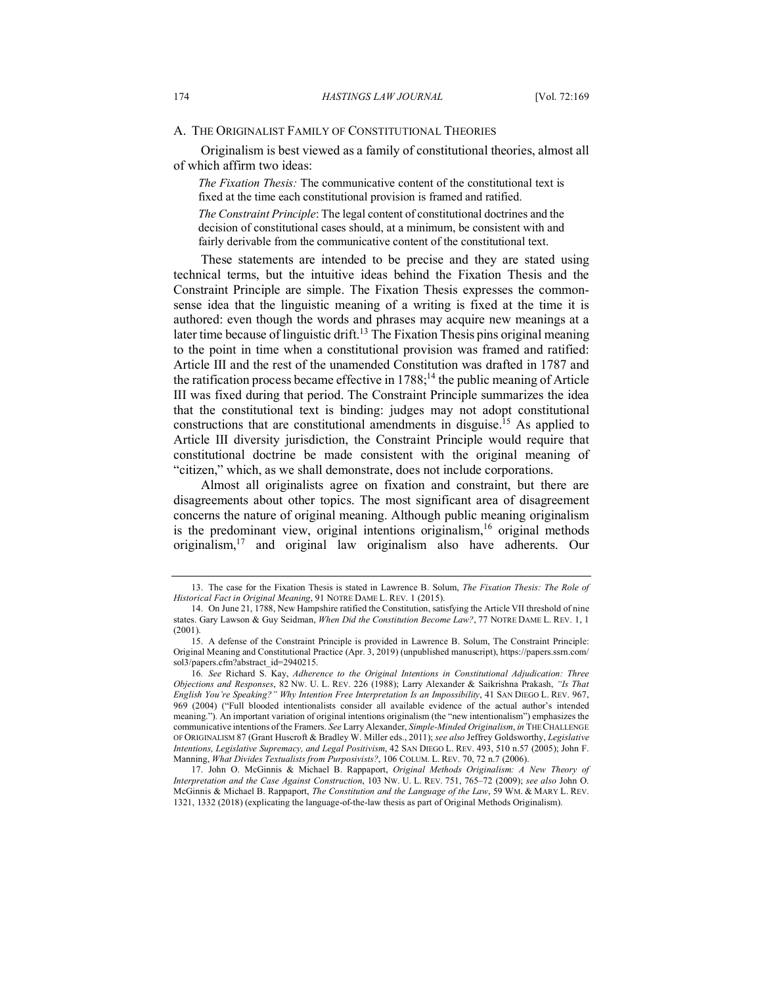#### A. THE ORIGINALIST FAMILY OF CONSTITUTIONAL THEORIES

Originalism is best viewed as a family of constitutional theories, almost all of which affirm two ideas:

*The Fixation Thesis:* The communicative content of the constitutional text is fixed at the time each constitutional provision is framed and ratified.

*The Constraint Principle*: The legal content of constitutional doctrines and the decision of constitutional cases should, at a minimum, be consistent with and fairly derivable from the communicative content of the constitutional text.

These statements are intended to be precise and they are stated using technical terms, but the intuitive ideas behind the Fixation Thesis and the Constraint Principle are simple. The Fixation Thesis expresses the commonsense idea that the linguistic meaning of a writing is fixed at the time it is authored: even though the words and phrases may acquire new meanings at a later time because of linguistic drift.<sup>13</sup> The Fixation Thesis pins original meaning to the point in time when a constitutional provision was framed and ratified: Article III and the rest of the unamended Constitution was drafted in 1787 and the ratification process became effective in  $1788$ ;<sup>14</sup> the public meaning of Article III was fixed during that period. The Constraint Principle summarizes the idea that the constitutional text is binding: judges may not adopt constitutional constructions that are constitutional amendments in disguise.15 As applied to Article III diversity jurisdiction, the Constraint Principle would require that constitutional doctrine be made consistent with the original meaning of "citizen," which, as we shall demonstrate, does not include corporations.

Almost all originalists agree on fixation and constraint, but there are disagreements about other topics. The most significant area of disagreement concerns the nature of original meaning. Although public meaning originalism is the predominant view, original intentions originalism,  $16$  original methods originalism,17 and original law originalism also have adherents. Our

<sup>13.</sup> The case for the Fixation Thesis is stated in Lawrence B. Solum, *The Fixation Thesis: The Role of Historical Fact in Original Meaning*, 91 NOTRE DAME L. REV. 1 (2015).

<sup>14.</sup> On June 21, 1788, New Hampshire ratified the Constitution, satisfying the Article VII threshold of nine states. Gary Lawson & Guy Seidman, *When Did the Constitution Become Law?*, 77 NOTRE DAME L. REV. 1, 1 (2001).

<sup>15.</sup> A defense of the Constraint Principle is provided in Lawrence B. Solum, The Constraint Principle: Original Meaning and Constitutional Practice (Apr. 3, 2019) (unpublished manuscript), https://papers.ssrn.com/ sol3/papers.cfm?abstract\_id=2940215.

<sup>16</sup>*. See* Richard S. Kay, *Adherence to the Original Intentions in Constitutional Adjudication: Three Objections and Responses*, 82 NW. U. L. REV. 226 (1988); Larry Alexander & Saikrishna Prakash, *"Is That English You're Speaking?" Why Intention Free Interpretation Is an Impossibility*, 41 SAN DIEGO L. REV. 967, 969 (2004) ("Full blooded intentionalists consider all available evidence of the actual author's intended meaning."). An important variation of original intentions originalism (the "new intentionalism") emphasizes the communicative intentions of the Framers. *See* Larry Alexander, *Simple-Minded Originalism*, *in* THE CHALLENGE OF ORIGINALISM 87 (Grant Huscroft & Bradley W. Miller eds., 2011); *see also* Jeffrey Goldsworthy, *Legislative Intentions, Legislative Supremacy, and Legal Positivism*, 42 SAN DIEGO L. REV. 493, 510 n.57 (2005); John F. Manning, *What Divides Textualists from Purposivists?*, 106 COLUM. L. REV. 70, 72 n.7 (2006).

<sup>17.</sup> John O. McGinnis & Michael B. Rappaport, *Original Methods Originalism: A New Theory of Interpretation and the Case Against Construction*, 103 NW. U. L. REV. 751, 765–72 (2009); *see also* John O. McGinnis & Michael B. Rappaport, *The Constitution and the Language of the Law*, 59 WM. & MARY L. REV. 1321, 1332 (2018) (explicating the language-of-the-law thesis as part of Original Methods Originalism).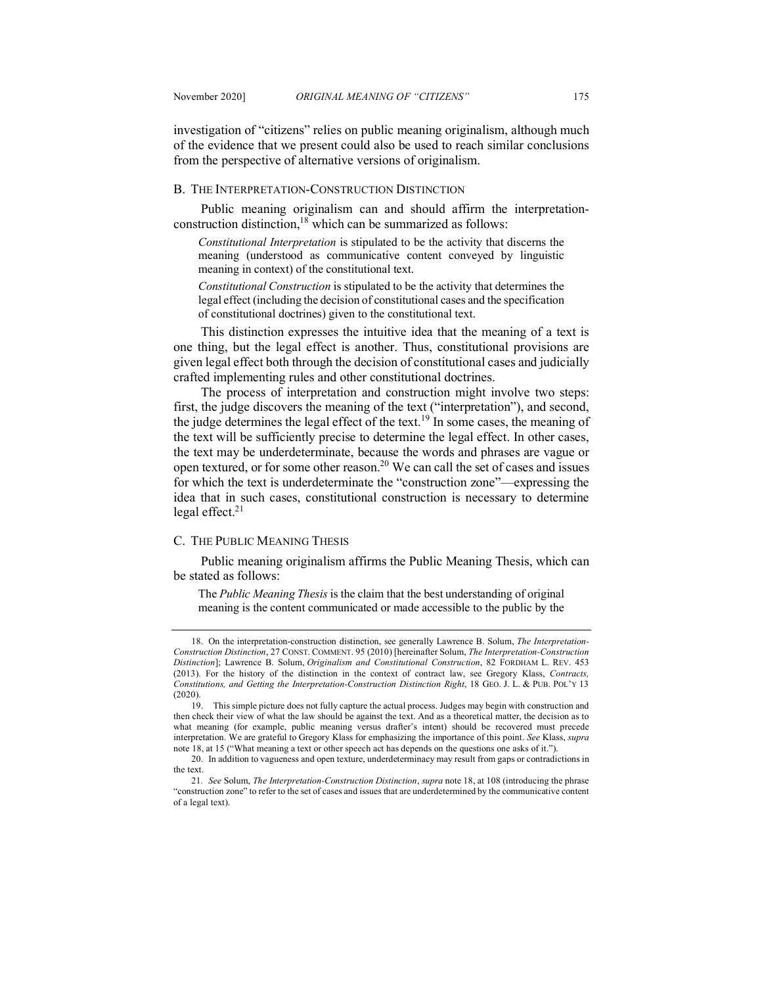investigation of "citizens" relies on public meaning originalism, although much of the evidence that we present could also be used to reach similar conclusions from the perspective of alternative versions of originalism.

#### B. THE INTERPRETATION-CONSTRUCTION DISTINCTION

Public meaning originalism can and should affirm the interpretationconstruction distinction,<sup>18</sup> which can be summarized as follows:

*Constitutional Interpretation* is stipulated to be the activity that discerns the meaning (understood as communicative content conveyed by linguistic meaning in context) of the constitutional text.

*Constitutional Construction* is stipulated to be the activity that determines the legal effect (including the decision of constitutional cases and the specification of constitutional doctrines) given to the constitutional text.

This distinction expresses the intuitive idea that the meaning of a text is one thing, but the legal effect is another. Thus, constitutional provisions are given legal effect both through the decision of constitutional cases and judicially crafted implementing rules and other constitutional doctrines.

The process of interpretation and construction might involve two steps: first, the judge discovers the meaning of the text ("interpretation"), and second, the judge determines the legal effect of the text.<sup>19</sup> In some cases, the meaning of the text will be sufficiently precise to determine the legal effect. In other cases, the text may be underdeterminate, because the words and phrases are vague or open textured, or for some other reason.20 We can call the set of cases and issues for which the text is underdeterminate the "construction zone"—expressing the idea that in such cases, constitutional construction is necessary to determine legal effect. $21$ 

## C. THE PUBLIC MEANING THESIS

Public meaning originalism affirms the Public Meaning Thesis, which can be stated as follows:

The *Public Meaning Thesis* is the claim that the best understanding of original meaning is the content communicated or made accessible to the public by the

<sup>18.</sup> On the interpretation-construction distinction, see generally Lawrence B. Solum, *The Interpretation-Construction Distinction*, 27 CONST. COMMENT. 95 (2010) [hereinafter Solum, *The Interpretation-Construction Distinction*]; Lawrence B. Solum, *Originalism and Constitutional Construction*, 82 FORDHAM L. REV. 453 (2013). For the history of the distinction in the context of contract law, see Gregory Klass, *Contracts, Constitutions, and Getting the Interpretation-Construction Distinction Right*, 18 GEO. J. L. & PUB. POL'Y 13 (2020).

<sup>19.</sup> This simple picture does not fully capture the actual process. Judges may begin with construction and then check their view of what the law should be against the text. And as a theoretical matter, the decision as to what meaning (for example, public meaning versus drafter's intent) should be recovered must precede interpretation. We are grateful to Gregory Klass for emphasizing the importance of this point. *See* Klass, *supra* note 18, at 15 ("What meaning a text or other speech act has depends on the questions one asks of it.").

<sup>20.</sup> In addition to vagueness and open texture, underdeterminacy may result from gaps or contradictions in the text.

<sup>21</sup>*. See* Solum, *The Interpretation-Construction Distinction*, *supra* note 18, at 108 (introducing the phrase "construction zone" to refer to the set of cases and issues that are underdetermined by the communicative content of a legal text).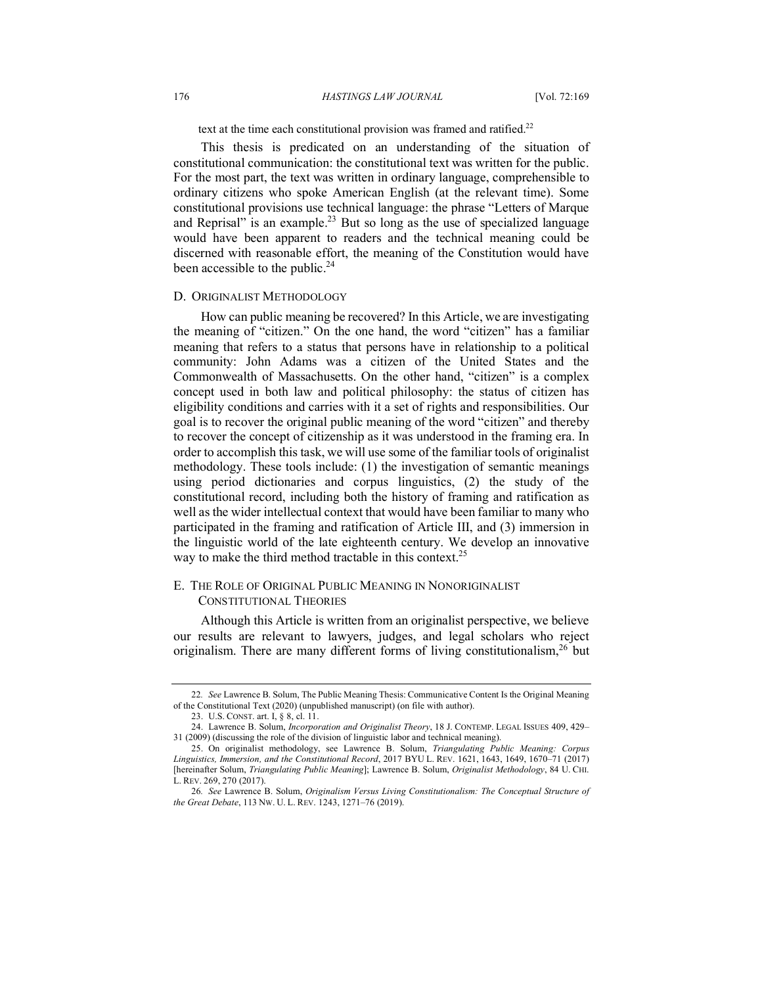#### 176 *HASTINGS LAW JOURNAL* [Vol. 72:169

text at the time each constitutional provision was framed and ratified.<sup>22</sup>

This thesis is predicated on an understanding of the situation of constitutional communication: the constitutional text was written for the public. For the most part, the text was written in ordinary language, comprehensible to ordinary citizens who spoke American English (at the relevant time). Some constitutional provisions use technical language: the phrase "Letters of Marque and Reprisal" is an example.<sup>23</sup> But so long as the use of specialized language would have been apparent to readers and the technical meaning could be discerned with reasonable effort, the meaning of the Constitution would have been accessible to the public.<sup>24</sup>

#### D. ORIGINALIST METHODOLOGY

How can public meaning be recovered? In this Article, we are investigating the meaning of "citizen." On the one hand, the word "citizen" has a familiar meaning that refers to a status that persons have in relationship to a political community: John Adams was a citizen of the United States and the Commonwealth of Massachusetts. On the other hand, "citizen" is a complex concept used in both law and political philosophy: the status of citizen has eligibility conditions and carries with it a set of rights and responsibilities. Our goal is to recover the original public meaning of the word "citizen" and thereby to recover the concept of citizenship as it was understood in the framing era. In order to accomplish this task, we will use some of the familiar tools of originalist methodology. These tools include: (1) the investigation of semantic meanings using period dictionaries and corpus linguistics, (2) the study of the constitutional record, including both the history of framing and ratification as well as the wider intellectual context that would have been familiar to many who participated in the framing and ratification of Article III, and (3) immersion in the linguistic world of the late eighteenth century. We develop an innovative way to make the third method tractable in this context.<sup>25</sup>

## E. THE ROLE OF ORIGINAL PUBLIC MEANING IN NONORIGINALIST CONSTITUTIONAL THEORIES

Although this Article is written from an originalist perspective, we believe our results are relevant to lawyers, judges, and legal scholars who reject originalism. There are many different forms of living constitutionalism.<sup>26</sup> but

<sup>22</sup>*. See* Lawrence B. Solum, The Public Meaning Thesis: Communicative Content Is the Original Meaning of the Constitutional Text (2020) (unpublished manuscript) (on file with author).

<sup>23.</sup> U.S. CONST. art. I, § 8, cl. 11.

<sup>24.</sup> Lawrence B. Solum, *Incorporation and Originalist Theory*, 18 J. CONTEMP. LEGAL ISSUES 409, 429– 31 (2009) (discussing the role of the division of linguistic labor and technical meaning).

<sup>25.</sup> On originalist methodology, see Lawrence B. Solum, *Triangulating Public Meaning: Corpus Linguistics, Immersion, and the Constitutional Record*, 2017 BYU L. REV. 1621, 1643, 1649, 1670–71 (2017) [hereinafter Solum, *Triangulating Public Meaning*]; Lawrence B. Solum, *Originalist Methodology*, 84 U. CHI. L. REV. 269, 270 (2017).

<sup>26</sup>*. See* Lawrence B. Solum, *Originalism Versus Living Constitutionalism: The Conceptual Structure of the Great Debate*, 113 NW. U. L. REV. 1243, 1271–76 (2019).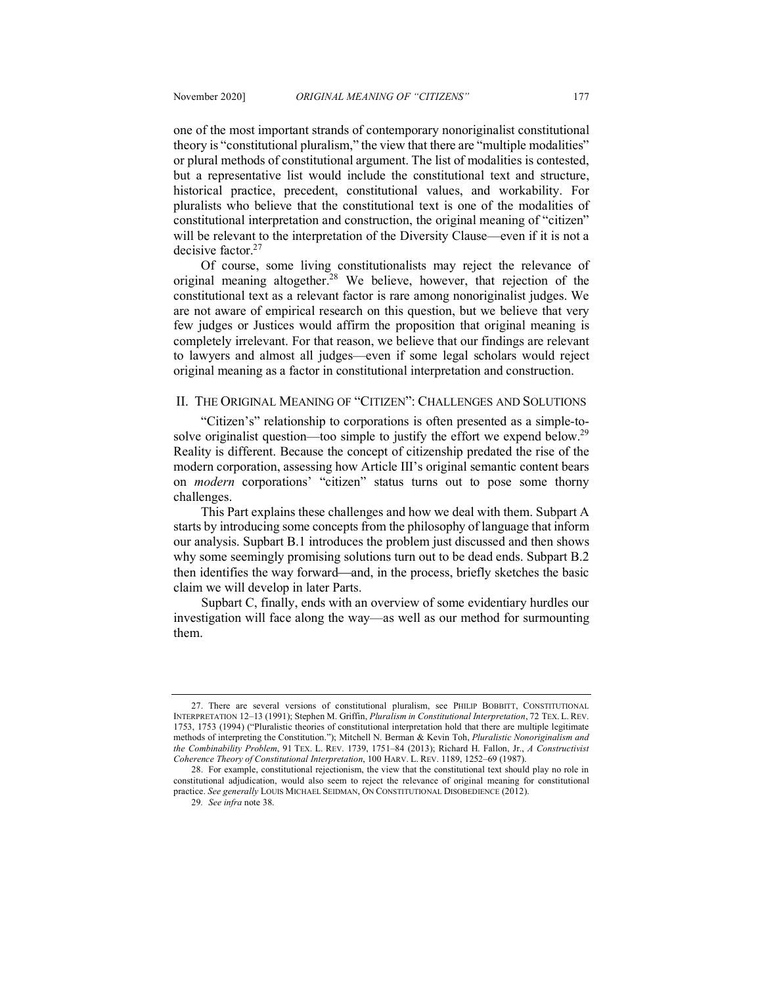one of the most important strands of contemporary nonoriginalist constitutional theory is "constitutional pluralism," the view that there are "multiple modalities" or plural methods of constitutional argument. The list of modalities is contested, but a representative list would include the constitutional text and structure, historical practice, precedent, constitutional values, and workability. For pluralists who believe that the constitutional text is one of the modalities of constitutional interpretation and construction, the original meaning of "citizen" will be relevant to the interpretation of the Diversity Clause—even if it is not a decisive factor.27

Of course, some living constitutionalists may reject the relevance of original meaning altogether.<sup>28</sup> We believe, however, that rejection of the constitutional text as a relevant factor is rare among nonoriginalist judges. We are not aware of empirical research on this question, but we believe that very few judges or Justices would affirm the proposition that original meaning is completely irrelevant. For that reason, we believe that our findings are relevant to lawyers and almost all judges—even if some legal scholars would reject original meaning as a factor in constitutional interpretation and construction.

#### II. THE ORIGINAL MEANING OF "CITIZEN": CHALLENGES AND SOLUTIONS

"Citizen's" relationship to corporations is often presented as a simple-tosolve originalist question—too simple to justify the effort we expend below.<sup>29</sup> Reality is different. Because the concept of citizenship predated the rise of the modern corporation, assessing how Article III's original semantic content bears on *modern* corporations' "citizen" status turns out to pose some thorny challenges.

This Part explains these challenges and how we deal with them. Subpart A starts by introducing some concepts from the philosophy of language that inform our analysis. Supbart B.1 introduces the problem just discussed and then shows why some seemingly promising solutions turn out to be dead ends. Subpart B.2 then identifies the way forward—and, in the process, briefly sketches the basic claim we will develop in later Parts.

Supbart C, finally, ends with an overview of some evidentiary hurdles our investigation will face along the way—as well as our method for surmounting them.

<sup>27.</sup> There are several versions of constitutional pluralism, see PHILIP BOBBITT, CONSTITUTIONAL INTERPRETATION 12–13 (1991); Stephen M. Griffin, *Pluralism in Constitutional Interpretation*, 72 TEX. L. REV. 1753, 1753 (1994) ("Pluralistic theories of constitutional interpretation hold that there are multiple legitimate methods of interpreting the Constitution."); Mitchell N. Berman & Kevin Toh, *Pluralistic Nonoriginalism and the Combinability Problem*, 91 TEX. L. REV. 1739, 1751–84 (2013); Richard H. Fallon, Jr., *A Constructivist Coherence Theory of Constitutional Interpretation*, 100 HARV. L. REV. 1189, 1252–69 (1987).

<sup>28.</sup> For example, constitutional rejectionism, the view that the constitutional text should play no role in constitutional adjudication, would also seem to reject the relevance of original meaning for constitutional practice. *See generally* LOUIS MICHAEL SEIDMAN, ON CONSTITUTIONAL DISOBEDIENCE (2012).

<sup>29</sup>*. See infra* note 38.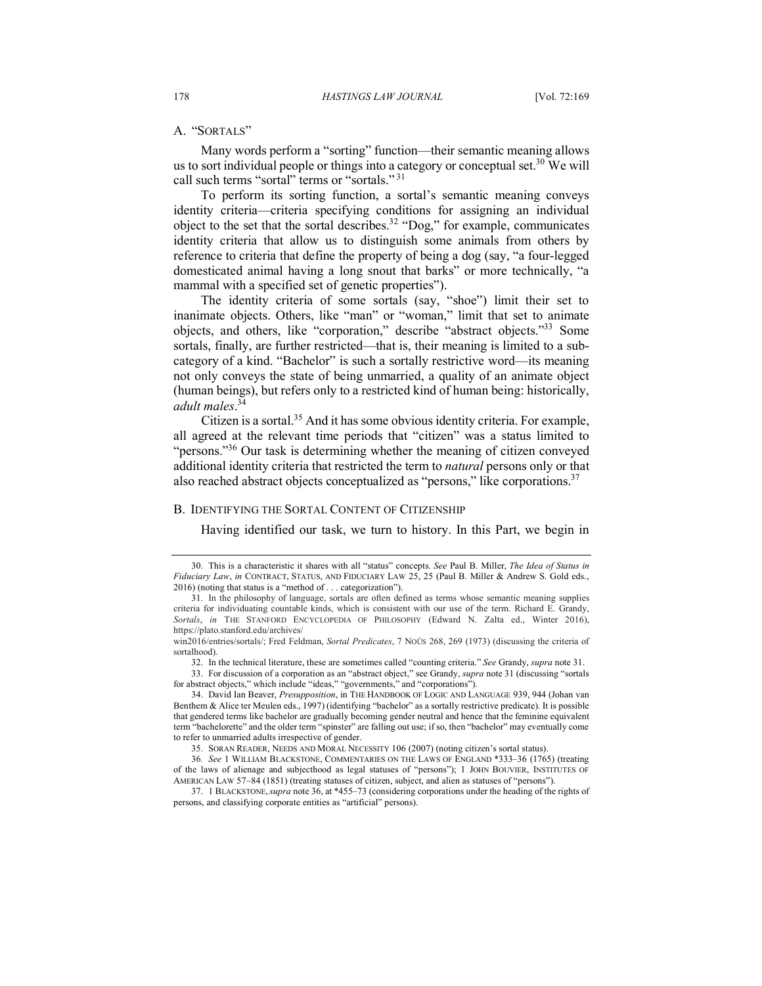## A. "SORTALS"

Many words perform a "sorting" function—their semantic meaning allows us to sort individual people or things into a category or conceptual set.<sup>30</sup> We will call such terms "sortal" terms or "sortals." 31

To perform its sorting function, a sortal's semantic meaning conveys identity criteria—criteria specifying conditions for assigning an individual object to the set that the sortal describes.<sup>32</sup> "Dog," for example, communicates identity criteria that allow us to distinguish some animals from others by reference to criteria that define the property of being a dog (say, "a four-legged domesticated animal having a long snout that barks" or more technically, "a mammal with a specified set of genetic properties").

The identity criteria of some sortals (say, "shoe") limit their set to inanimate objects. Others, like "man" or "woman," limit that set to animate objects, and others, like "corporation," describe "abstract objects."33 Some sortals, finally, are further restricted—that is, their meaning is limited to a subcategory of a kind. "Bachelor" is such a sortally restrictive word—its meaning not only conveys the state of being unmarried, a quality of an animate object (human beings), but refers only to a restricted kind of human being: historically, *adult males*. 34

Citizen is a sortal.<sup>35</sup> And it has some obvious identity criteria. For example, all agreed at the relevant time periods that "citizen" was a status limited to "persons."<sup>36</sup> Our task is determining whether the meaning of citizen conveyed additional identity criteria that restricted the term to *natural* persons only or that also reached abstract objects conceptualized as "persons," like corporations.<sup>37</sup>

#### B. IDENTIFYING THE SORTAL CONTENT OF CITIZENSHIP

Having identified our task, we turn to history. In this Part, we begin in

33. For discussion of a corporation as an "abstract object," see Grandy, *supra* note 31 (discussing "sortals for abstract objects," which include "ideas," "governments," and "corporations").

<sup>30.</sup> This is a characteristic it shares with all "status" concepts. *See* Paul B. Miller, *The Idea of Status in Fiduciary Law*, *in* CONTRACT, STATUS, AND FIDUCIARY LAW 25, 25 (Paul B. Miller & Andrew S. Gold eds., 2016) (noting that status is a "method of . . . categorization").

<sup>31.</sup> In the philosophy of language, sortals are often defined as terms whose semantic meaning supplies criteria for individuating countable kinds, which is consistent with our use of the term. Richard E. Grandy, *Sortals*, *in* THE STANFORD ENCYCLOPEDIA OF PHILOSOPHY (Edward N. Zalta ed., Winter 2016), https://plato.stanford.edu/archives/

win2016/entries/sortals/; Fred Feldman, *Sortal Predicates*, 7 NOÛS 268, 269 (1973) (discussing the criteria of sortalhood).

<sup>32.</sup> In the technical literature, these are sometimes called "counting criteria." *See* Grandy, *supra* note 31.

<sup>34.</sup> David Ian Beaver, *Presupposition*, in THE HANDBOOK OF LOGIC AND LANGUAGE 939, 944 (Johan van Benthem & Alice ter Meulen eds., 1997) (identifying "bachelor" as a sortally restrictive predicate). It is possible that gendered terms like bachelor are gradually becoming gender neutral and hence that the feminine equivalent term "bachelorette" and the older term "spinster" are falling out use; if so, then "bachelor" may eventually come to refer to unmarried adults irrespective of gender.

<sup>35.</sup> SORAN READER, NEEDS AND MORAL NECESSITY 106 (2007) (noting citizen's sortal status).

<sup>36</sup>*. See* 1 WILLIAM BLACKSTONE, COMMENTARIES ON THE LAWS OF ENGLAND \*333–36 (1765) (treating of the laws of alienage and subjecthood as legal statuses of "persons"); 1 JOHN BOUVIER, INSTITUTES OF AMERICAN LAW 57–84 (1851) (treating statuses of citizen, subject, and alien as statuses of "persons").

<sup>37.</sup> 1 BLACKSTONE,*supra* note 36, at \*455–73 (considering corporations under the heading of the rights of persons, and classifying corporate entities as "artificial" persons).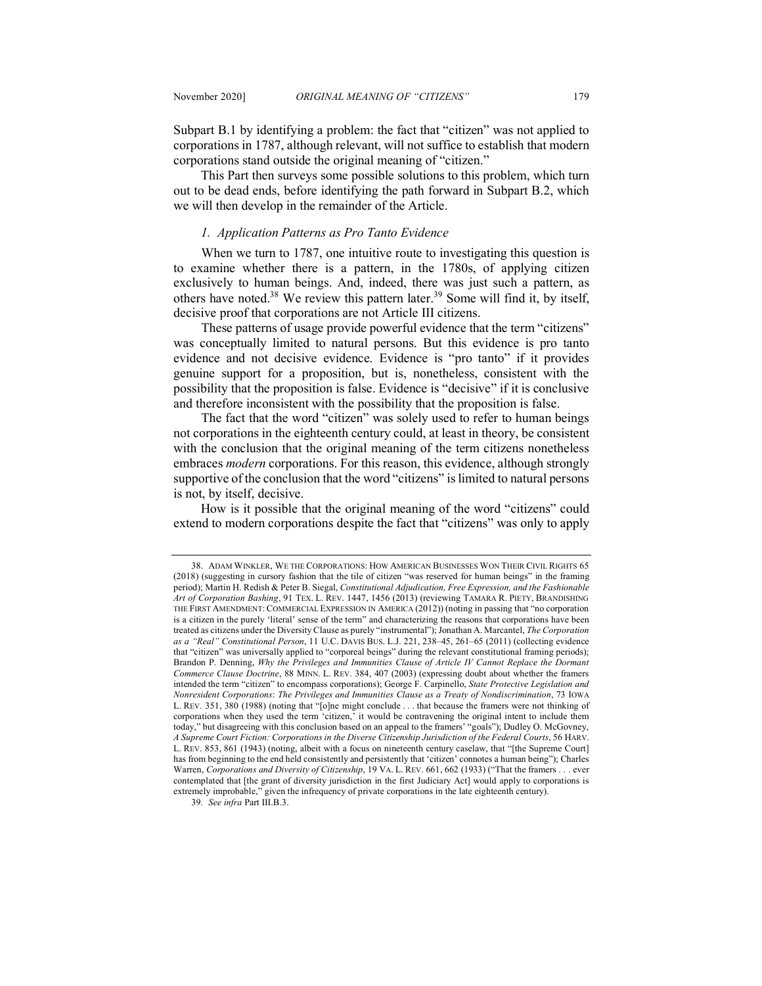Subpart B.1 by identifying a problem: the fact that "citizen" was not applied to corporations in 1787, although relevant, will not suffice to establish that modern corporations stand outside the original meaning of "citizen."

This Part then surveys some possible solutions to this problem, which turn out to be dead ends, before identifying the path forward in Subpart B.2, which we will then develop in the remainder of the Article.

## *1. Application Patterns as Pro Tanto Evidence*

When we turn to 1787, one intuitive route to investigating this question is to examine whether there is a pattern, in the 1780s, of applying citizen exclusively to human beings. And, indeed, there was just such a pattern, as others have noted.38 We review this pattern later.39 Some will find it, by itself, decisive proof that corporations are not Article III citizens.

These patterns of usage provide powerful evidence that the term "citizens" was conceptually limited to natural persons. But this evidence is pro tanto evidence and not decisive evidence. Evidence is "pro tanto" if it provides genuine support for a proposition, but is, nonetheless, consistent with the possibility that the proposition is false. Evidence is "decisive" if it is conclusive and therefore inconsistent with the possibility that the proposition is false.

The fact that the word "citizen" was solely used to refer to human beings not corporations in the eighteenth century could, at least in theory, be consistent with the conclusion that the original meaning of the term citizens nonetheless embraces *modern* corporations. For this reason, this evidence, although strongly supportive of the conclusion that the word "citizens" is limited to natural persons is not, by itself, decisive.

How is it possible that the original meaning of the word "citizens" could extend to modern corporations despite the fact that "citizens" was only to apply

39*. See infra* Part III.B.3.

<sup>38.</sup> ADAM WINKLER, WE THE CORPORATIONS: HOW AMERICAN BUSINESSES WON THEIR CIVIL RIGHTS 65 (2018) (suggesting in cursory fashion that the tile of citizen "was reserved for human beings" in the framing period); Martin H. Redish & Peter B. Siegal, *Constitutional Adjudication, Free Expression, and the Fashionable Art of Corporation Bashing*, 91 TEX. L. REV. 1447, 1456 (2013) (reviewing TAMARA R. PIETY, BRANDISHING THE FIRST AMENDMENT: COMMERCIAL EXPRESSION IN AMERICA (2012)) (noting in passing that "no corporation is a citizen in the purely 'literal' sense of the term" and characterizing the reasons that corporations have been treated as citizens under the Diversity Clause as purely "instrumental"); Jonathan A. Marcantel, *The Corporation as a "Real" Constitutional Person*, 11 U.C. DAVIS BUS. L.J. 221, 238–45, 261–65 (2011) (collecting evidence that "citizen" was universally applied to "corporeal beings" during the relevant constitutional framing periods); Brandon P. Denning, *Why the Privileges and Immunities Clause of Article IV Cannot Replace the Dormant Commerce Clause Doctrine*, 88 MINN. L. REV. 384, 407 (2003) (expressing doubt about whether the framers intended the term "citizen" to encompass corporations); George F. Carpinello, *State Protective Legislation and Nonresident Corporations*: *The Privileges and Immunities Clause as a Treaty of Nondiscrimination*, 73 IOWA L. REV. 351, 380 (1988) (noting that "[o]ne might conclude . . . that because the framers were not thinking of corporations when they used the term 'citizen,' it would be contravening the original intent to include them today," but disagreeing with this conclusion based on an appeal to the framers' "goals"); Dudley O. McGovney, *A Supreme Court Fiction: Corporations in the Diverse Citizenship Jurisdiction of the Federal Courts*, 56 HARV. L. REV. 853, 861 (1943) (noting, albeit with a focus on nineteenth century caselaw, that "[the Supreme Court] has from beginning to the end held consistently and persistently that 'citizen' connotes a human being"); Charles Warren, *Corporations and Diversity of Citizenship*, 19 VA. L. REV. 661, 662 (1933) ("That the framers . . . ever contemplated that [the grant of diversity jurisdiction in the first Judiciary Act] would apply to corporations is extremely improbable," given the infrequency of private corporations in the late eighteenth century).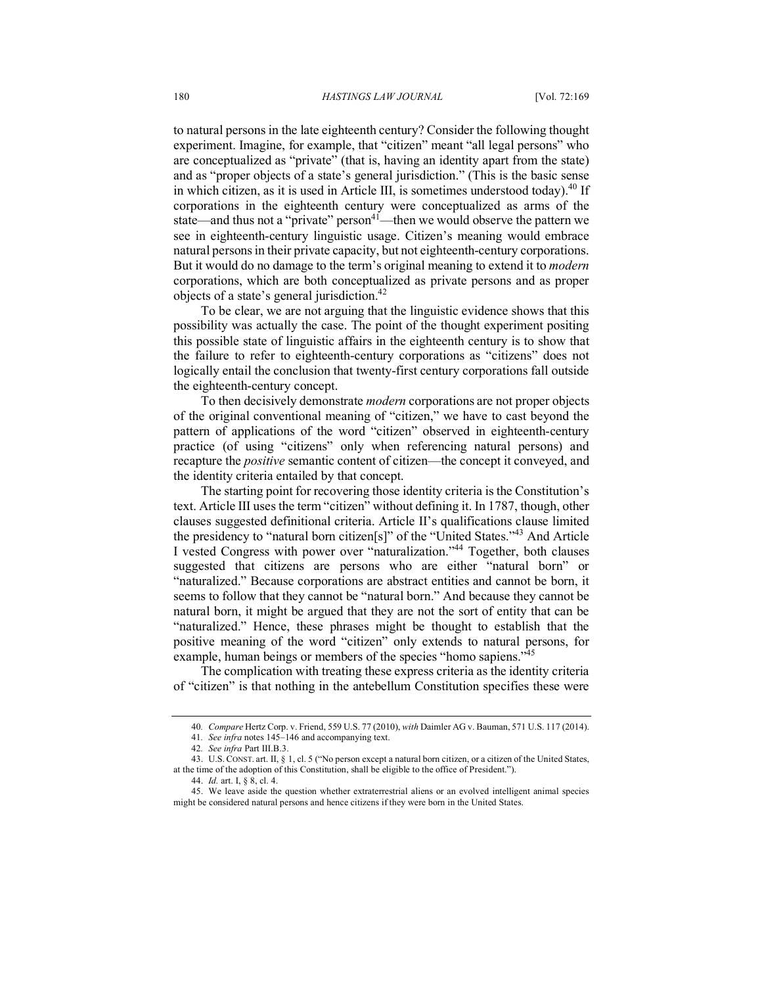to natural persons in the late eighteenth century? Consider the following thought experiment. Imagine, for example, that "citizen" meant "all legal persons" who are conceptualized as "private" (that is, having an identity apart from the state) and as "proper objects of a state's general jurisdiction." (This is the basic sense in which citizen, as it is used in Article III, is sometimes understood today).<sup>40</sup> If corporations in the eighteenth century were conceptualized as arms of the state—and thus not a "private" person<sup>41</sup>—then we would observe the pattern we see in eighteenth-century linguistic usage. Citizen's meaning would embrace natural persons in their private capacity, but not eighteenth-century corporations. But it would do no damage to the term's original meaning to extend it to *modern*  corporations, which are both conceptualized as private persons and as proper objects of a state's general jurisdiction.42

To be clear, we are not arguing that the linguistic evidence shows that this possibility was actually the case. The point of the thought experiment positing this possible state of linguistic affairs in the eighteenth century is to show that the failure to refer to eighteenth-century corporations as "citizens" does not logically entail the conclusion that twenty-first century corporations fall outside the eighteenth-century concept.

To then decisively demonstrate *modern* corporations are not proper objects of the original conventional meaning of "citizen," we have to cast beyond the pattern of applications of the word "citizen" observed in eighteenth-century practice (of using "citizens" only when referencing natural persons) and recapture the *positive* semantic content of citizen—the concept it conveyed, and the identity criteria entailed by that concept.

The starting point for recovering those identity criteria is the Constitution's text. Article III uses the term "citizen" without defining it. In 1787, though, other clauses suggested definitional criteria. Article II's qualifications clause limited the presidency to "natural born citizen[s]" of the "United States."43 And Article I vested Congress with power over "naturalization."44 Together, both clauses suggested that citizens are persons who are either "natural born" or "naturalized." Because corporations are abstract entities and cannot be born, it seems to follow that they cannot be "natural born." And because they cannot be natural born, it might be argued that they are not the sort of entity that can be "naturalized." Hence, these phrases might be thought to establish that the positive meaning of the word "citizen" only extends to natural persons, for example, human beings or members of the species "homo sapiens."<sup>45</sup>

The complication with treating these express criteria as the identity criteria of "citizen" is that nothing in the antebellum Constitution specifies these were

<sup>40</sup>*. Compare* Hertz Corp. v. Friend, 559 U.S. 77 (2010), *with* Daimler AG v. Bauman, 571 U.S. 117 (2014).

<sup>41</sup>*. See infra* notes 145–146 and accompanying text.

<sup>42</sup>*. See infra* Part III.B.3.

<sup>43.</sup> U.S. CONST. art. II, § 1, cl. 5 ("No person except a natural born citizen, or a citizen of the United States, at the time of the adoption of this Constitution, shall be eligible to the office of President.").

<sup>44.</sup> *Id.* art. I, § 8, cl. 4.

<sup>45.</sup> We leave aside the question whether extraterrestrial aliens or an evolved intelligent animal species might be considered natural persons and hence citizens if they were born in the United States.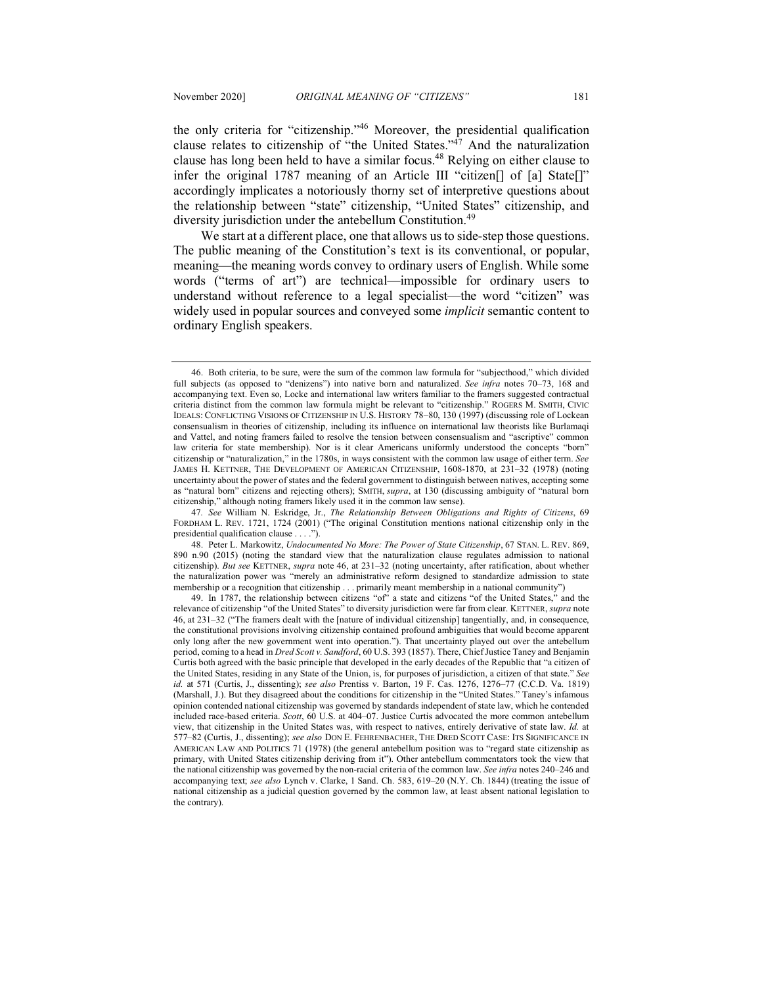the only criteria for "citizenship."46 Moreover, the presidential qualification clause relates to citizenship of "the United States."47 And the naturalization clause has long been held to have a similar focus.48 Relying on either clause to infer the original 1787 meaning of an Article III "citizen[] of [a] State[]" accordingly implicates a notoriously thorny set of interpretive questions about the relationship between "state" citizenship, "United States" citizenship, and diversity jurisdiction under the antebellum Constitution.<sup>49</sup>

We start at a different place, one that allows us to side-step those questions. The public meaning of the Constitution's text is its conventional, or popular, meaning—the meaning words convey to ordinary users of English. While some words ("terms of art") are technical—impossible for ordinary users to understand without reference to a legal specialist—the word "citizen" was widely used in popular sources and conveyed some *implicit* semantic content to ordinary English speakers.

47*. See* William N. Eskridge, Jr., *The Relationship Between Obligations and Rights of Citizens*, 69 FORDHAM L. REV. 1721, 1724 (2001) ("The original Constitution mentions national citizenship only in the presidential qualification clause . . . .").

48. Peter L. Markowitz, *Undocumented No More: The Power of State Citizenship*, 67 STAN. L. REV. 869, 890 n.90 (2015) (noting the standard view that the naturalization clause regulates admission to national citizenship). *But see* KETTNER, *supra* note 46, at 231–32 (noting uncertainty, after ratification, about whether the naturalization power was "merely an administrative reform designed to standardize admission to state membership or a recognition that citizenship . . . primarily meant membership in a national community")

<sup>46.</sup> Both criteria, to be sure, were the sum of the common law formula for "subjecthood," which divided full subjects (as opposed to "denizens") into native born and naturalized. *See infra* notes 70–73, 168 and accompanying text. Even so, Locke and international law writers familiar to the framers suggested contractual criteria distinct from the common law formula might be relevant to "citizenship." ROGERS M. SMITH, CIVIC IDEALS: CONFLICTING VISIONS OF CITIZENSHIP IN U.S. HISTORY 78–80, 130 (1997) (discussing role of Lockean consensualism in theories of citizenship, including its influence on international law theorists like Burlamaqi and Vattel, and noting framers failed to resolve the tension between consensualism and "ascriptive" common law criteria for state membership). Nor is it clear Americans uniformly understood the concepts "born" citizenship or "naturalization," in the 1780s, in ways consistent with the common law usage of either term. *See* JAMES H. KETTNER, THE DEVELOPMENT OF AMERICAN CITIZENSHIP, 1608-1870, at 231–32 (1978) (noting uncertainty about the power of states and the federal government to distinguish between natives, accepting some as "natural born" citizens and rejecting others); SMITH, *supra*, at 130 (discussing ambiguity of "natural born citizenship," although noting framers likely used it in the common law sense).

<sup>49.</sup> In 1787, the relationship between citizens "of" a state and citizens "of the United States," and the relevance of citizenship "of the United States" to diversity jurisdiction were far from clear. KETTNER, *supra* note 46, at 231–32 ("The framers dealt with the [nature of individual citizenship] tangentially, and, in consequence, the constitutional provisions involving citizenship contained profound ambiguities that would become apparent only long after the new government went into operation."). That uncertainty played out over the antebellum period, coming to a head in *Dred Scott v. Sandford*, 60 U.S. 393 (1857). There, Chief Justice Taney and Benjamin Curtis both agreed with the basic principle that developed in the early decades of the Republic that "a citizen of the United States, residing in any State of the Union, is, for purposes of jurisdiction, a citizen of that state." *See id.* at 571 (Curtis, J., dissenting); *see also* Prentiss v. Barton, 19 F. Cas. 1276, 1276–77 (C.C.D. Va. 1819) (Marshall, J.). But they disagreed about the conditions for citizenship in the "United States." Taney's infamous opinion contended national citizenship was governed by standards independent of state law, which he contended included race-based criteria. *Scott*, 60 U.S. at 404–07. Justice Curtis advocated the more common antebellum view, that citizenship in the United States was, with respect to natives, entirely derivative of state law. *Id.* at 577–82 (Curtis, J., dissenting); *see also* DON E. FEHRENBACHER, THE DRED SCOTT CASE: ITS SIGNIFICANCE IN AMERICAN LAW AND POLITICS 71 (1978) (the general antebellum position was to "regard state citizenship as primary, with United States citizenship deriving from it"). Other antebellum commentators took the view that the national citizenship was governed by the non-racial criteria of the common law. *See infra* notes 240–246 and accompanying text; *see also* Lynch v. Clarke, 1 Sand. Ch. 583, 619–20 (N.Y. Ch. 1844) (treating the issue of national citizenship as a judicial question governed by the common law, at least absent national legislation to the contrary).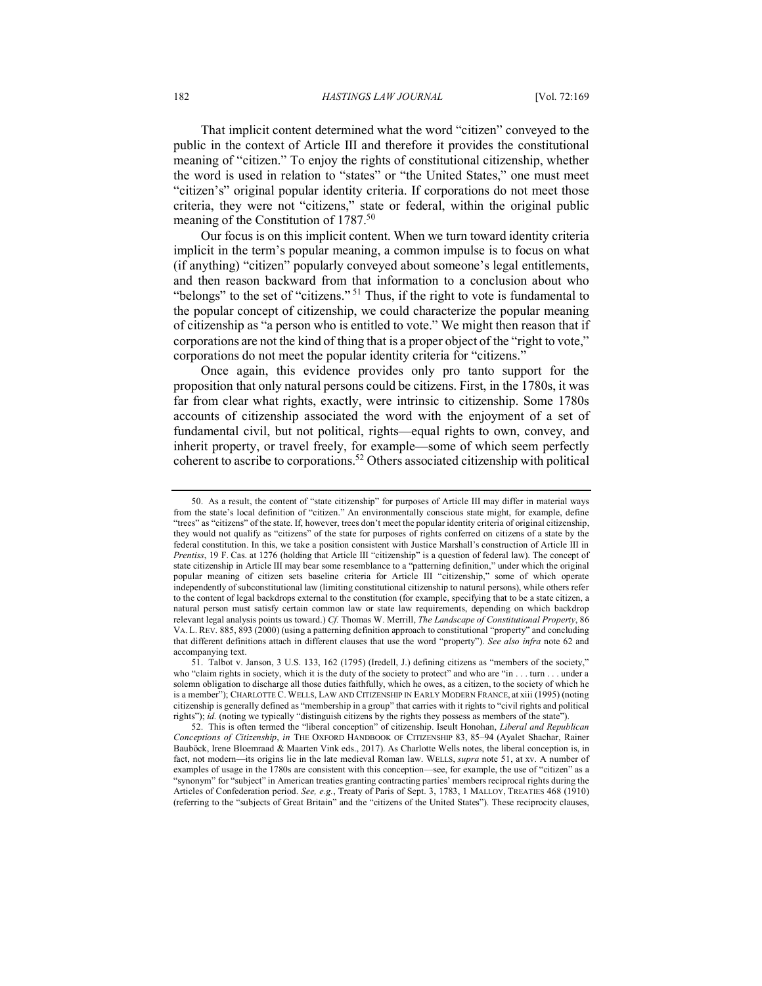That implicit content determined what the word "citizen" conveyed to the public in the context of Article III and therefore it provides the constitutional meaning of "citizen." To enjoy the rights of constitutional citizenship, whether the word is used in relation to "states" or "the United States," one must meet "citizen's" original popular identity criteria. If corporations do not meet those criteria, they were not "citizens," state or federal, within the original public meaning of the Constitution of 1787.<sup>50</sup>

Our focus is on this implicit content. When we turn toward identity criteria implicit in the term's popular meaning, a common impulse is to focus on what (if anything) "citizen" popularly conveyed about someone's legal entitlements, and then reason backward from that information to a conclusion about who "belongs" to the set of "citizens." <sup>51</sup> Thus, if the right to vote is fundamental to the popular concept of citizenship, we could characterize the popular meaning of citizenship as "a person who is entitled to vote." We might then reason that if corporations are not the kind of thing that is a proper object of the "right to vote," corporations do not meet the popular identity criteria for "citizens."

Once again, this evidence provides only pro tanto support for the proposition that only natural persons could be citizens. First, in the 1780s, it was far from clear what rights, exactly, were intrinsic to citizenship. Some 1780s accounts of citizenship associated the word with the enjoyment of a set of fundamental civil, but not political, rights—equal rights to own, convey, and inherit property, or travel freely, for example—some of which seem perfectly coherent to ascribe to corporations.52 Others associated citizenship with political

<sup>50.</sup> As a result, the content of "state citizenship" for purposes of Article III may differ in material ways from the state's local definition of "citizen." An environmentally conscious state might, for example, define "trees" as "citizens" of the state. If, however, trees don't meet the popular identity criteria of original citizenship, they would not qualify as "citizens" of the state for purposes of rights conferred on citizens of a state by the federal constitution. In this, we take a position consistent with Justice Marshall's construction of Article III in *Prentiss*, 19 F. Cas. at 1276 (holding that Article III "citizenship" is a question of federal law). The concept of state citizenship in Article III may bear some resemblance to a "patterning definition," under which the original popular meaning of citizen sets baseline criteria for Article III "citizenship," some of which operate independently of subconstitutional law (limiting constitutional citizenship to natural persons), while others refer to the content of legal backdrops external to the constitution (for example, specifying that to be a state citizen, a natural person must satisfy certain common law or state law requirements, depending on which backdrop relevant legal analysis points us toward.) *Cf.* Thomas W. Merrill, *The Landscape of Constitutional Property*, 86 VA. L. REV. 885, 893 (2000) (using a patterning definition approach to constitutional "property" and concluding that different definitions attach in different clauses that use the word "property"). *See also infra* note 62 and accompanying text.

<sup>51.</sup> Talbot v. Janson, 3 U.S. 133, 162 (1795) (Iredell, J.) defining citizens as "members of the society," who "claim rights in society, which it is the duty of the society to protect" and who are "in . . . turn . . . under a solemn obligation to discharge all those duties faithfully, which he owes, as a citizen, to the society of which he is a member"); CHARLOTTE C. WELLS, LAW AND CITIZENSHIP IN EARLY MODERN FRANCE, at xiii (1995) (noting citizenship is generally defined as "membership in a group" that carries with it rights to "civil rights and political rights"); *id.* (noting we typically "distinguish citizens by the rights they possess as members of the state").

<sup>52.</sup> This is often termed the "liberal conception" of citizenship. Iseult Honohan, *Liberal and Republican Conceptions of Citizenship*, *in* THE OXFORD HANDBOOK OF CITIZENSHIP 83, 85–94 (Ayalet Shachar, Rainer Bauböck, Irene Bloemraad & Maarten Vink eds., 2017). As Charlotte Wells notes, the liberal conception is, in fact, not modern—its origins lie in the late medieval Roman law. WELLS, *supra* note 51, at xv. A number of examples of usage in the 1780s are consistent with this conception—see, for example, the use of "citizen" as a "synonym" for "subject" in American treaties granting contracting parties' members reciprocal rights during the Articles of Confederation period. *See, e.g.*, Treaty of Paris of Sept. 3, 1783, 1 MALLOY, TREATIES 468 (1910) (referring to the "subjects of Great Britain" and the "citizens of the United States"). These reciprocity clauses,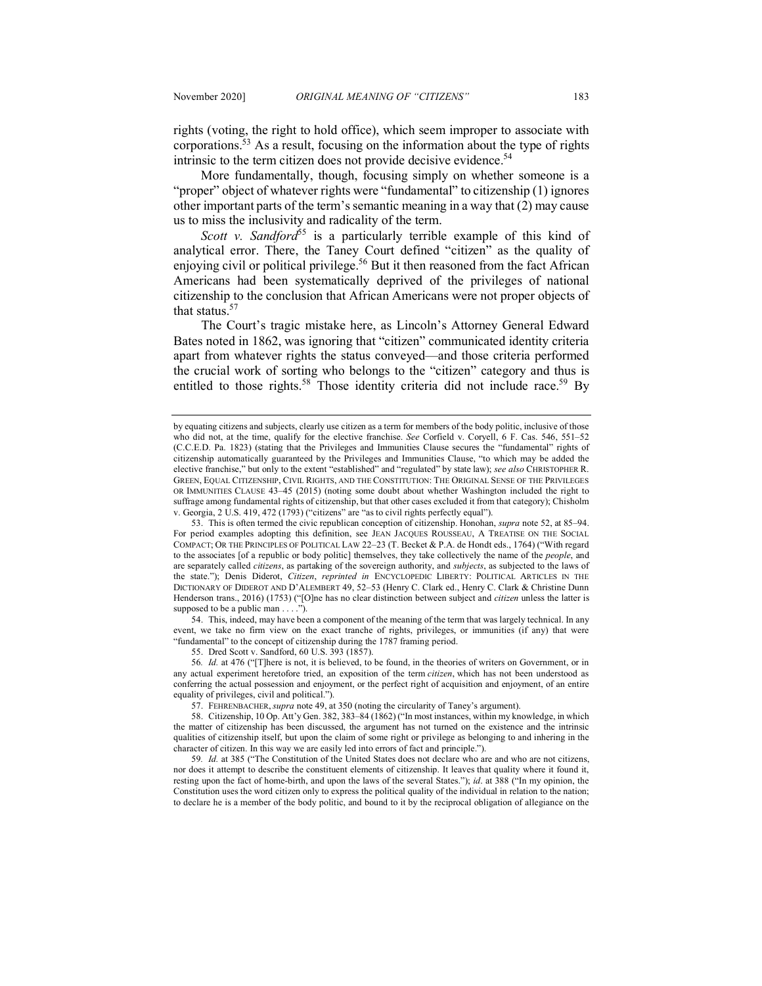rights (voting, the right to hold office), which seem improper to associate with corporations.53 As a result, focusing on the information about the type of rights intrinsic to the term citizen does not provide decisive evidence.<sup>54</sup>

More fundamentally, though, focusing simply on whether someone is a "proper" object of whatever rights were "fundamental" to citizenship (1) ignores other important parts of the term's semantic meaning in a way that (2) may cause us to miss the inclusivity and radicality of the term.

*Scott v. Sandford*<sup>55</sup> is a particularly terrible example of this kind of analytical error. There, the Taney Court defined "citizen" as the quality of enjoying civil or political privilege.<sup>56</sup> But it then reasoned from the fact African Americans had been systematically deprived of the privileges of national citizenship to the conclusion that African Americans were not proper objects of that status.57

The Court's tragic mistake here, as Lincoln's Attorney General Edward Bates noted in 1862, was ignoring that "citizen" communicated identity criteria apart from whatever rights the status conveyed—and those criteria performed the crucial work of sorting who belongs to the "citizen" category and thus is entitled to those rights.<sup>58</sup> Those identity criteria did not include race.<sup>59</sup> By

54. This, indeed, may have been a component of the meaning of the term that was largely technical. In any event, we take no firm view on the exact tranche of rights, privileges, or immunities (if any) that were "fundamental" to the concept of citizenship during the 1787 framing period.

55. Dred Scott v. Sandford, 60 U.S. 393 (1857).

56*. Id.* at 476 ("[T]here is not, it is believed, to be found, in the theories of writers on Government, or in any actual experiment heretofore tried, an exposition of the term *citizen*, which has not been understood as conferring the actual possession and enjoyment, or the perfect right of acquisition and enjoyment, of an entire equality of privileges, civil and political.").

57. FEHRENBACHER, *supra* note 49, at 350 (noting the circularity of Taney's argument).

59*. Id.* at 385 ("The Constitution of the United States does not declare who are and who are not citizens, nor does it attempt to describe the constituent elements of citizenship. It leaves that quality where it found it, resting upon the fact of home-birth, and upon the laws of the several States."); *id*. at 388 ("In my opinion, the Constitution uses the word citizen only to express the political quality of the individual in relation to the nation; to declare he is a member of the body politic, and bound to it by the reciprocal obligation of allegiance on the

by equating citizens and subjects, clearly use citizen as a term for members of the body politic, inclusive of those who did not, at the time, qualify for the elective franchise. *See* Corfield v. Coryell, 6 F. Cas. 546, 551–52 (C.C.E.D. Pa. 1823) (stating that the Privileges and Immunities Clause secures the "fundamental" rights of citizenship automatically guaranteed by the Privileges and Immunities Clause, "to which may be added the elective franchise," but only to the extent "established" and "regulated" by state law); *see also* CHRISTOPHER R. GREEN, EQUAL CITIZENSHIP, CIVIL RIGHTS, AND THE CONSTITUTION: THE ORIGINAL SENSE OF THE PRIVILEGES OR IMMUNITIES CLAUSE 43–45 (2015) (noting some doubt about whether Washington included the right to suffrage among fundamental rights of citizenship, but that other cases excluded it from that category); Chisholm v. Georgia, 2 U.S. 419, 472 (1793) ("citizens" are "as to civil rights perfectly equal").

<sup>53.</sup> This is often termed the civic republican conception of citizenship. Honohan, *supra* note 52, at 85–94. For period examples adopting this definition, see JEAN JACQUES ROUSSEAU, A TREATISE ON THE SOCIAL COMPACT; OR THE PRINCIPLES OF POLITICAL LAW 22–23 (T. Becket & P.A. de Hondt eds., 1764) ("With regard to the associates [of a republic or body politic] themselves, they take collectively the name of the *people*, and are separately called *citizens*, as partaking of the sovereign authority, and *subjects*, as subjected to the laws of the state."); Denis Diderot, *Citizen*, *reprinted in* ENCYCLOPEDIC LIBERTY: POLITICAL ARTICLES IN THE DICTIONARY OF DIDEROT AND D'ALEMBERT 49, 52–53 (Henry C. Clark ed., Henry C. Clark & Christine Dunn Henderson trans., 2016) (1753) ("[O]ne has no clear distinction between subject and *citizen* unless the latter is supposed to be a public man  $\dots$ .

<sup>58.</sup> Citizenship, 10 Op. Att'y Gen. 382, 383–84 (1862) ("In most instances, within my knowledge, in which the matter of citizenship has been discussed, the argument has not turned on the existence and the intrinsic qualities of citizenship itself, but upon the claim of some right or privilege as belonging to and inhering in the character of citizen. In this way we are easily led into errors of fact and principle.").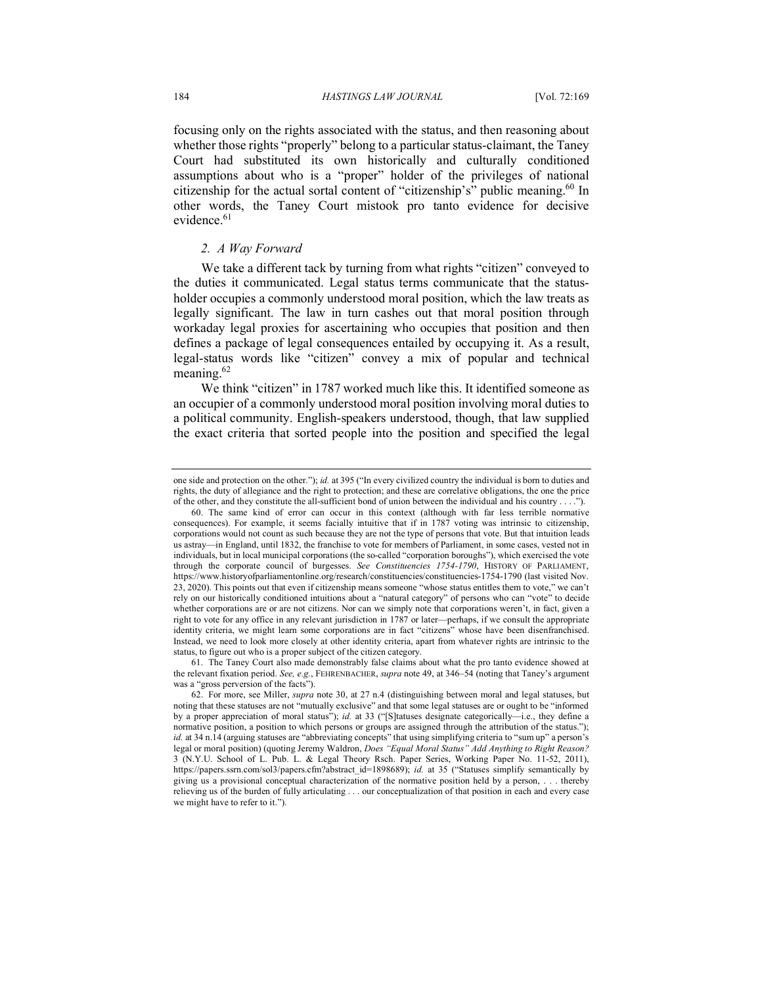focusing only on the rights associated with the status, and then reasoning about whether those rights "properly" belong to a particular status-claimant, the Taney Court had substituted its own historically and culturally conditioned assumptions about who is a "proper" holder of the privileges of national citizenship for the actual sortal content of "citizenship's" public meaning.<sup>60</sup> In other words, the Taney Court mistook pro tanto evidence for decisive evidence.<sup>61</sup>

## *2. A Way Forward*

We take a different tack by turning from what rights "citizen" conveyed to the duties it communicated. Legal status terms communicate that the statusholder occupies a commonly understood moral position, which the law treats as legally significant. The law in turn cashes out that moral position through workaday legal proxies for ascertaining who occupies that position and then defines a package of legal consequences entailed by occupying it. As a result, legal-status words like "citizen" convey a mix of popular and technical meaning.<sup>62</sup>

We think "citizen" in 1787 worked much like this. It identified someone as an occupier of a commonly understood moral position involving moral duties to a political community. English-speakers understood, though, that law supplied the exact criteria that sorted people into the position and specified the legal

one side and protection on the other."); *id.* at 395 ("In every civilized country the individual is born to duties and rights, the duty of allegiance and the right to protection; and these are correlative obligations, the one the price of the other, and they constitute the all-sufficient bond of union between the individual and his country . . . .").

<sup>60.</sup> The same kind of error can occur in this context (although with far less terrible normative consequences). For example, it seems facially intuitive that if in 1787 voting was intrinsic to citizenship, corporations would not count as such because they are not the type of persons that vote. But that intuition leads us astray—in England, until 1832, the franchise to vote for members of Parliament, in some cases, vested not in individuals, but in local municipal corporations (the so-called "corporation boroughs"), which exercised the vote through the corporate council of burgesses. *See Constituencies 1754-1790*, HISTORY OF PARLIAMENT, https://www.historyofparliamentonline.org/research/constituencies/constituencies-1754-1790 (last visited Nov. 23, 2020). This points out that even if citizenship means someone "whose status entitles them to vote," we can't rely on our historically conditioned intuitions about a "natural category" of persons who can "vote" to decide whether corporations are or are not citizens. Nor can we simply note that corporations weren't, in fact, given a right to vote for any office in any relevant jurisdiction in 1787 or later—perhaps, if we consult the appropriate identity criteria, we might learn some corporations are in fact "citizens" whose have been disenfranchised. Instead, we need to look more closely at other identity criteria, apart from whatever rights are intrinsic to the status, to figure out who is a proper subject of the citizen category.

<sup>61.</sup> The Taney Court also made demonstrably false claims about what the pro tanto evidence showed at the relevant fixation period. *See, e.g.*, FEHRENBACHER, *supra* note 49, at 346–54 (noting that Taney's argument was a "gross perversion of the facts").

<sup>62.</sup> For more, see Miller, *supra* note 30, at 27 n.4 (distinguishing between moral and legal statuses, but noting that these statuses are not "mutually exclusive" and that some legal statuses are or ought to be "informed by a proper appreciation of moral status"); *id.* at 33 ("[S]tatuses designate categorically—i.e., they define a normative position, a position to which persons or groups are assigned through the attribution of the status."); *id.* at 34 n.14 (arguing statuses are "abbreviating concepts" that using simplifying criteria to "sum up" a person's legal or moral position) (quoting Jeremy Waldron, *Does "Equal Moral Status" Add Anything to Right Reason?* 3 (N.Y.U. School of L. Pub. L. & Legal Theory Rsch. Paper Series, Working Paper No. 11-52, 2011), https://papers.ssrn.com/sol3/papers.cfm?abstract\_id=1898689); *id.* at 35 ("Statuses simplify semantically by giving us a provisional conceptual characterization of the normative position held by a person, . . . thereby relieving us of the burden of fully articulating . . . our conceptualization of that position in each and every case we might have to refer to it.").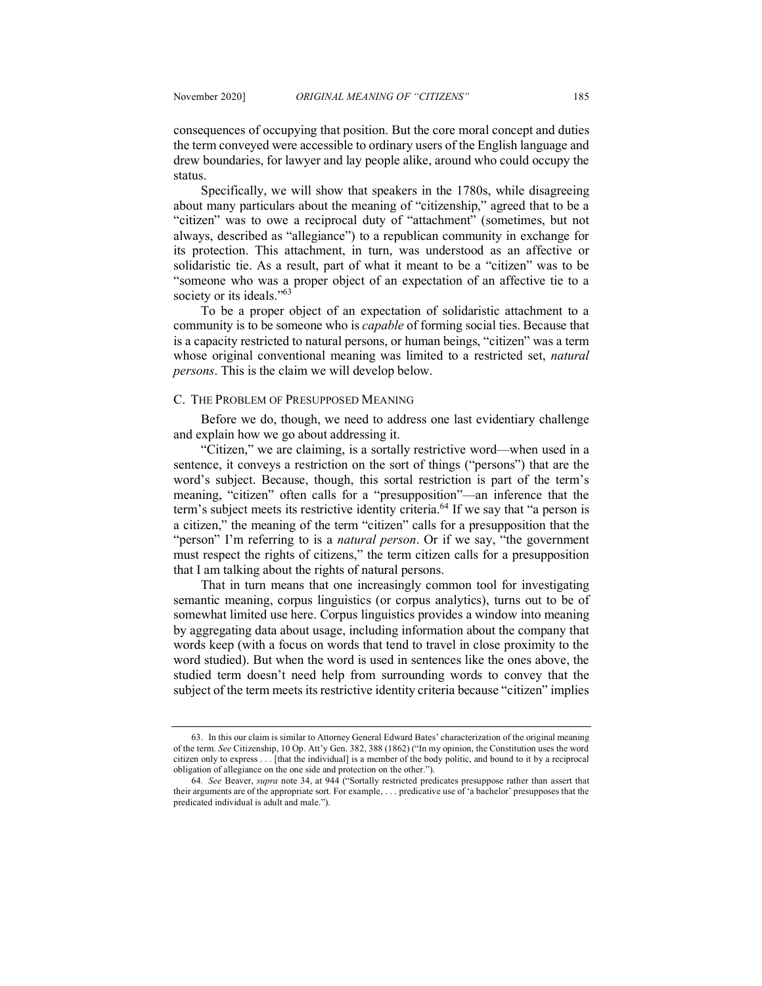consequences of occupying that position. But the core moral concept and duties the term conveyed were accessible to ordinary users of the English language and drew boundaries, for lawyer and lay people alike, around who could occupy the status.

Specifically, we will show that speakers in the 1780s, while disagreeing about many particulars about the meaning of "citizenship," agreed that to be a "citizen" was to owe a reciprocal duty of "attachment" (sometimes, but not always, described as "allegiance") to a republican community in exchange for its protection. This attachment, in turn, was understood as an affective or solidaristic tie. As a result, part of what it meant to be a "citizen" was to be "someone who was a proper object of an expectation of an affective tie to a society or its ideals."<sup>63</sup>

To be a proper object of an expectation of solidaristic attachment to a community is to be someone who is *capable* of forming social ties. Because that is a capacity restricted to natural persons, or human beings, "citizen" was a term whose original conventional meaning was limited to a restricted set, *natural persons*. This is the claim we will develop below.

#### C. THE PROBLEM OF PRESUPPOSED MEANING

Before we do, though, we need to address one last evidentiary challenge and explain how we go about addressing it.

"Citizen," we are claiming, is a sortally restrictive word—when used in a sentence, it conveys a restriction on the sort of things ("persons") that are the word's subject. Because, though, this sortal restriction is part of the term's meaning, "citizen" often calls for a "presupposition"—an inference that the term's subject meets its restrictive identity criteria.<sup>64</sup> If we say that "a person is a citizen," the meaning of the term "citizen" calls for a presupposition that the "person" I'm referring to is a *natural person*. Or if we say, "the government must respect the rights of citizens," the term citizen calls for a presupposition that I am talking about the rights of natural persons.

That in turn means that one increasingly common tool for investigating semantic meaning, corpus linguistics (or corpus analytics), turns out to be of somewhat limited use here. Corpus linguistics provides a window into meaning by aggregating data about usage, including information about the company that words keep (with a focus on words that tend to travel in close proximity to the word studied). But when the word is used in sentences like the ones above, the studied term doesn't need help from surrounding words to convey that the subject of the term meets its restrictive identity criteria because "citizen" implies

<sup>63.</sup> In this our claim is similar to Attorney General Edward Bates' characterization of the original meaning of the term. *See* Citizenship, 10 Op. Att'y Gen. 382, 388 (1862) ("In my opinion, the Constitution uses the word citizen only to express . . . [that the individual] is a member of the body politic, and bound to it by a reciprocal obligation of allegiance on the one side and protection on the other.").

<sup>64</sup>*. See* Beaver, *supra* note 34, at 944 ("Sortally restricted predicates presuppose rather than assert that their arguments are of the appropriate sort. For example, . . . predicative use of 'a bachelor' presupposes that the predicated individual is adult and male.").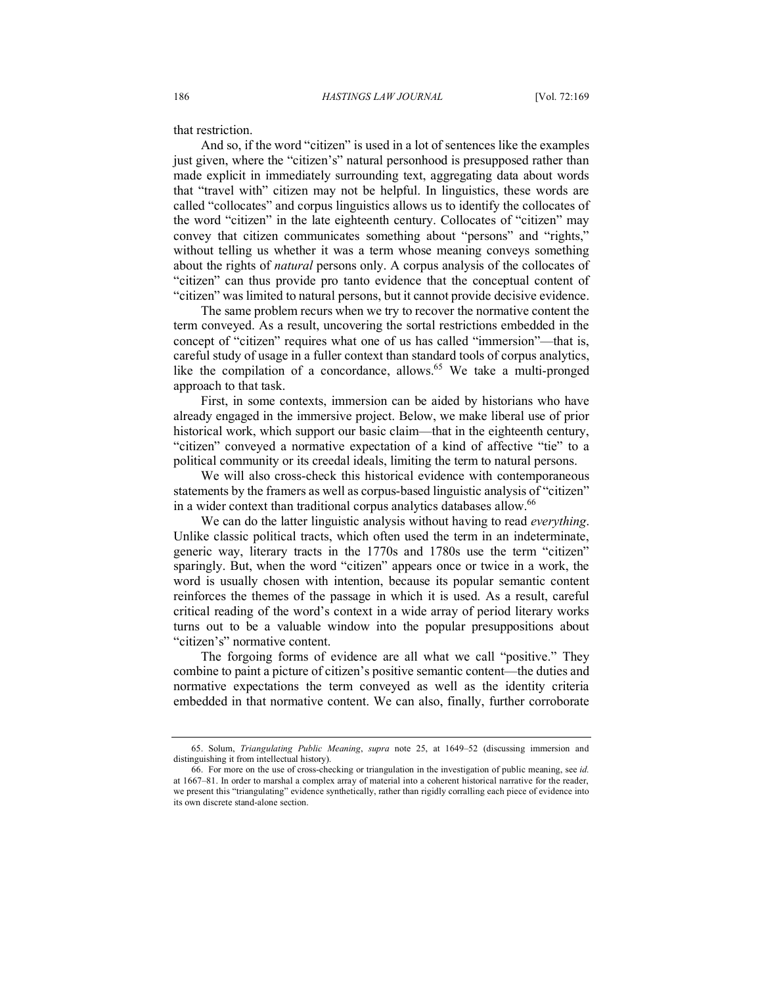that restriction.

And so, if the word "citizen" is used in a lot of sentences like the examples just given, where the "citizen's" natural personhood is presupposed rather than made explicit in immediately surrounding text, aggregating data about words that "travel with" citizen may not be helpful. In linguistics, these words are called "collocates" and corpus linguistics allows us to identify the collocates of the word "citizen" in the late eighteenth century. Collocates of "citizen" may convey that citizen communicates something about "persons" and "rights," without telling us whether it was a term whose meaning conveys something about the rights of *natural* persons only. A corpus analysis of the collocates of "citizen" can thus provide pro tanto evidence that the conceptual content of "citizen" was limited to natural persons, but it cannot provide decisive evidence.

The same problem recurs when we try to recover the normative content the term conveyed. As a result, uncovering the sortal restrictions embedded in the concept of "citizen" requires what one of us has called "immersion"—that is, careful study of usage in a fuller context than standard tools of corpus analytics, like the compilation of a concordance, allows.<sup>65</sup> We take a multi-pronged approach to that task.

First, in some contexts, immersion can be aided by historians who have already engaged in the immersive project. Below, we make liberal use of prior historical work, which support our basic claim—that in the eighteenth century, "citizen" conveyed a normative expectation of a kind of affective "tie" to a political community or its creedal ideals, limiting the term to natural persons.

We will also cross-check this historical evidence with contemporaneous statements by the framers as well as corpus-based linguistic analysis of "citizen" in a wider context than traditional corpus analytics databases allow.<sup>66</sup>

We can do the latter linguistic analysis without having to read *everything*. Unlike classic political tracts, which often used the term in an indeterminate, generic way, literary tracts in the 1770s and 1780s use the term "citizen" sparingly. But, when the word "citizen" appears once or twice in a work, the word is usually chosen with intention, because its popular semantic content reinforces the themes of the passage in which it is used. As a result, careful critical reading of the word's context in a wide array of period literary works turns out to be a valuable window into the popular presuppositions about "citizen's" normative content.

The forgoing forms of evidence are all what we call "positive." They combine to paint a picture of citizen's positive semantic content—the duties and normative expectations the term conveyed as well as the identity criteria embedded in that normative content. We can also, finally, further corroborate

<sup>65.</sup> Solum, *Triangulating Public Meaning*, *supra* note 25, at 1649–52 (discussing immersion and distinguishing it from intellectual history).

<sup>66.</sup> For more on the use of cross-checking or triangulation in the investigation of public meaning, see *id.*  at 1667–81. In order to marshal a complex array of material into a coherent historical narrative for the reader, we present this "triangulating" evidence synthetically, rather than rigidly corralling each piece of evidence into its own discrete stand-alone section.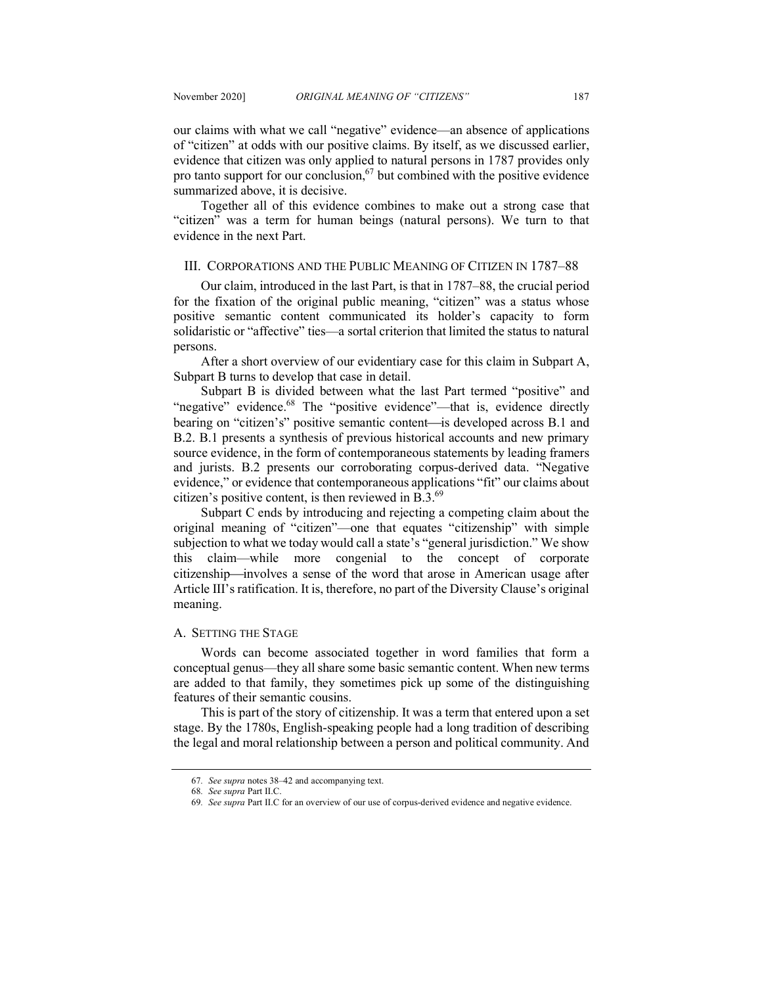our claims with what we call "negative" evidence—an absence of applications of "citizen" at odds with our positive claims. By itself, as we discussed earlier, evidence that citizen was only applied to natural persons in 1787 provides only pro tanto support for our conclusion,  $67$  but combined with the positive evidence summarized above, it is decisive.

Together all of this evidence combines to make out a strong case that "citizen" was a term for human beings (natural persons). We turn to that evidence in the next Part.

#### III. CORPORATIONS AND THE PUBLIC MEANING OF CITIZEN IN 1787–88

Our claim, introduced in the last Part, is that in 1787–88, the crucial period for the fixation of the original public meaning, "citizen" was a status whose positive semantic content communicated its holder's capacity to form solidaristic or "affective" ties—a sortal criterion that limited the status to natural persons.

After a short overview of our evidentiary case for this claim in Subpart A, Subpart B turns to develop that case in detail.

Subpart B is divided between what the last Part termed "positive" and "negative" evidence.<sup>68</sup> The "positive evidence"—that is, evidence directly bearing on "citizen's" positive semantic content—is developed across B.1 and B.2. B.1 presents a synthesis of previous historical accounts and new primary source evidence, in the form of contemporaneous statements by leading framers and jurists. B.2 presents our corroborating corpus-derived data. "Negative evidence," or evidence that contemporaneous applications "fit" our claims about citizen's positive content, is then reviewed in B.3.69

Subpart C ends by introducing and rejecting a competing claim about the original meaning of "citizen"—one that equates "citizenship" with simple subjection to what we today would call a state's "general jurisdiction." We show this claim—while more congenial to the concept of corporate citizenship—involves a sense of the word that arose in American usage after Article III's ratification. It is, therefore, no part of the Diversity Clause's original meaning.

## A. SETTING THE STAGE

Words can become associated together in word families that form a conceptual genus—they all share some basic semantic content. When new terms are added to that family, they sometimes pick up some of the distinguishing features of their semantic cousins.

This is part of the story of citizenship. It was a term that entered upon a set stage. By the 1780s, English-speaking people had a long tradition of describing the legal and moral relationship between a person and political community. And

<sup>67</sup>*. See supra* notes 38–42 and accompanying text.

<sup>68</sup>*. See supra* Part II.C.

<sup>69</sup>*. See supra* Part II.C for an overview of our use of corpus-derived evidence and negative evidence.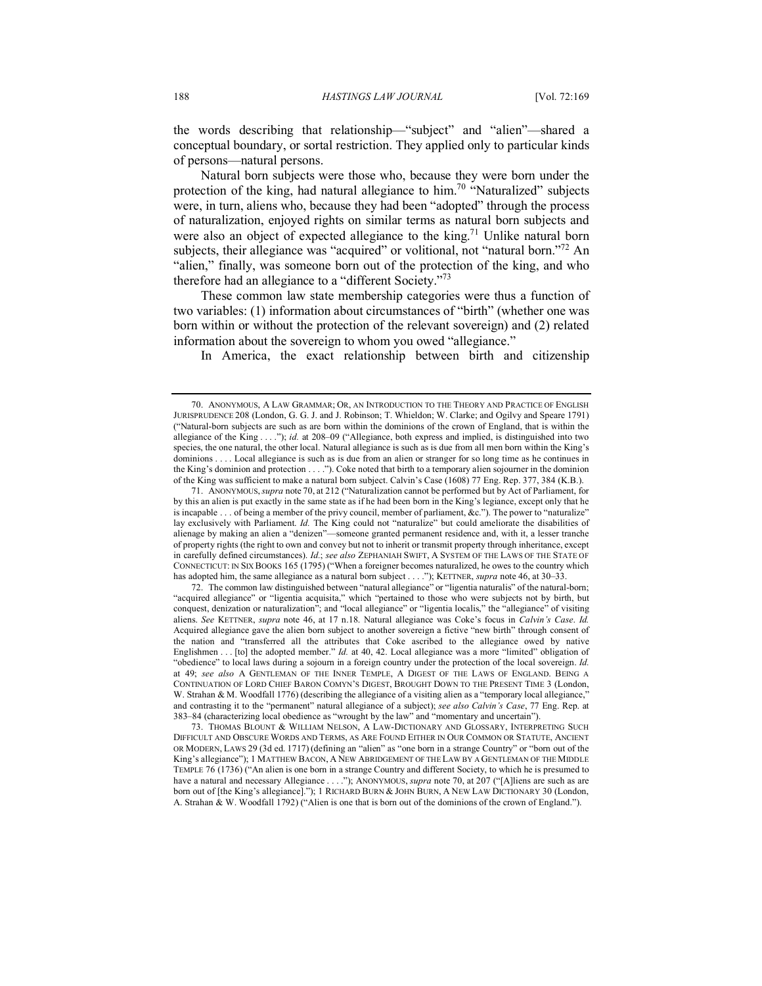the words describing that relationship—"subject" and "alien"—shared a conceptual boundary, or sortal restriction. They applied only to particular kinds of persons—natural persons.

Natural born subjects were those who, because they were born under the protection of the king, had natural allegiance to him.<sup>70</sup> "Naturalized" subjects were, in turn, aliens who, because they had been "adopted" through the process of naturalization, enjoyed rights on similar terms as natural born subjects and were also an object of expected allegiance to the king.<sup>71</sup> Unlike natural born subjects, their allegiance was "acquired" or volitional, not "natural born."<sup>72</sup> An "alien," finally, was someone born out of the protection of the king, and who therefore had an allegiance to a "different Society."73

These common law state membership categories were thus a function of two variables: (1) information about circumstances of "birth" (whether one was born within or without the protection of the relevant sovereign) and (2) related information about the sovereign to whom you owed "allegiance."

In America, the exact relationship between birth and citizenship

71. ANONYMOUS,*supra* note 70, at 212 ("Naturalization cannot be performed but by Act of Parliament, for by this an alien is put exactly in the same state as if he had been born in the King's legiance, except only that he is incapable . . . of being a member of the privy council, member of parliament, &c."). The power to "naturalize" lay exclusively with Parliament. *Id.* The King could not "naturalize" but could ameliorate the disabilities of alienage by making an alien a "denizen"—someone granted permanent residence and, with it, a lesser tranche of property rights (the right to own and convey but not to inherit or transmit property through inheritance, except in carefully defined circumstances). *Id.*; *see also* ZEPHANIAH SWIFT, A SYSTEM OF THE LAWS OF THE STATE OF CONNECTICUT: IN SIX BOOKS 165 (1795) ("When a foreigner becomes naturalized, he owes to the country which has adopted him, the same allegiance as a natural born subject . . . ."); KETTNER, *supra* note 46, at 30–33.

72. The common law distinguished between "natural allegiance" or "ligentia naturalis" of the natural-born; "acquired allegiance" or "ligentia acquisita," which "pertained to those who were subjects not by birth, but conquest, denization or naturalization"; and "local allegiance" or "ligentia localis," the "allegiance" of visiting aliens. *See* KETTNER, *supra* note 46, at 17 n.18. Natural allegiance was Coke's focus in *Calvin's Case*. *Id.* Acquired allegiance gave the alien born subject to another sovereign a fictive "new birth" through consent of the nation and "transferred all the attributes that Coke ascribed to the allegiance owed by native Englishmen . . . [to] the adopted member." *Id.* at 40, 42. Local allegiance was a more "limited" obligation of "obedience" to local laws during a sojourn in a foreign country under the protection of the local sovereign. *Id.* at 49; *see also* A GENTLEMAN OF THE INNER TEMPLE, A DIGEST OF THE LAWS OF ENGLAND. BEING A CONTINUATION OF LORD CHIEF BARON COMYN'S DIGEST, BROUGHT DOWN TO THE PRESENT TIME 3 (London, W. Strahan & M. Woodfall 1776) (describing the allegiance of a visiting alien as a "temporary local allegiance," and contrasting it to the "permanent" natural allegiance of a subject); *see also Calvin's Case*, 77 Eng. Rep. at 383–84 (characterizing local obedience as "wrought by the law" and "momentary and uncertain").

73. THOMAS BLOUNT & WILLIAM NELSON, A LAW-DICTIONARY AND GLOSSARY, INTERPRETING SUCH DIFFICULT AND OBSCURE WORDS AND TERMS, AS ARE FOUND EITHER IN OUR COMMON OR STATUTE, ANCIENT OR MODERN, LAWS 29 (3d ed. 1717) (defining an "alien" as "one born in a strange Country" or "born out of the King's allegiance"); 1 MATTHEW BACON, A NEW ABRIDGEMENT OF THE LAW BY A GENTLEMAN OF THE MIDDLE TEMPLE 76 (1736) ("An alien is one born in a strange Country and different Society, to which he is presumed to have a natural and necessary Allegiance . . . ."); ANONYMOUS, *supra* note 70, at 207 ("[A]liens are such as are born out of [the King's allegiance]."); 1 RICHARD BURN & JOHN BURN, A NEW LAW DICTIONARY 30 (London, A. Strahan & W. Woodfall 1792) ("Alien is one that is born out of the dominions of the crown of England.").

<sup>70.</sup> ANONYMOUS, A LAW GRAMMAR; OR, AN INTRODUCTION TO THE THEORY AND PRACTICE OF ENGLISH JURISPRUDENCE 208 (London, G. G. J. and J. Robinson; T. Whieldon; W. Clarke; and Ogilvy and Speare 1791) ("Natural-born subjects are such as are born within the dominions of the crown of England, that is within the allegiance of the King . . . ."); *id.* at 208–09 ("Allegiance, both express and implied, is distinguished into two species, the one natural, the other local. Natural allegiance is such as is due from all men born within the King's dominions . . . . Local allegiance is such as is due from an alien or stranger for so long time as he continues in the King's dominion and protection . . . ."). Coke noted that birth to a temporary alien sojourner in the dominion of the King was sufficient to make a natural born subject. Calvin's Case (1608) 77 Eng. Rep. 377, 384 (K.B.).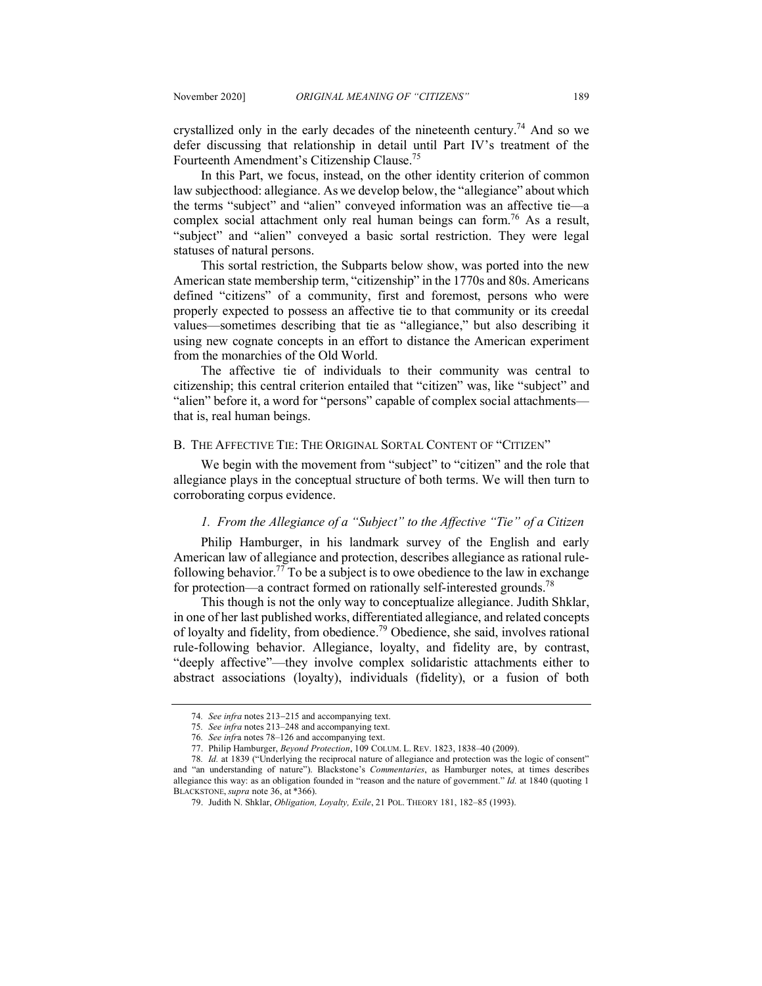crystallized only in the early decades of the nineteenth century.<sup>74</sup> And so we defer discussing that relationship in detail until Part IV's treatment of the Fourteenth Amendment's Citizenship Clause.75

In this Part, we focus, instead, on the other identity criterion of common law subjecthood: allegiance. As we develop below, the "allegiance" about which the terms "subject" and "alien" conveyed information was an affective tie—a complex social attachment only real human beings can form.<sup>76</sup> As a result, "subject" and "alien" conveyed a basic sortal restriction. They were legal statuses of natural persons.

This sortal restriction, the Subparts below show, was ported into the new American state membership term, "citizenship" in the 1770s and 80s. Americans defined "citizens" of a community, first and foremost, persons who were properly expected to possess an affective tie to that community or its creedal values—sometimes describing that tie as "allegiance," but also describing it using new cognate concepts in an effort to distance the American experiment from the monarchies of the Old World.

The affective tie of individuals to their community was central to citizenship; this central criterion entailed that "citizen" was, like "subject" and "alien" before it, a word for "persons" capable of complex social attachments that is, real human beings.

# B. THE AFFECTIVE TIE: THE ORIGINAL SORTAL CONTENT OF "CITIZEN"

We begin with the movement from "subject" to "citizen" and the role that allegiance plays in the conceptual structure of both terms. We will then turn to corroborating corpus evidence.

## *1. From the Allegiance of a "Subject" to the Affective "Tie" of a Citizen*

Philip Hamburger, in his landmark survey of the English and early American law of allegiance and protection, describes allegiance as rational rulefollowing behavior.<sup>77</sup> To be a subject is to owe obedience to the law in exchange for protection—a contract formed on rationally self-interested grounds.<sup>78</sup>

This though is not the only way to conceptualize allegiance. Judith Shklar, in one of her last published works, differentiated allegiance, and related concepts of loyalty and fidelity, from obedience.79 Obedience, she said, involves rational rule-following behavior. Allegiance, loyalty, and fidelity are, by contrast, "deeply affective"—they involve complex solidaristic attachments either to abstract associations (loyalty), individuals (fidelity), or a fusion of both

<sup>74</sup>*. See infra* notes 213-215 and accompanying text.

<sup>75</sup>*. See infra* notes 213–248 and accompanying text.

<sup>76</sup>*. See infr*a notes 78–126 and accompanying text.

<sup>77.</sup> Philip Hamburger, *Beyond Protection*, 109 COLUM. L. REV. 1823, 1838–40 (2009).

<sup>78</sup>*. Id.* at 1839 ("Underlying the reciprocal nature of allegiance and protection was the logic of consent" and "an understanding of nature"). Blackstone's *Commentaries*, as Hamburger notes, at times describes allegiance this way: as an obligation founded in "reason and the nature of government." *Id.* at 1840 (quoting 1 BLACKSTONE, *supra* note 36, at \*366).

<sup>79.</sup> Judith N. Shklar, *Obligation, Loyalty, Exile*, 21 POL. THEORY 181, 182–85 (1993).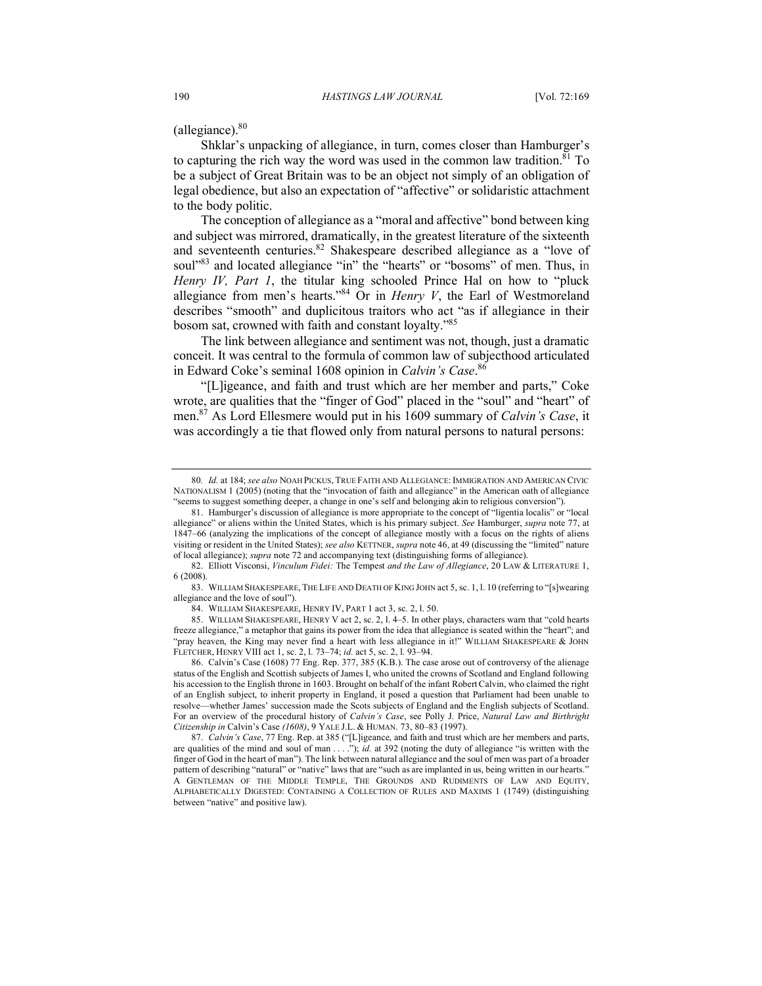$($ allegiance $).$ <sup>80</sup>

Shklar's unpacking of allegiance, in turn, comes closer than Hamburger's to capturing the rich way the word was used in the common law tradition.<sup>81</sup> To be a subject of Great Britain was to be an object not simply of an obligation of legal obedience, but also an expectation of "affective" or solidaristic attachment to the body politic.

The conception of allegiance as a "moral and affective" bond between king and subject was mirrored, dramatically, in the greatest literature of the sixteenth and seventeenth centuries.<sup>82</sup> Shakespeare described allegiance as a "love of soul"<sup>83</sup> and located allegiance "in" the "hearts" or "bosoms" of men. Thus, in *Henry IV, Part 1*, the titular king schooled Prince Hal on how to "pluck allegiance from men's hearts."84 Or in *Henry V*, the Earl of Westmoreland describes "smooth" and duplicitous traitors who act "as if allegiance in their bosom sat, crowned with faith and constant loyalty."85

The link between allegiance and sentiment was not, though, just a dramatic conceit. It was central to the formula of common law of subjecthood articulated in Edward Coke's seminal 1608 opinion in *Calvin's Case*. 86

"[L]igeance, and faith and trust which are her member and parts," Coke wrote, are qualities that the "finger of God" placed in the "soul" and "heart" of men.87 As Lord Ellesmere would put in his 1609 summary of *Calvin's Case*, it was accordingly a tie that flowed only from natural persons to natural persons:

82. Elliott Visconsi, *Vinculum Fidei:* The Tempest *and the Law of Allegiance*, 20 LAW & LITERATURE 1, 6 (2008).

85. WILLIAM SHAKESPEARE, HENRY V act 2, sc. 2, l. 4–5. In other plays, characters warn that "cold hearts freeze allegiance," a metaphor that gains its power from the idea that allegiance is seated within the "heart"; and "pray heaven, the King may never find a heart with less allegiance in it!" WILLIAM SHAKESPEARE & JOHN FLETCHER, HENRY VIII act 1, sc. 2, l. 73–74; *id.* act 5, sc. 2, l. 93–94.

<sup>80</sup>*. Id.* at 184; *see also* NOAH PICKUS, TRUE FAITH AND ALLEGIANCE: IMMIGRATION AND AMERICAN CIVIC NATIONALISM 1 (2005) (noting that the "invocation of faith and allegiance" in the American oath of allegiance "seems to suggest something deeper, a change in one's self and belonging akin to religious conversion").

<sup>81.</sup> Hamburger's discussion of allegiance is more appropriate to the concept of "ligentia localis" or "local allegiance" or aliens within the United States, which is his primary subject. *See* Hamburger, *supra* note 77, at 1847–66 (analyzing the implications of the concept of allegiance mostly with a focus on the rights of aliens visiting or resident in the United States); *see also* KETTNER, *supra* note 46, at 49 (discussing the "limited" nature of local allegiance); *supra* note 72 and accompanying text (distinguishing forms of allegiance).

<sup>83.</sup> WILLIAM SHAKESPEARE, THE LIFE AND DEATH OF KING JOHN act 5, sc. 1, l. 10 (referring to "[s]wearing allegiance and the love of soul").

<sup>84.</sup> WILLIAM SHAKESPEARE, HENRY IV, PART 1 act 3, sc. 2, l. 50.

<sup>86.</sup> Calvin's Case (1608) 77 Eng. Rep. 377, 385 (K.B.). The case arose out of controversy of the alienage status of the English and Scottish subjects of James I, who united the crowns of Scotland and England following his accession to the English throne in 1603. Brought on behalf of the infant Robert Calvin, who claimed the right of an English subject, to inherit property in England, it posed a question that Parliament had been unable to resolve—whether James' succession made the Scots subjects of England and the English subjects of Scotland. For an overview of the procedural history of *Calvin's Case*, see Polly J. Price, *Natural Law and Birthright Citizenship in* Calvin's Case *(1608)*, 9 YALE J.L. & HUMAN. 73, 80–83 (1997).

<sup>87.</sup> *Calvin's Case*, 77 Eng. Rep. at 385 ("[L]igeance, and faith and trust which are her members and parts, are qualities of the mind and soul of man . . . ."); *id.* at 392 (noting the duty of allegiance "is written with the finger of God in the heart of man"). The link between natural allegiance and the soul of men was part of a broader pattern of describing "natural" or "native" laws that are "such as are implanted in us, being written in our hearts." A GENTLEMAN OF THE MIDDLE TEMPLE, THE GROUNDS AND RUDIMENTS OF LAW AND EQUITY, ALPHABETICALLY DIGESTED: CONTAINING A COLLECTION OF RULES AND MAXIMS 1 (1749) (distinguishing between "native" and positive law).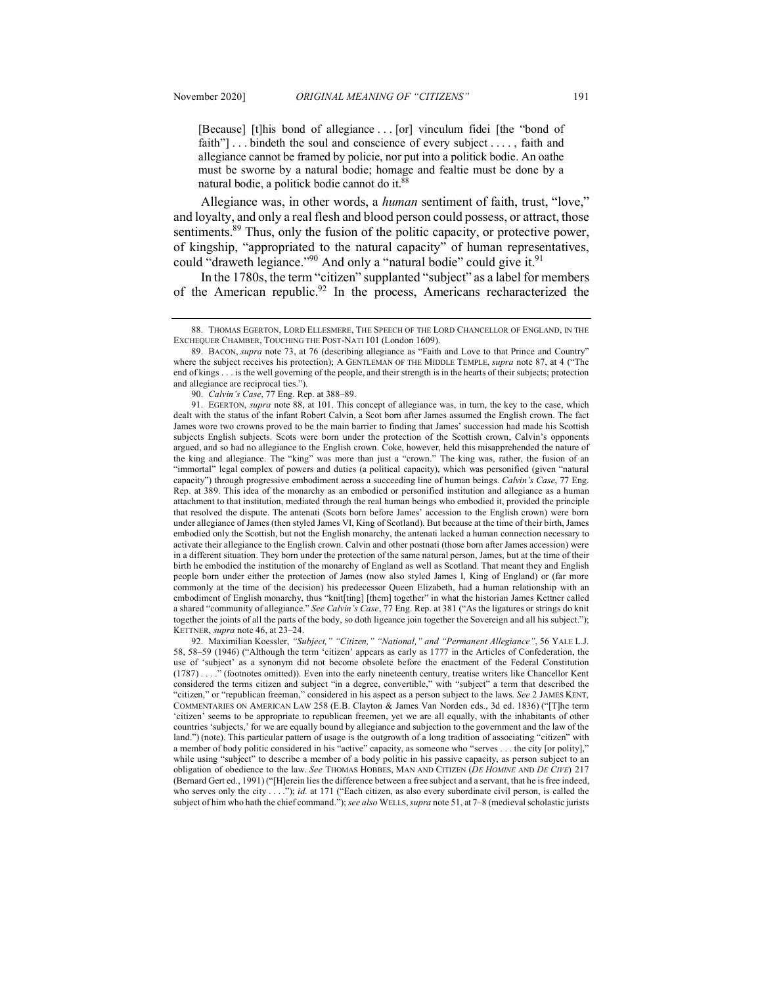[Because] [t]his bond of allegiance . . . [or] vinculum fidei [the "bond of faith"] . . . bindeth the soul and conscience of every subject . . . . , faith and allegiance cannot be framed by policie, nor put into a politick bodie. An oathe must be sworne by a natural bodie; homage and fealtie must be done by a natural bodie, a politick bodie cannot do it.<sup>88</sup>

Allegiance was, in other words, a *human* sentiment of faith, trust, "love," and loyalty, and only a real flesh and blood person could possess, or attract, those sentiments.<sup>89</sup> Thus, only the fusion of the politic capacity, or protective power, of kingship, "appropriated to the natural capacity" of human representatives, could "draweth legiance."<sup>90</sup> And only a "natural bodie" could give it.<sup>91</sup>

In the 1780s, the term "citizen" supplanted "subject" as a label for members of the American republic.<sup>92</sup> In the process, Americans recharacterized the

92. Maximilian Koessler, *"Subject," "Citizen," "National," and "Permanent Allegiance"*, 56 YALE L.J. 58, 58–59 (1946) ("Although the term 'citizen' appears as early as 1777 in the Articles of Confederation, the use of 'subject' as a synonym did not become obsolete before the enactment of the Federal Constitution (1787) . . . ." (footnotes omitted)). Even into the early nineteenth century, treatise writers like Chancellor Kent considered the terms citizen and subject "in a degree, convertible," with "subject" a term that described the "citizen," or "republican freeman," considered in his aspect as a person subject to the laws. *See* 2 JAMES KENT, COMMENTARIES ON AMERICAN LAW 258 (E.B. Clayton & James Van Norden eds., 3d ed. 1836) ("[T]he term 'citizen' seems to be appropriate to republican freemen, yet we are all equally, with the inhabitants of other countries 'subjects,' for we are equally bound by allegiance and subjection to the government and the law of the land.") (note). This particular pattern of usage is the outgrowth of a long tradition of associating "citizen" with a member of body politic considered in his "active" capacity, as someone who "serves . . . the city [or polity]," while using "subject" to describe a member of a body politic in his passive capacity, as person subject to an obligation of obedience to the law. *See* THOMAS HOBBES, MAN AND CITIZEN (*DE HOMINE* AND *DE CIVE*) 217 (Bernard Gert ed., 1991) ("[H]erein lies the difference between a free subject and a servant, that he is free indeed, who serves only the city . . . ."); *id.* at 171 ("Each citizen, as also every subordinate civil person, is called the subject of him who hath the chief command."); *see also* WELLS,*supra* note 51, at 7–8 (medieval scholastic jurists

<sup>88.</sup> THOMAS EGERTON, LORD ELLESMERE, THE SPEECH OF THE LORD CHANCELLOR OF ENGLAND, IN THE EXCHEQUER CHAMBER, TOUCHING THE POST-NATI 101 (London 1609).

<sup>89.</sup> BACON, *supra* note 73, at 76 (describing allegiance as "Faith and Love to that Prince and Country" where the subject receives his protection); A GENTLEMAN OF THE MIDDLE TEMPLE, *supra* note 87, at 4 ("The end of kings . . . is the well governing of the people, and their strength is in the hearts of their subjects; protection and allegiance are reciprocal ties.").

<sup>90.</sup> *Calvin's Case*, 77 Eng. Rep. at 388–89.

<sup>91.</sup> EGERTON, *supra* note 88, at 101. This concept of allegiance was, in turn, the key to the case, which dealt with the status of the infant Robert Calvin, a Scot born after James assumed the English crown. The fact James wore two crowns proved to be the main barrier to finding that James' succession had made his Scottish subjects English subjects. Scots were born under the protection of the Scottish crown, Calvin's opponents argued, and so had no allegiance to the English crown. Coke, however, held this misapprehended the nature of the king and allegiance. The "king" was more than just a "crown." The king was, rather, the fusion of an "immortal" legal complex of powers and duties (a political capacity), which was personified (given "natural capacity") through progressive embodiment across a succeeding line of human beings. *Calvin's Case*, 77 Eng. Rep. at 389. This idea of the monarchy as an embodied or personified institution and allegiance as a human attachment to that institution, mediated through the real human beings who embodied it, provided the principle that resolved the dispute. The antenati (Scots born before James' accession to the English crown) were born under allegiance of James (then styled James VI, King of Scotland). But because at the time of their birth, James embodied only the Scottish, but not the English monarchy, the antenati lacked a human connection necessary to activate their allegiance to the English crown. Calvin and other postnati (those born after James accession) were in a different situation. They born under the protection of the same natural person, James, but at the time of their birth he embodied the institution of the monarchy of England as well as Scotland. That meant they and English people born under either the protection of James (now also styled James I, King of England) or (far more commonly at the time of the decision) his predecessor Queen Elizabeth, had a human relationship with an embodiment of English monarchy, thus "knit[ting] [them] together" in what the historian James Kettner called a shared "community of allegiance." *See Calvin's Case*, 77 Eng. Rep. at 381 ("As the ligatures or strings do knit together the joints of all the parts of the body, so doth ligeance join together the Sovereign and all his subject."); KETTNER, *supra* note 46, at 23–24.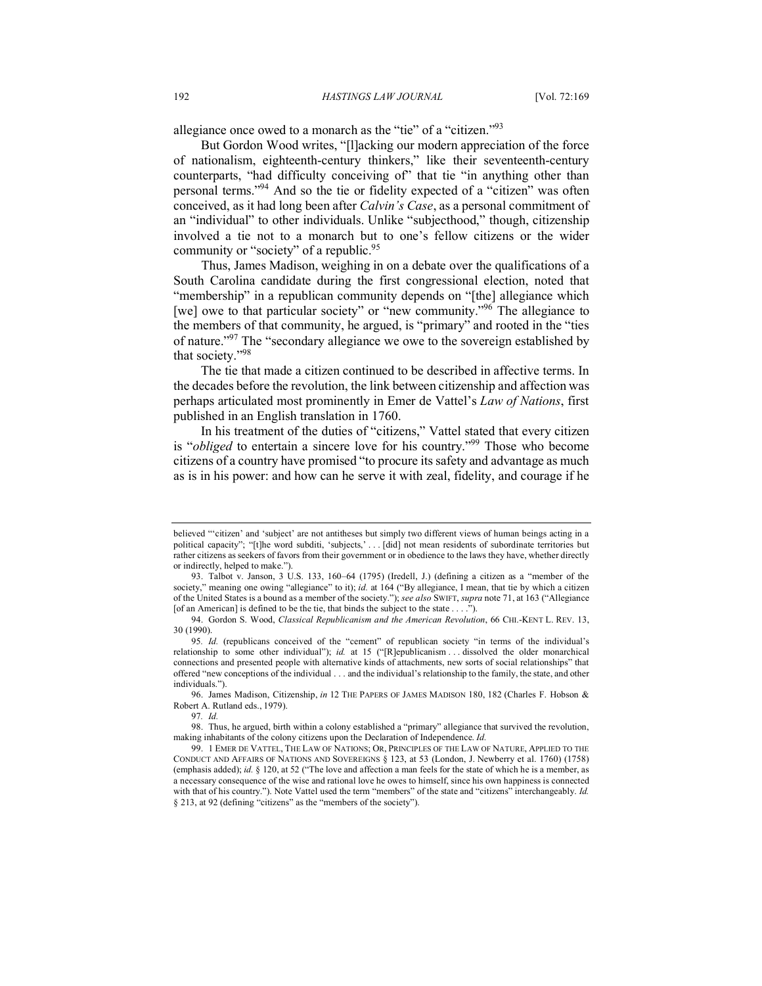allegiance once owed to a monarch as the "tie" of a "citizen."93

But Gordon Wood writes, "[l]acking our modern appreciation of the force of nationalism, eighteenth-century thinkers," like their seventeenth-century counterparts, "had difficulty conceiving of" that tie "in anything other than personal terms."94 And so the tie or fidelity expected of a "citizen" was often conceived, as it had long been after *Calvin's Case*, as a personal commitment of an "individual" to other individuals. Unlike "subjecthood," though, citizenship involved a tie not to a monarch but to one's fellow citizens or the wider community or "society" of a republic.<sup>95</sup>

Thus, James Madison, weighing in on a debate over the qualifications of a South Carolina candidate during the first congressional election, noted that "membership" in a republican community depends on "[the] allegiance which [we] owe to that particular society" or "new community."<sup>96</sup> The allegiance to the members of that community, he argued, is "primary" and rooted in the "ties of nature."97 The "secondary allegiance we owe to the sovereign established by that society."98

The tie that made a citizen continued to be described in affective terms. In the decades before the revolution, the link between citizenship and affection was perhaps articulated most prominently in Emer de Vattel's *Law of Nations*, first published in an English translation in 1760.

In his treatment of the duties of "citizens," Vattel stated that every citizen is "*obliged* to entertain a sincere love for his country."99 Those who become citizens of a country have promised "to procure its safety and advantage as much as is in his power: and how can he serve it with zeal, fidelity, and courage if he

96. James Madison, Citizenship, *in* 12 THE PAPERS OF JAMES MADISON 180, 182 (Charles F. Hobson & Robert A. Rutland eds., 1979).

97*. Id.*

98. Thus, he argued, birth within a colony established a "primary" allegiance that survived the revolution, making inhabitants of the colony citizens upon the Declaration of Independence. *Id.*

believed "'citizen' and 'subject' are not antitheses but simply two different views of human beings acting in a political capacity"; "[t]he word subditi, 'subjects,' . . . [did] not mean residents of subordinate territories but rather citizens as seekers of favors from their government or in obedience to the laws they have, whether directly or indirectly, helped to make.").

<sup>93.</sup> Talbot v. Janson, 3 U.S. 133, 160–64 (1795) (Iredell, J.) (defining a citizen as a "member of the society," meaning one owing "allegiance" to it); *id.* at 164 ("By allegiance, I mean, that tie by which a citizen of the United States is a bound as a member of the society."); *see also* SWIFT, *supra* note 71, at 163 ("Allegiance [of an American] is defined to be the tie, that binds the subject to the state . . . .").

<sup>94.</sup> Gordon S. Wood, *Classical Republicanism and the American Revolution*, 66 CHI.-KENT L. REV. 13, 30 (1990).

<sup>95</sup>*. Id.* (republicans conceived of the "cement" of republican society "in terms of the individual's relationship to some other individual"); *id.* at 15 ("[R]epublicanism . . . dissolved the older monarchical connections and presented people with alternative kinds of attachments, new sorts of social relationships" that offered "new conceptions of the individual . . . and the individual's relationship to the family, the state, and other individuals.").

<sup>99.</sup> 1 EMER DE VATTEL, THE LAW OF NATIONS; OR, PRINCIPLES OF THE LAW OF NATURE, APPLIED TO THE CONDUCT AND AFFAIRS OF NATIONS AND SOVEREIGNS § 123, at 53 (London, J. Newberry et al. 1760) (1758) (emphasis added); *id.* § 120, at 52 ("The love and affection a man feels for the state of which he is a member, as a necessary consequence of the wise and rational love he owes to himself, since his own happiness is connected with that of his country."). Note Vattel used the term "members" of the state and "citizens" interchangeably. *Id.* § 213, at 92 (defining "citizens" as the "members of the society").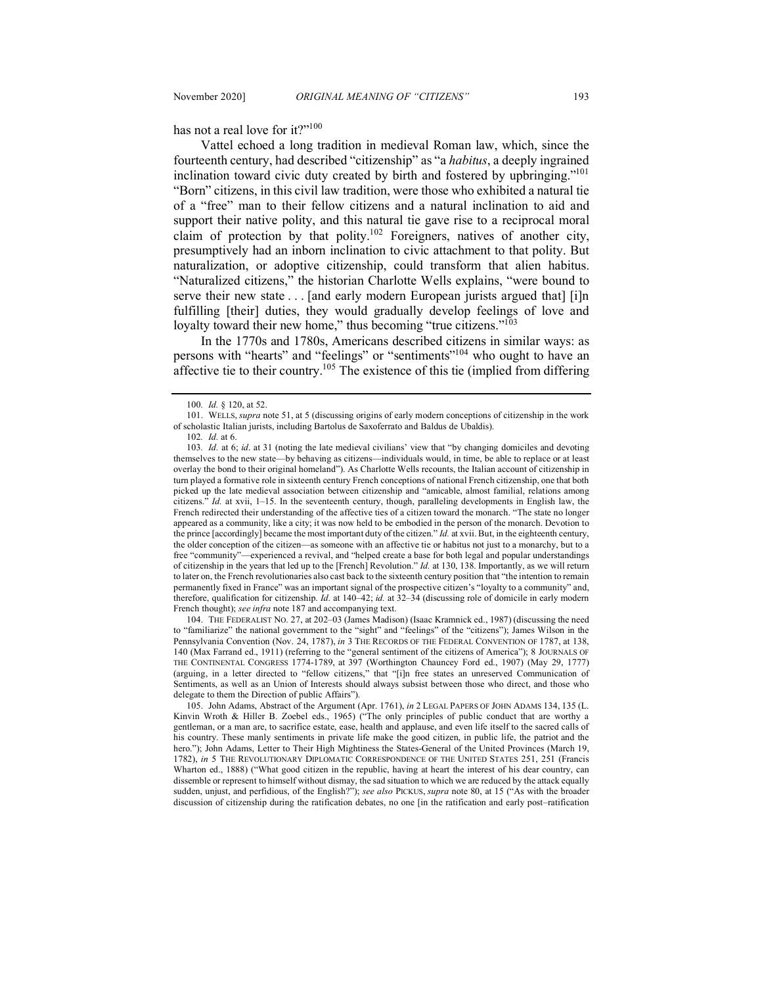has not a real love for it?"<sup>100</sup>

Vattel echoed a long tradition in medieval Roman law, which, since the fourteenth century, had described "citizenship" as "a *habitus*, a deeply ingrained inclination toward civic duty created by birth and fostered by upbringing."<sup>101</sup> "Born" citizens, in this civil law tradition, were those who exhibited a natural tie of a "free" man to their fellow citizens and a natural inclination to aid and support their native polity, and this natural tie gave rise to a reciprocal moral claim of protection by that polity.<sup>102</sup> Foreigners, natives of another city, presumptively had an inborn inclination to civic attachment to that polity. But naturalization, or adoptive citizenship, could transform that alien habitus. "Naturalized citizens," the historian Charlotte Wells explains, "were bound to serve their new state . . . [and early modern European jurists argued that] [i]n fulfilling [their] duties, they would gradually develop feelings of love and loyalty toward their new home," thus becoming "true citizens."<sup>103</sup>

In the 1770s and 1780s, Americans described citizens in similar ways: as persons with "hearts" and "feelings" or "sentiments"104 who ought to have an affective tie to their country.105 The existence of this tie (implied from differing

104. THE FEDERALIST NO. 27, at 202–03 (James Madison) (Isaac Kramnick ed., 1987) (discussing the need to "familiarize" the national government to the "sight" and "feelings" of the "citizens"); James Wilson in the Pennsylvania Convention (Nov. 24, 1787), *in* 3 THE RECORDS OF THE FEDERAL CONVENTION OF 1787, at 138, 140 (Max Farrand ed., 1911) (referring to the "general sentiment of the citizens of America"); 8 JOURNALS OF THE CONTINENTAL CONGRESS 1774-1789, at 397 (Worthington Chauncey Ford ed., 1907) (May 29, 1777) (arguing, in a letter directed to "fellow citizens," that "[i]n free states an unreserved Communication of Sentiments, as well as an Union of Interests should always subsist between those who direct, and those who delegate to them the Direction of public Affairs").

105. John Adams, Abstract of the Argument (Apr. 1761), *in* 2 LEGAL PAPERS OF JOHN ADAMS 134, 135 (L. Kinvin Wroth & Hiller B. Zoebel eds., 1965) ("The only principles of public conduct that are worthy a gentleman, or a man are, to sacrifice estate, ease, health and applause, and even life itself to the sacred calls of his country. These manly sentiments in private life make the good citizen, in public life, the patriot and the hero."); John Adams, Letter to Their High Mightiness the States-General of the United Provinces (March 19, 1782), *in* 5 THE REVOLUTIONARY DIPLOMATIC CORRESPONDENCE OF THE UNITED STATES 251, 251 (Francis Wharton ed., 1888) ("What good citizen in the republic, having at heart the interest of his dear country, can dissemble or represent to himself without dismay, the sad situation to which we are reduced by the attack equally sudden, unjust, and perfidious, of the English?"); *see also* PICKUS, *supra* note 80, at 15 ("As with the broader discussion of citizenship during the ratification debates, no one [in the ratification and early post–ratification

<sup>100</sup>*. Id.* § 120, at 52.

<sup>101.</sup> WELLS, *supra* note 51, at 5 (discussing origins of early modern conceptions of citizenship in the work of scholastic Italian jurists, including Bartolus de Saxoferrato and Baldus de Ubaldis).

<sup>102</sup>*. Id.* at 6.

<sup>103</sup>*. Id.* at 6; *id*. at 31 (noting the late medieval civilians' view that "by changing domiciles and devoting themselves to the new state—by behaving as citizens—individuals would, in time, be able to replace or at least overlay the bond to their original homeland"). As Charlotte Wells recounts, the Italian account of citizenship in turn played a formative role in sixteenth century French conceptions of national French citizenship, one that both picked up the late medieval association between citizenship and "amicable, almost familial, relations among citizens." *Id.* at xvii, 1–15. In the seventeenth century, though, paralleling developments in English law, the French redirected their understanding of the affective ties of a citizen toward the monarch. "The state no longer appeared as a community, like a city; it was now held to be embodied in the person of the monarch. Devotion to the prince [accordingly] became the most important duty of the citizen." *Id.* at xvii. But, in the eighteenth century, the older conception of the citizen—as someone with an affective tie or habitus not just to a monarchy, but to a free "community"—experienced a revival, and "helped create a base for both legal and popular understandings of citizenship in the years that led up to the [French] Revolution." *Id.* at 130, 138. Importantly, as we will return to later on, the French revolutionaries also cast back to the sixteenth century position that "the intention to remain permanently fixed in France" was an important signal of the prospective citizen's "loyalty to a community" and, therefore, qualification for citizenship. *Id.* at 140–42; *id.* at 32–34 (discussing role of domicile in early modern French thought); *see infra* note 187 and accompanying text.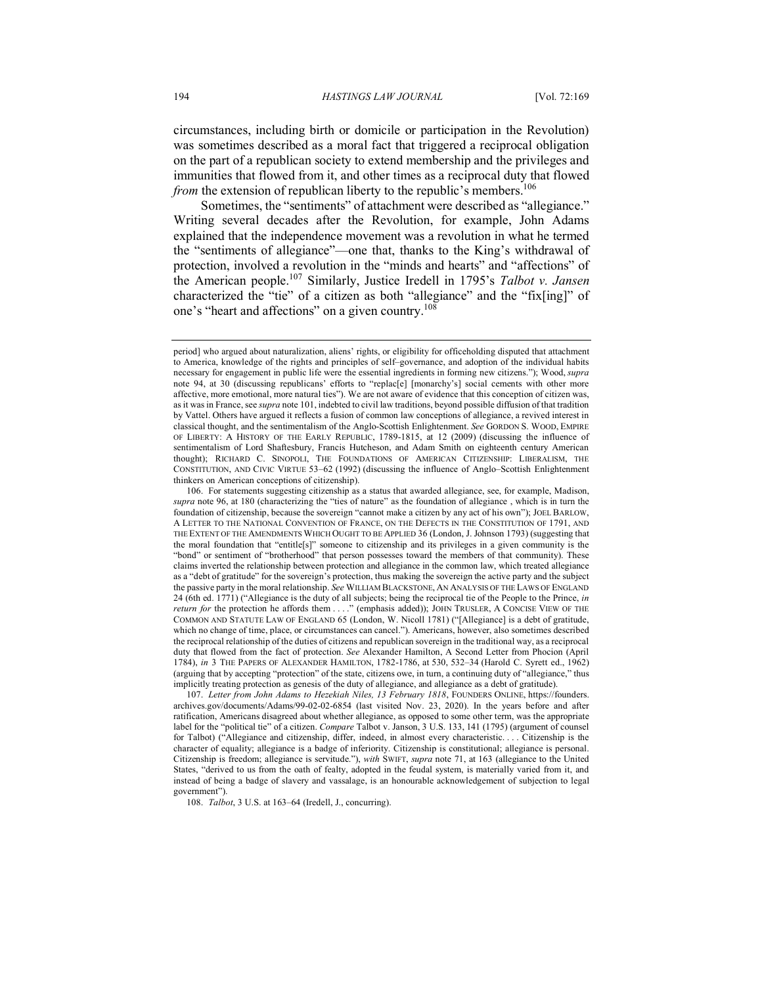circumstances, including birth or domicile or participation in the Revolution) was sometimes described as a moral fact that triggered a reciprocal obligation on the part of a republican society to extend membership and the privileges and immunities that flowed from it, and other times as a reciprocal duty that flowed *from* the extension of republican liberty to the republic's members.<sup>106</sup>

Sometimes, the "sentiments" of attachment were described as "allegiance." Writing several decades after the Revolution, for example, John Adams explained that the independence movement was a revolution in what he termed the "sentiments of allegiance"—one that, thanks to the King's withdrawal of protection, involved a revolution in the "minds and hearts" and "affections" of the American people.107 Similarly, Justice Iredell in 1795's *Talbot v. Jansen* characterized the "tie" of a citizen as both "allegiance" and the "fix[ing]" of one's "heart and affections" on a given country.<sup>108</sup>

108. *Talbot*, 3 U.S. at 163–64 (Iredell, J., concurring).

period] who argued about naturalization, aliens' rights, or eligibility for officeholding disputed that attachment to America, knowledge of the rights and principles of self–governance, and adoption of the individual habits necessary for engagement in public life were the essential ingredients in forming new citizens."); Wood, *supra*  note 94, at 30 (discussing republicans' efforts to "replac[e] [monarchy's] social cements with other more affective, more emotional, more natural ties"). We are not aware of evidence that this conception of citizen was, as it was in France, see *supra* note 101, indebted to civil law traditions, beyond possible diffusion of that tradition by Vattel. Others have argued it reflects a fusion of common law conceptions of allegiance, a revived interest in classical thought, and the sentimentalism of the Anglo-Scottish Enlightenment. *See* GORDON S. WOOD, EMPIRE OF LIBERTY: A HISTORY OF THE EARLY REPUBLIC, 1789-1815, at 12 (2009) (discussing the influence of sentimentalism of Lord Shaftesbury, Francis Hutcheson, and Adam Smith on eighteenth century American thought); RICHARD C. SINOPOLI, THE FOUNDATIONS OF AMERICAN CITIZENSHIP: LIBERALISM, THE CONSTITUTION, AND CIVIC VIRTUE 53–62 (1992) (discussing the influence of Anglo–Scottish Enlightenment thinkers on American conceptions of citizenship).

<sup>106.</sup> For statements suggesting citizenship as a status that awarded allegiance, see, for example, Madison, *supra* note 96, at 180 (characterizing the "ties of nature" as the foundation of allegiance , which is in turn the foundation of citizenship, because the sovereign "cannot make a citizen by any act of his own"); JOEL BARLOW, A LETTER TO THE NATIONAL CONVENTION OF FRANCE, ON THE DEFECTS IN THE CONSTITUTION OF 1791, AND THE EXTENT OF THE AMENDMENTS WHICH OUGHT TO BE APPLIED 36 (London, J. Johnson 1793) (suggesting that the moral foundation that "entitle[s]" someone to citizenship and its privileges in a given community is the "bond" or sentiment of "brotherhood" that person possesses toward the members of that community). These claims inverted the relationship between protection and allegiance in the common law, which treated allegiance as a "debt of gratitude" for the sovereign's protection, thus making the sovereign the active party and the subject the passive party in the moral relationship. *See* WILLIAM BLACKSTONE, AN ANALYSIS OF THE LAWS OF ENGLAND 24 (6th ed. 1771) ("Allegiance is the duty of all subjects; being the reciprocal tie of the People to the Prince, *in return for* the protection he affords them . . . . " (emphasis added)); JOHN TRUSLER, A CONCISE VIEW OF THE COMMON AND STATUTE LAW OF ENGLAND 65 (London, W. Nicoll 1781) ("[Allegiance] is a debt of gratitude, which no change of time, place, or circumstances can cancel."). Americans, however, also sometimes described the reciprocal relationship of the duties of citizens and republican sovereign in the traditional way, as a reciprocal duty that flowed from the fact of protection. *See* Alexander Hamilton, A Second Letter from Phocion (April 1784), *in* 3 THE PAPERS OF ALEXANDER HAMILTON, 1782-1786, at 530, 532–34 (Harold C. Syrett ed., 1962) (arguing that by accepting "protection" of the state, citizens owe, in turn, a continuing duty of "allegiance," thus implicitly treating protection as genesis of the duty of allegiance, and allegiance as a debt of gratitude).

<sup>107.</sup> *Letter from John Adams to Hezekiah Niles, 13 February 1818*, FOUNDERS ONLINE, https://founders. archives.gov/documents/Adams/99-02-02-6854 (last visited Nov. 23, 2020). In the years before and after ratification, Americans disagreed about whether allegiance, as opposed to some other term, was the appropriate label for the "political tie" of a citizen. *Compare* Talbot v. Janson, 3 U.S. 133, 141 (1795) (argument of counsel for Talbot) ("Allegiance and citizenship, differ, indeed, in almost every characteristic. . . . Citizenship is the character of equality; allegiance is a badge of inferiority. Citizenship is constitutional; allegiance is personal. Citizenship is freedom; allegiance is servitude."), *with* SWIFT, *supra* note 71, at 163 (allegiance to the United States, "derived to us from the oath of fealty, adopted in the feudal system, is materially varied from it, and instead of being a badge of slavery and vassalage, is an honourable acknowledgement of subjection to legal government").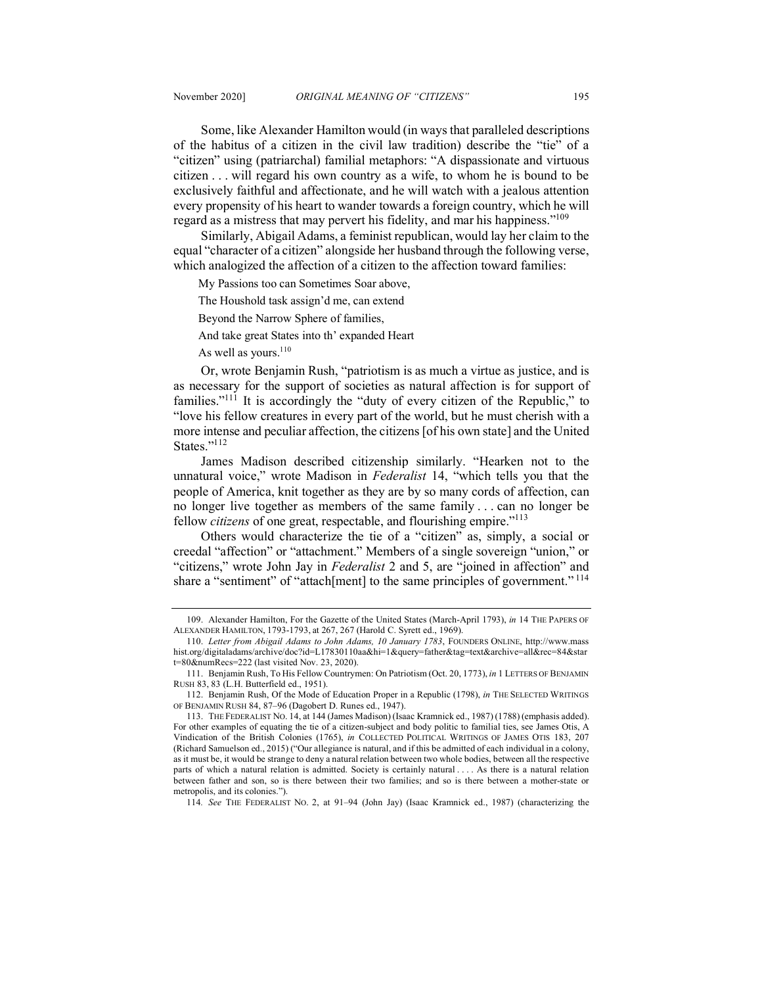Some, like Alexander Hamilton would (in ways that paralleled descriptions of the habitus of a citizen in the civil law tradition) describe the "tie" of a "citizen" using (patriarchal) familial metaphors: "A dispassionate and virtuous citizen . . . will regard his own country as a wife, to whom he is bound to be exclusively faithful and affectionate, and he will watch with a jealous attention every propensity of his heart to wander towards a foreign country, which he will regard as a mistress that may pervert his fidelity, and mar his happiness."<sup>109</sup>

Similarly, Abigail Adams, a feminist republican, would lay her claim to the equal "character of a citizen" alongside her husband through the following verse, which analogized the affection of a citizen to the affection toward families:

My Passions too can Sometimes Soar above,

The Houshold task assign'd me, can extend

Beyond the Narrow Sphere of families,

And take great States into th' expanded Heart

As well as yours.<sup>110</sup>

Or, wrote Benjamin Rush, "patriotism is as much a virtue as justice, and is as necessary for the support of societies as natural affection is for support of families."<sup>111</sup> It is accordingly the "duty of every citizen of the Republic," to "love his fellow creatures in every part of the world, but he must cherish with a more intense and peculiar affection, the citizens [of his own state] and the United States."<sup>112</sup>

James Madison described citizenship similarly. "Hearken not to the unnatural voice," wrote Madison in *Federalist* 14, "which tells you that the people of America, knit together as they are by so many cords of affection, can no longer live together as members of the same family . . . can no longer be fellow *citizens* of one great, respectable, and flourishing empire."113

Others would characterize the tie of a "citizen" as, simply, a social or creedal "affection" or "attachment." Members of a single sovereign "union," or "citizens," wrote John Jay in *Federalist* 2 and 5, are "joined in affection" and share a "sentiment" of "attach[ment] to the same principles of government."<sup>114</sup>

114*. See* THE FEDERALIST NO. 2, at 91–94 (John Jay) (Isaac Kramnick ed., 1987) (characterizing the

<sup>109.</sup> Alexander Hamilton, For the Gazette of the United States (March-April 1793), *in* 14 THE PAPERS OF ALEXANDER HAMILTON, 1793-1793, at 267, 267 (Harold C. Syrett ed., 1969).

<sup>110.</sup> *Letter from Abigail Adams to John Adams, 10 January 1783*, FOUNDERS ONLINE, http://www.mass hist.org/digitaladams/archive/doc?id=L17830110aa&hi=1&query=father&tag=text&archive=all&rec=84&star t=80&numRecs=222 (last visited Nov. 23, 2020).

<sup>111.</sup> Benjamin Rush, To His Fellow Countrymen: On Patriotism (Oct. 20, 1773), *in* 1 LETTERS OF BENJAMIN RUSH 83, 83 (L.H. Butterfield ed., 1951).

<sup>112.</sup> Benjamin Rush, Of the Mode of Education Proper in a Republic (1798), *in* THE SELECTED WRITINGS OF BENJAMIN RUSH 84, 87–96 (Dagobert D. Runes ed., 1947).

<sup>113.</sup> THE FEDERALIST NO. 14, at 144 (James Madison) (Isaac Kramnick ed., 1987) (1788) (emphasis added). For other examples of equating the tie of a citizen-subject and body politic to familial ties, see James Otis, A Vindication of the British Colonies (1765), *in* COLLECTED POLITICAL WRITINGS OF JAMES OTIS 183, 207 (Richard Samuelson ed., 2015) ("Our allegiance is natural, and if this be admitted of each individual in a colony, as it must be, it would be strange to deny a natural relation between two whole bodies, between all the respective parts of which a natural relation is admitted. Society is certainly natural . . . . As there is a natural relation between father and son, so is there between their two families; and so is there between a mother-state or metropolis, and its colonies.").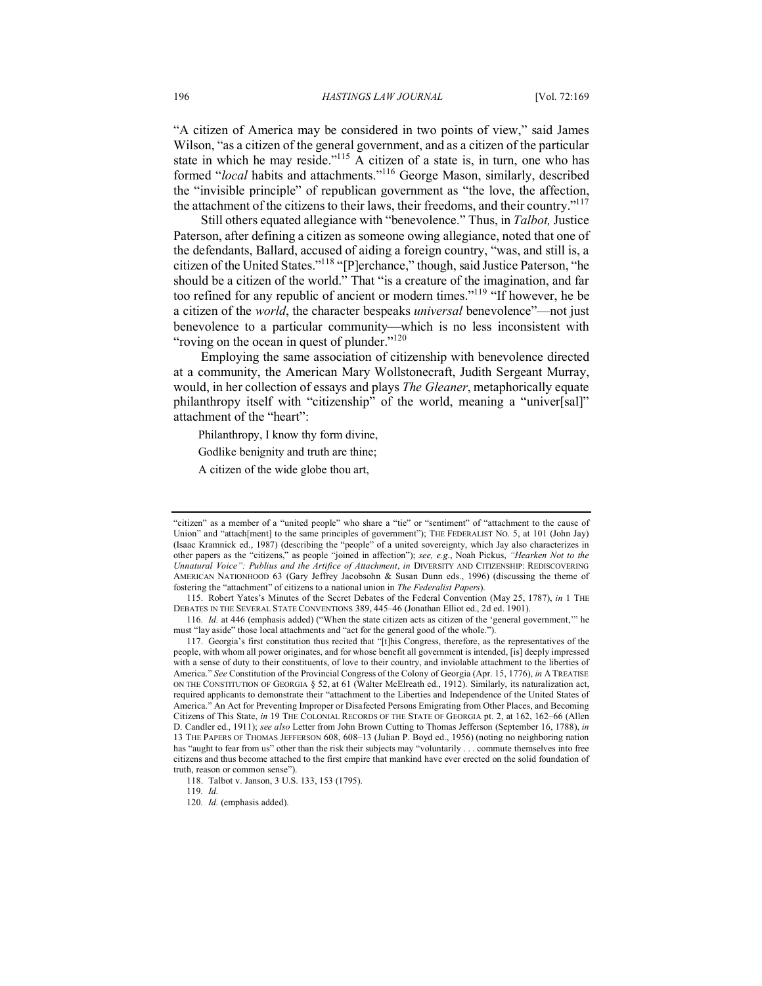"A citizen of America may be considered in two points of view," said James Wilson, "as a citizen of the general government, and as a citizen of the particular state in which he may reside."<sup>115</sup> A citizen of a state is, in turn, one who has formed "*local* habits and attachments."116 George Mason, similarly, described the "invisible principle" of republican government as "the love, the affection, the attachment of the citizens to their laws, their freedoms, and their country."117

Still others equated allegiance with "benevolence." Thus, in *Talbot,* Justice Paterson, after defining a citizen as someone owing allegiance, noted that one of the defendants, Ballard, accused of aiding a foreign country, "was, and still is, a citizen of the United States."118 "[P]erchance," though, said Justice Paterson, "he should be a citizen of the world." That "is a creature of the imagination, and far too refined for any republic of ancient or modern times."119 "If however, he be a citizen of the *world*, the character bespeaks *universal* benevolence"—not just benevolence to a particular community—which is no less inconsistent with "roving on the ocean in quest of plunder."<sup>120</sup>

Employing the same association of citizenship with benevolence directed at a community, the American Mary Wollstonecraft, Judith Sergeant Murray, would, in her collection of essays and plays *The Gleaner*, metaphorically equate philanthropy itself with "citizenship" of the world, meaning a "univer[sal]" attachment of the "heart":

Philanthropy, I know thy form divine,

Godlike benignity and truth are thine;

A citizen of the wide globe thou art,

<sup>&</sup>quot;citizen" as a member of a "united people" who share a "tie" or "sentiment" of "attachment to the cause of Union" and "attach[ment] to the same principles of government"); THE FEDERALIST NO. 5, at 101 (John Jay) (Isaac Kramnick ed., 1987) (describing the "people" of a united sovereignty, which Jay also characterizes in other papers as the "citizens," as people "joined in affection"); *see, e.g.*, Noah Pickus, *"Hearken Not to the Unnatural Voice": Publius and the Artifice of Attachment*, *in* DIVERSITY AND CITIZENSHIP: REDISCOVERING AMERICAN NATIONHOOD 63 (Gary Jeffrey Jacobsohn & Susan Dunn eds., 1996) (discussing the theme of fostering the "attachment" of citizens to a national union in *The Federalist Papers*).

<sup>115.</sup> Robert Yates's Minutes of the Secret Debates of the Federal Convention (May 25, 1787), *in* 1 THE DEBATES IN THE SEVERAL STATE CONVENTIONS 389, 445–46 (Jonathan Elliot ed., 2d ed. 1901).

<sup>116</sup>*. Id.* at 446 (emphasis added) ("When the state citizen acts as citizen of the 'general government,'" he must "lay aside" those local attachments and "act for the general good of the whole.")

<sup>117.</sup> Georgia's first constitution thus recited that "[t]his Congress, therefore, as the representatives of the people, with whom all power originates, and for whose benefit all government is intended, [is] deeply impressed with a sense of duty to their constituents, of love to their country, and inviolable attachment to the liberties of America." *See* Constitution of the Provincial Congress of the Colony of Georgia (Apr. 15, 1776), *in* A TREATISE ON THE CONSTITUTION OF GEORGIA § 52, at 61 (Walter McElreath ed., 1912). Similarly, its naturalization act, required applicants to demonstrate their "attachment to the Liberties and Independence of the United States of America." An Act for Preventing Improper or Disafected Persons Emigrating from Other Places, and Becoming Citizens of This State, *in* 19 THE COLONIAL RECORDS OF THE STATE OF GEORGIA pt. 2, at 162, 162–66 (Allen D. Candler ed., 1911); *see also* Letter from John Brown Cutting to Thomas Jefferson (September 16, 1788), *in* 13 THE PAPERS OF THOMAS JEFFERSON 608, 608–13 (Julian P. Boyd ed., 1956) (noting no neighboring nation has "aught to fear from us" other than the risk their subjects may "voluntarily . . . commute themselves into free citizens and thus become attached to the first empire that mankind have ever erected on the solid foundation of truth, reason or common sense").

<sup>118.</sup> Talbot v. Janson, 3 U.S. 133, 153 (1795).

<sup>119</sup>*. Id.*

<sup>120.</sup> *Id.* (emphasis added).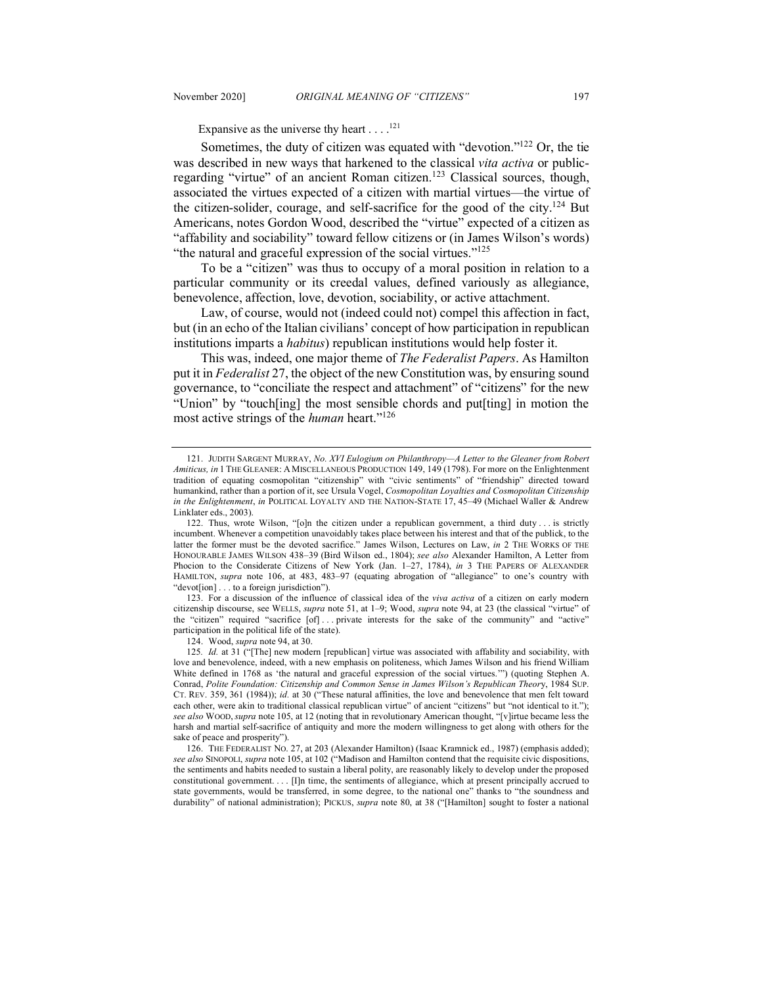Expansive as the universe thy heart  $\dots$ .<sup>121</sup>

Sometimes, the duty of citizen was equated with "devotion."<sup>122</sup> Or, the tie was described in new ways that harkened to the classical *vita activa* or publicregarding "virtue" of an ancient Roman citizen.<sup>123</sup> Classical sources, though, associated the virtues expected of a citizen with martial virtues—the virtue of the citizen-solider, courage, and self-sacrifice for the good of the city.<sup>124</sup> But Americans, notes Gordon Wood, described the "virtue" expected of a citizen as "affability and sociability" toward fellow citizens or (in James Wilson's words) "the natural and graceful expression of the social virtues."<sup>125</sup>

To be a "citizen" was thus to occupy of a moral position in relation to a particular community or its creedal values, defined variously as allegiance, benevolence, affection, love, devotion, sociability, or active attachment.

Law, of course, would not (indeed could not) compel this affection in fact, but (in an echo of the Italian civilians' concept of how participation in republican institutions imparts a *habitus*) republican institutions would help foster it.

This was, indeed, one major theme of *The Federalist Papers*. As Hamilton put it in *Federalist* 27, the object of the new Constitution was, by ensuring sound governance, to "conciliate the respect and attachment" of "citizens" for the new "Union" by "touch[ing] the most sensible chords and put[ting] in motion the most active strings of the *human* heart."<sup>126</sup>

123. For a discussion of the influence of classical idea of the *viva activa* of a citizen on early modern citizenship discourse, see WELLS, *supra* note 51, at 1–9; Wood, *supra* note 94, at 23 (the classical "virtue" of the "citizen" required "sacrifice [of] . . . private interests for the sake of the community" and "active" participation in the political life of the state).

124. Wood, *supra* note 94, at 30.

125*. Id.* at 31 ("[The] new modern [republican] virtue was associated with affability and sociability, with love and benevolence, indeed, with a new emphasis on politeness, which James Wilson and his friend William White defined in 1768 as 'the natural and graceful expression of the social virtues.'") (quoting Stephen A. Conrad, *Polite Foundation: Citizenship and Common Sense in James Wilson's Republican Theor*y, 1984 SUP. CT. REV. 359, 361 (1984)); *id.* at 30 ("These natural affinities, the love and benevolence that men felt toward each other, were akin to traditional classical republican virtue" of ancient "citizens" but "not identical to it."); *see also* WOOD, *supra* note 105, at 12 (noting that in revolutionary American thought, "[v]irtue became less the harsh and martial self-sacrifice of antiquity and more the modern willingness to get along with others for the sake of peace and prosperity").

126. THE FEDERALIST NO. 27, at 203 (Alexander Hamilton) (Isaac Kramnick ed., 1987) (emphasis added); *see also* SINOPOLI, *supra* note 105, at 102 ("Madison and Hamilton contend that the requisite civic dispositions, the sentiments and habits needed to sustain a liberal polity, are reasonably likely to develop under the proposed constitutional government. . . . [I]n time, the sentiments of allegiance, which at present principally accrued to state governments, would be transferred, in some degree, to the national one" thanks to "the soundness and durability" of national administration); PICKUS, *supra* note 80, at 38 ("[Hamilton] sought to foster a national

<sup>121.</sup> JUDITH SARGENT MURRAY, *No. XVI Eulogium on Philanthropy—A Letter to the Gleaner from Robert Amiticus, in* 1 THE GLEANER: A MISCELLANEOUS PRODUCTION 149, 149 (1798). For more on the Enlightenment tradition of equating cosmopolitan "citizenship" with "civic sentiments" of "friendship" directed toward humankind, rather than a portion of it, see Ursula Vogel, *Cosmopolitan Loyalties and Cosmopolitan Citizenship in the Enlightenment*, *in* POLITICAL LOYALTY AND THE NATION-STATE 17, 45–49 (Michael Waller & Andrew Linklater eds., 2003).

<sup>122.</sup> Thus, wrote Wilson, "[o]n the citizen under a republican government, a third duty . . . is strictly incumbent. Whenever a competition unavoidably takes place between his interest and that of the publick, to the latter the former must be the devoted sacrifice." James Wilson, Lectures on Law, *in* 2 THE WORKS OF THE HONOURABLE JAMES WILSON 438–39 (Bird Wilson ed., 1804); *see also* Alexander Hamilton, A Letter from Phocion to the Considerate Citizens of New York (Jan. 1–27, 1784), *in* 3 THE PAPERS OF ALEXANDER HAMILTON, *supra* note 106, at 483, 483–97 (equating abrogation of "allegiance" to one's country with "devot[ion] . . . to a foreign jurisdiction").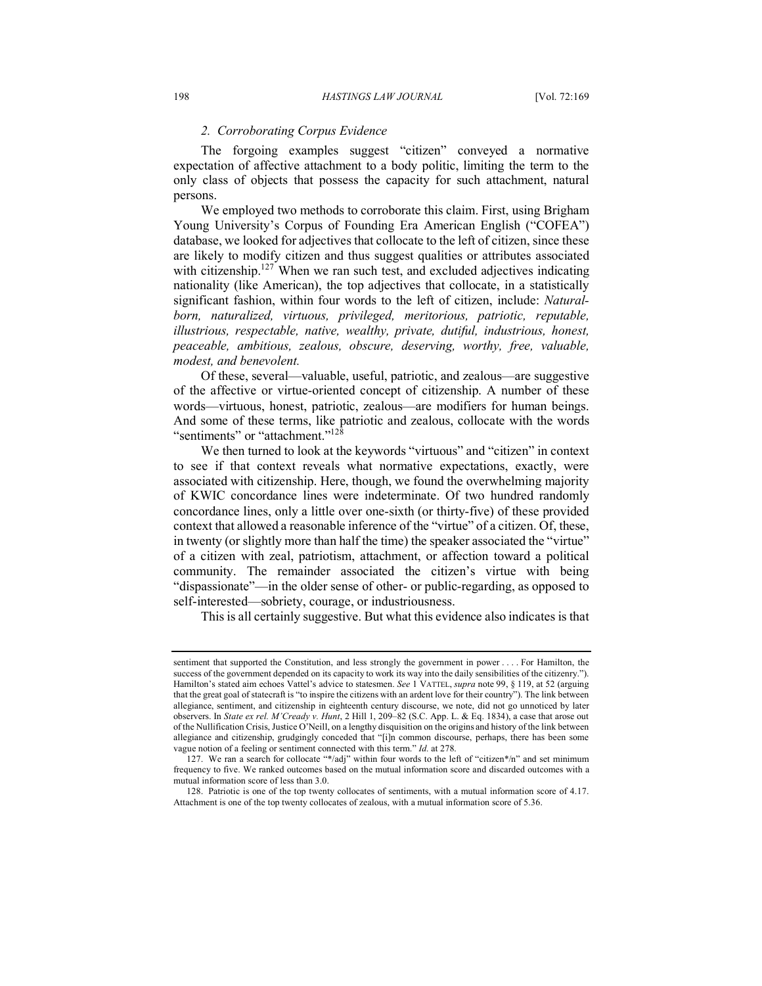#### *2. Corroborating Corpus Evidence*

The forgoing examples suggest "citizen" conveyed a normative expectation of affective attachment to a body politic, limiting the term to the only class of objects that possess the capacity for such attachment, natural persons.

We employed two methods to corroborate this claim. First, using Brigham Young University's Corpus of Founding Era American English ("COFEA") database, we looked for adjectives that collocate to the left of citizen, since these are likely to modify citizen and thus suggest qualities or attributes associated with citizenship.<sup>127</sup> When we ran such test, and excluded adjectives indicating nationality (like American), the top adjectives that collocate, in a statistically significant fashion, within four words to the left of citizen, include: *Naturalborn, naturalized, virtuous, privileged, meritorious, patriotic, reputable, illustrious, respectable, native, wealthy, private, dutiful, industrious, honest, peaceable, ambitious, zealous, obscure, deserving, worthy, free, valuable, modest, and benevolent.*

Of these, several—valuable, useful, patriotic, and zealous—are suggestive of the affective or virtue-oriented concept of citizenship. A number of these words—virtuous, honest, patriotic, zealous—are modifiers for human beings. And some of these terms, like patriotic and zealous, collocate with the words "sentiments" or "attachment."<sup>128</sup>

We then turned to look at the keywords "virtuous" and "citizen" in context to see if that context reveals what normative expectations, exactly, were associated with citizenship. Here, though, we found the overwhelming majority of KWIC concordance lines were indeterminate. Of two hundred randomly concordance lines, only a little over one-sixth (or thirty-five) of these provided context that allowed a reasonable inference of the "virtue" of a citizen. Of, these, in twenty (or slightly more than half the time) the speaker associated the "virtue" of a citizen with zeal, patriotism, attachment, or affection toward a political community. The remainder associated the citizen's virtue with being "dispassionate"—in the older sense of other- or public-regarding, as opposed to self-interested—sobriety, courage, or industriousness.

This is all certainly suggestive. But what this evidence also indicates is that

sentiment that supported the Constitution, and less strongly the government in power . . . . For Hamilton, the success of the government depended on its capacity to work its way into the daily sensibilities of the citizenry."). Hamilton's stated aim echoes Vattel's advice to statesmen. *See* 1 VATTEL, *supra* note 99, § 119, at 52 (arguing that the great goal of statecraft is "to inspire the citizens with an ardent love for their country"). The link between allegiance, sentiment, and citizenship in eighteenth century discourse, we note, did not go unnoticed by later observers. In *State ex rel. M'Cready v. Hunt*, 2 Hill 1, 209–82 (S.C. App. L. & Eq. 1834), a case that arose out of the Nullification Crisis, Justice O'Neill, on a lengthy disquisition on the origins and history of the link between allegiance and citizenship, grudgingly conceded that "[i]n common discourse, perhaps, there has been some vague notion of a feeling or sentiment connected with this term." *Id.* at 278.

<sup>127.</sup> We ran a search for collocate "\*/adj" within four words to the left of "citizen\*/n" and set minimum frequency to five. We ranked outcomes based on the mutual information score and discarded outcomes with a mutual information score of less than 3.0.

<sup>128.</sup> Patriotic is one of the top twenty collocates of sentiments, with a mutual information score of 4.17. Attachment is one of the top twenty collocates of zealous, with a mutual information score of 5.36.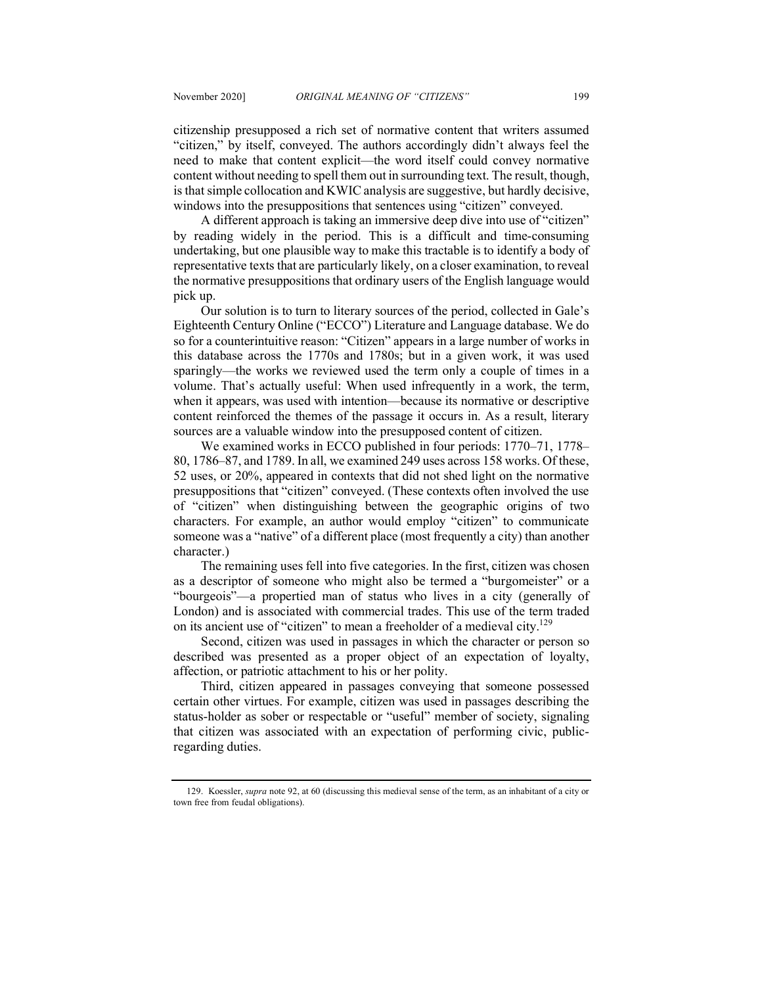citizenship presupposed a rich set of normative content that writers assumed "citizen," by itself, conveyed. The authors accordingly didn't always feel the need to make that content explicit—the word itself could convey normative content without needing to spell them out in surrounding text. The result, though, is that simple collocation and KWIC analysis are suggestive, but hardly decisive, windows into the presuppositions that sentences using "citizen" conveyed.

A different approach is taking an immersive deep dive into use of "citizen" by reading widely in the period. This is a difficult and time-consuming undertaking, but one plausible way to make this tractable is to identify a body of representative texts that are particularly likely, on a closer examination, to reveal the normative presuppositions that ordinary users of the English language would pick up.

Our solution is to turn to literary sources of the period, collected in Gale's Eighteenth Century Online ("ECCO") Literature and Language database. We do so for a counterintuitive reason: "Citizen" appears in a large number of works in this database across the 1770s and 1780s; but in a given work, it was used sparingly—the works we reviewed used the term only a couple of times in a volume. That's actually useful: When used infrequently in a work, the term, when it appears, was used with intention—because its normative or descriptive content reinforced the themes of the passage it occurs in. As a result, literary sources are a valuable window into the presupposed content of citizen.

We examined works in ECCO published in four periods: 1770–71, 1778– 80, 1786–87, and 1789. In all, we examined 249 uses across 158 works. Of these, 52 uses, or 20%, appeared in contexts that did not shed light on the normative presuppositions that "citizen" conveyed. (These contexts often involved the use of "citizen" when distinguishing between the geographic origins of two characters. For example, an author would employ "citizen" to communicate someone was a "native" of a different place (most frequently a city) than another character.)

The remaining uses fell into five categories. In the first, citizen was chosen as a descriptor of someone who might also be termed a "burgomeister" or a "bourgeois"—a propertied man of status who lives in a city (generally of London) and is associated with commercial trades. This use of the term traded on its ancient use of "citizen" to mean a freeholder of a medieval city.<sup>129</sup>

Second, citizen was used in passages in which the character or person so described was presented as a proper object of an expectation of loyalty, affection, or patriotic attachment to his or her polity.

Third, citizen appeared in passages conveying that someone possessed certain other virtues. For example, citizen was used in passages describing the status-holder as sober or respectable or "useful" member of society, signaling that citizen was associated with an expectation of performing civic, publicregarding duties.

<sup>129.</sup> Koessler, *supra* note 92, at 60 (discussing this medieval sense of the term, as an inhabitant of a city or town free from feudal obligations).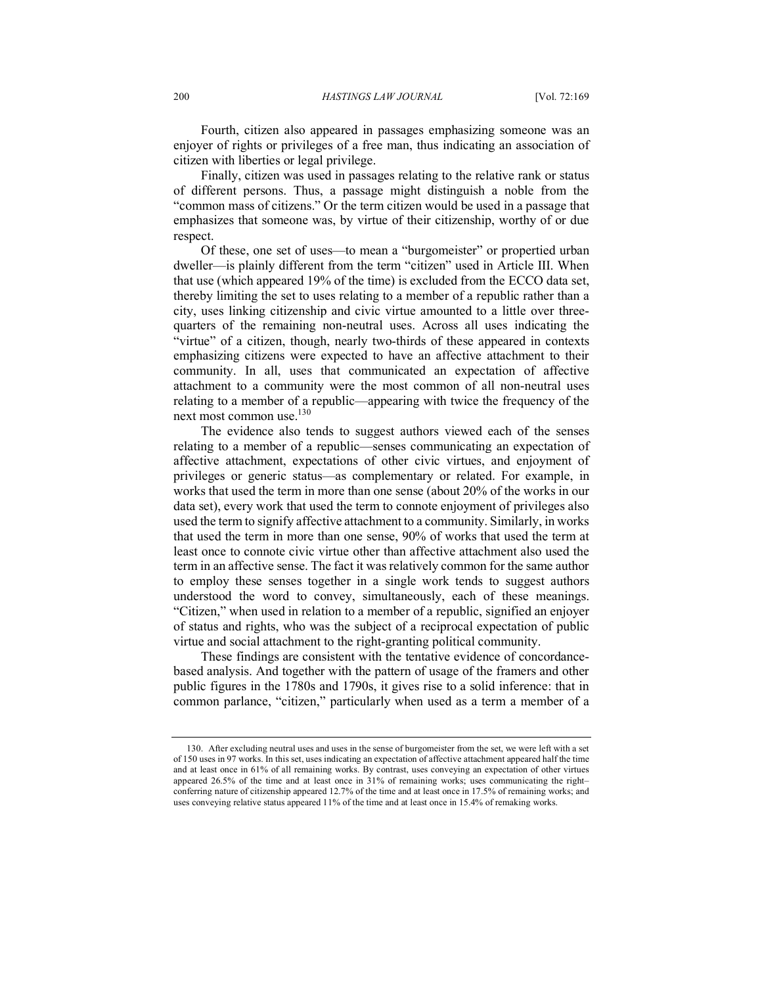Fourth, citizen also appeared in passages emphasizing someone was an enjoyer of rights or privileges of a free man, thus indicating an association of citizen with liberties or legal privilege.

Finally, citizen was used in passages relating to the relative rank or status of different persons. Thus, a passage might distinguish a noble from the "common mass of citizens." Or the term citizen would be used in a passage that emphasizes that someone was, by virtue of their citizenship, worthy of or due respect.

Of these, one set of uses—to mean a "burgomeister" or propertied urban dweller—is plainly different from the term "citizen" used in Article III. When that use (which appeared 19% of the time) is excluded from the ECCO data set, thereby limiting the set to uses relating to a member of a republic rather than a city, uses linking citizenship and civic virtue amounted to a little over threequarters of the remaining non-neutral uses. Across all uses indicating the "virtue" of a citizen, though, nearly two-thirds of these appeared in contexts emphasizing citizens were expected to have an affective attachment to their community. In all, uses that communicated an expectation of affective attachment to a community were the most common of all non-neutral uses relating to a member of a republic—appearing with twice the frequency of the next most common use.130

The evidence also tends to suggest authors viewed each of the senses relating to a member of a republic—senses communicating an expectation of affective attachment, expectations of other civic virtues, and enjoyment of privileges or generic status—as complementary or related. For example, in works that used the term in more than one sense (about 20% of the works in our data set), every work that used the term to connote enjoyment of privileges also used the term to signify affective attachment to a community. Similarly, in works that used the term in more than one sense, 90% of works that used the term at least once to connote civic virtue other than affective attachment also used the term in an affective sense. The fact it was relatively common for the same author to employ these senses together in a single work tends to suggest authors understood the word to convey, simultaneously, each of these meanings. "Citizen," when used in relation to a member of a republic, signified an enjoyer of status and rights, who was the subject of a reciprocal expectation of public virtue and social attachment to the right-granting political community.

These findings are consistent with the tentative evidence of concordancebased analysis. And together with the pattern of usage of the framers and other public figures in the 1780s and 1790s, it gives rise to a solid inference: that in common parlance, "citizen," particularly when used as a term a member of a

<sup>130.</sup> After excluding neutral uses and uses in the sense of burgomeister from the set, we were left with a set of 150 uses in 97 works. In this set, uses indicating an expectation of affective attachment appeared half the time and at least once in 61% of all remaining works. By contrast, uses conveying an expectation of other virtues appeared 26.5% of the time and at least once in 31% of remaining works; uses communicating the right– conferring nature of citizenship appeared 12.7% of the time and at least once in 17.5% of remaining works; and uses conveying relative status appeared 11% of the time and at least once in 15.4% of remaking works.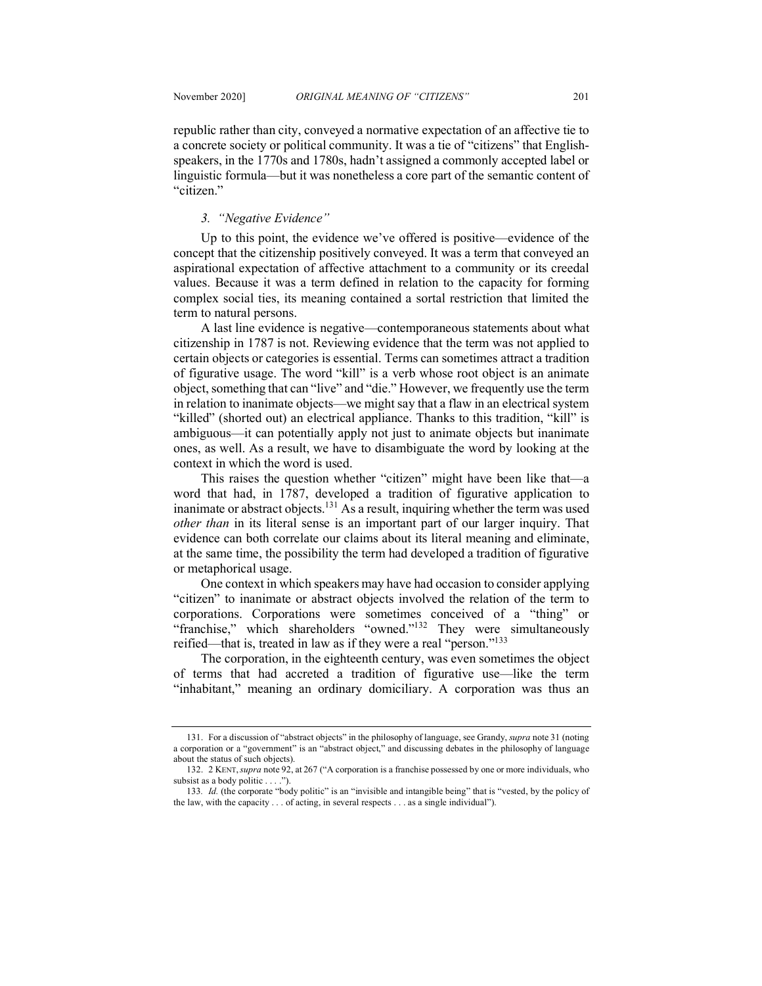republic rather than city, conveyed a normative expectation of an affective tie to a concrete society or political community. It was a tie of "citizens" that Englishspeakers, in the 1770s and 1780s, hadn't assigned a commonly accepted label or linguistic formula—but it was nonetheless a core part of the semantic content of "citizen."

## *3. "Negative Evidence"*

Up to this point, the evidence we've offered is positive—evidence of the concept that the citizenship positively conveyed. It was a term that conveyed an aspirational expectation of affective attachment to a community or its creedal values. Because it was a term defined in relation to the capacity for forming complex social ties, its meaning contained a sortal restriction that limited the term to natural persons.

A last line evidence is negative—contemporaneous statements about what citizenship in 1787 is not. Reviewing evidence that the term was not applied to certain objects or categories is essential. Terms can sometimes attract a tradition of figurative usage. The word "kill" is a verb whose root object is an animate object, something that can "live" and "die." However, we frequently use the term in relation to inanimate objects—we might say that a flaw in an electrical system "killed" (shorted out) an electrical appliance. Thanks to this tradition, "kill" is ambiguous—it can potentially apply not just to animate objects but inanimate ones, as well. As a result, we have to disambiguate the word by looking at the context in which the word is used.

This raises the question whether "citizen" might have been like that—a word that had, in 1787, developed a tradition of figurative application to inanimate or abstract objects.<sup>131</sup> As a result, inquiring whether the term was used *other than* in its literal sense is an important part of our larger inquiry. That evidence can both correlate our claims about its literal meaning and eliminate, at the same time, the possibility the term had developed a tradition of figurative or metaphorical usage.

One context in which speakers may have had occasion to consider applying "citizen" to inanimate or abstract objects involved the relation of the term to corporations. Corporations were sometimes conceived of a "thing" or "franchise," which shareholders "owned."<sup>132</sup> They were simultaneously reified—that is, treated in law as if they were a real "person."<sup>133</sup>

The corporation, in the eighteenth century, was even sometimes the object of terms that had accreted a tradition of figurative use—like the term "inhabitant," meaning an ordinary domiciliary. A corporation was thus an

<sup>131.</sup> For a discussion of "abstract objects" in the philosophy of language, see Grandy, *supra* note 31 (noting a corporation or a "government" is an "abstract object," and discussing debates in the philosophy of language about the status of such objects).

<sup>132.</sup> 2 KENT,*supra* note 92, at 267 ("A corporation is a franchise possessed by one or more individuals, who subsist as a body politic . . . .").

<sup>133</sup>*. Id.* (the corporate "body politic" is an "invisible and intangible being" that is "vested, by the policy of the law, with the capacity . . . of acting, in several respects . . . as a single individual").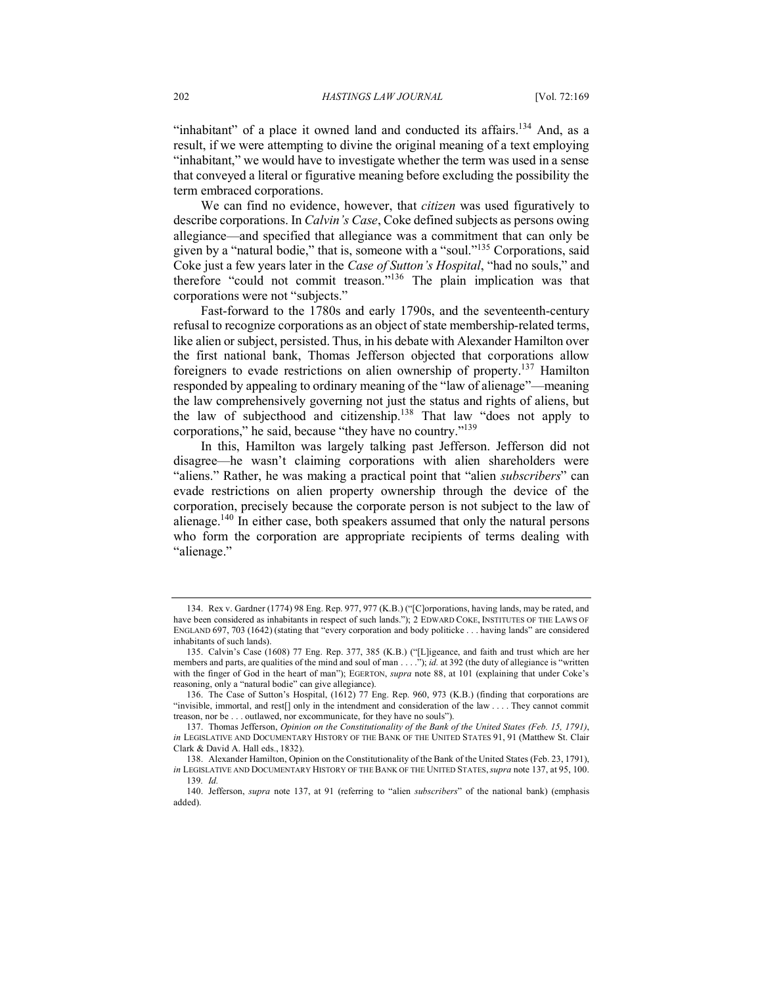"inhabitant" of a place it owned land and conducted its affairs.<sup>134</sup> And, as a result, if we were attempting to divine the original meaning of a text employing "inhabitant," we would have to investigate whether the term was used in a sense that conveyed a literal or figurative meaning before excluding the possibility the term embraced corporations.

We can find no evidence, however, that *citizen* was used figuratively to describe corporations. In *Calvin's Case*, Coke defined subjects as persons owing allegiance—and specified that allegiance was a commitment that can only be given by a "natural bodie," that is, someone with a "soul."135 Corporations, said Coke just a few years later in the *Case of Sutton's Hospital*, "had no souls," and therefore "could not commit treason."136 The plain implication was that corporations were not "subjects."

Fast-forward to the 1780s and early 1790s, and the seventeenth-century refusal to recognize corporations as an object of state membership-related terms, like alien or subject, persisted. Thus, in his debate with Alexander Hamilton over the first national bank, Thomas Jefferson objected that corporations allow foreigners to evade restrictions on alien ownership of property.137 Hamilton responded by appealing to ordinary meaning of the "law of alienage"—meaning the law comprehensively governing not just the status and rights of aliens, but the law of subjecthood and citizenship.138 That law "does not apply to corporations," he said, because "they have no country."139

In this, Hamilton was largely talking past Jefferson. Jefferson did not disagree—he wasn't claiming corporations with alien shareholders were "aliens." Rather, he was making a practical point that "alien *subscribers*" can evade restrictions on alien property ownership through the device of the corporation, precisely because the corporate person is not subject to the law of alienage.140 In either case, both speakers assumed that only the natural persons who form the corporation are appropriate recipients of terms dealing with "alienage."

<sup>134.</sup> Rex v. Gardner (1774) 98 Eng. Rep. 977, 977 (K.B.) ("[C]orporations, having lands, may be rated, and have been considered as inhabitants in respect of such lands."); 2 EDWARD COKE, INSTITUTES OF THE LAWS OF ENGLAND 697, 703 (1642) (stating that "every corporation and body politicke . . . having lands" are considered inhabitants of such lands).

<sup>135.</sup> Calvin's Case (1608) 77 Eng. Rep. 377, 385 (K.B.) ("[L]igeance, and faith and trust which are her members and parts, are qualities of the mind and soul of man . . . ."); *id.* at 392 (the duty of allegiance is "written with the finger of God in the heart of man"); EGERTON, *supra* note 88, at 101 (explaining that under Coke's reasoning, only a "natural bodie" can give allegiance).

<sup>136.</sup> The Case of Sutton's Hospital, (1612) 77 Eng. Rep. 960, 973 (K.B.) (finding that corporations are "invisible, immortal, and rest[] only in the intendment and consideration of the law . . . . They cannot commit treason, nor be . . . outlawed, nor excommunicate, for they have no souls").

<sup>137.</sup> Thomas Jefferson, *Opinion on the Constitutionality of the Bank of the United States (Feb. 15, 1791)*, *in* LEGISLATIVE AND DOCUMENTARY HISTORY OF THE BANK OF THE UNITED STATES 91, 91 (Matthew St. Clair Clark & David A. Hall eds., 1832).

<sup>138.</sup> Alexander Hamilton, Opinion on the Constitutionality of the Bank of the United States (Feb. 23, 1791), *in* LEGISLATIVE AND DOCUMENTARY HISTORY OF THE BANK OF THE UNITED STATES,*supra* note 137, at 95, 100. 139*. Id.*

<sup>140.</sup> Jefferson, *supra* note 137, at 91 (referring to "alien *subscribers*" of the national bank) (emphasis added).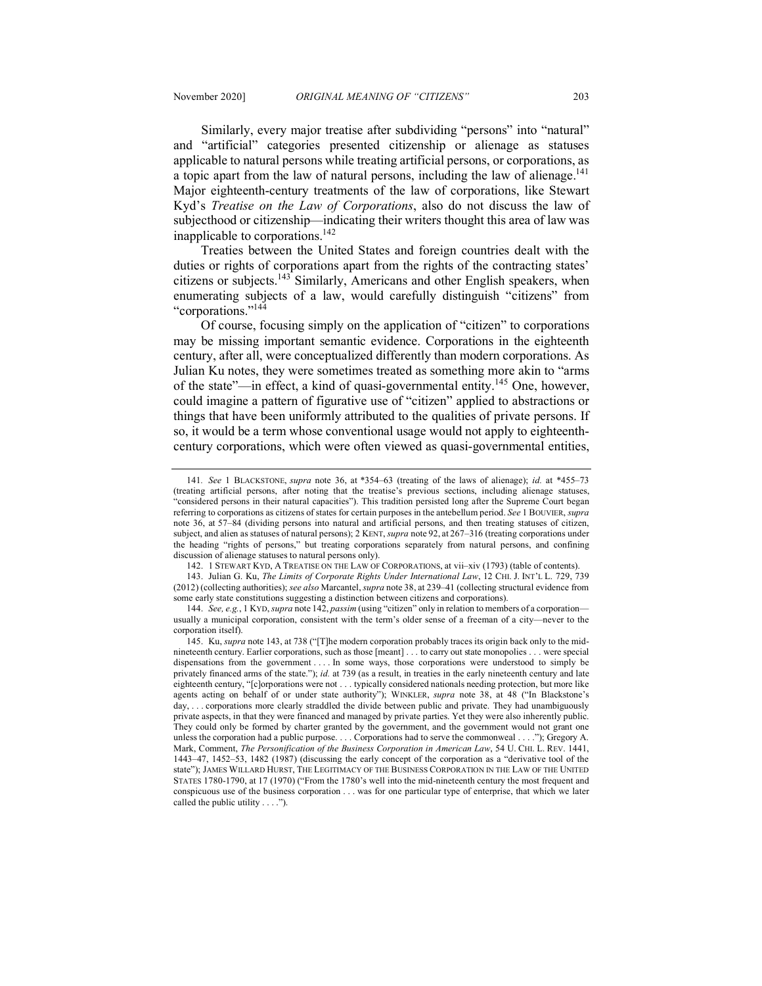Similarly, every major treatise after subdividing "persons" into "natural"

and "artificial" categories presented citizenship or alienage as statuses applicable to natural persons while treating artificial persons, or corporations, as a topic apart from the law of natural persons, including the law of alienage.<sup>141</sup> Major eighteenth-century treatments of the law of corporations, like Stewart Kyd's *Treatise on the Law of Corporations*, also do not discuss the law of subjecthood or citizenship—indicating their writers thought this area of law was inapplicable to corporations.<sup>142</sup>

Treaties between the United States and foreign countries dealt with the duties or rights of corporations apart from the rights of the contracting states' citizens or subjects.143 Similarly, Americans and other English speakers, when enumerating subjects of a law, would carefully distinguish "citizens" from "corporations."144

Of course, focusing simply on the application of "citizen" to corporations may be missing important semantic evidence. Corporations in the eighteenth century, after all, were conceptualized differently than modern corporations. As Julian Ku notes, they were sometimes treated as something more akin to "arms of the state"—in effect, a kind of quasi-governmental entity.<sup>145</sup> One, however, could imagine a pattern of figurative use of "citizen" applied to abstractions or things that have been uniformly attributed to the qualities of private persons. If so, it would be a term whose conventional usage would not apply to eighteenthcentury corporations, which were often viewed as quasi-governmental entities,

142. 1 STEWART KYD, A TREATISE ON THE LAW OF CORPORATIONS, at vii–xiv (1793) (table of contents).

<sup>141</sup>*. See* 1 BLACKSTONE, *supra* note 36, at \*354–63 (treating of the laws of alienage); *id.* at \*455–73 (treating artificial persons, after noting that the treatise's previous sections, including alienage statuses, "considered persons in their natural capacities"). This tradition persisted long after the Supreme Court began referring to corporations as citizens of states for certain purposes in the antebellum period. *See* 1 BOUVIER, *supra* note 36, at 57–84 (dividing persons into natural and artificial persons, and then treating statuses of citizen, subject, and alien as statuses of natural persons); 2 KENT, *supra* note 92, at 267–316 (treating corporations under the heading "rights of persons," but treating corporations separately from natural persons, and confining discussion of alienage statuses to natural persons only).

<sup>143.</sup> Julian G. Ku, *The Limits of Corporate Rights Under International Law*, 12 CHI. J. INT'L L. 729, 739 (2012) (collecting authorities); *see also* Marcantel, *supra* note 38, at 239–41 (collecting structural evidence from some early state constitutions suggesting a distinction between citizens and corporations).

<sup>144.</sup> *See, e.g.*, 1 KYD, *supra* note 142, *passim* (using "citizen" only in relation to members of a corporation usually a municipal corporation, consistent with the term's older sense of a freeman of a city—never to the corporation itself).

<sup>145.</sup> Ku, *supra* note 143, at 738 ("[T]he modern corporation probably traces its origin back only to the midnineteenth century. Earlier corporations, such as those [meant] . . . to carry out state monopolies . . . were special dispensations from the government . . . . In some ways, those corporations were understood to simply be privately financed arms of the state."); *id.* at 739 (as a result, in treaties in the early nineteenth century and late eighteenth century, "[c]orporations were not . . . typically considered nationals needing protection, but more like agents acting on behalf of or under state authority"); WINKLER, *supra* note 38, at 48 ("In Blackstone's day, . . . corporations more clearly straddled the divide between public and private. They had unambiguously private aspects, in that they were financed and managed by private parties. Yet they were also inherently public. They could only be formed by charter granted by the government, and the government would not grant one unless the corporation had a public purpose. . . . Corporations had to serve the commonweal . . . ."); Gregory A. Mark, Comment, *The Personification of the Business Corporation in American Law*, 54 U. CHI. L. REV. 1441, 1443–47, 1452–53, 1482 (1987) (discussing the early concept of the corporation as a "derivative tool of the state"); JAMES WILLARD HURST, THE LEGITIMACY OF THE BUSINESS CORPORATION IN THE LAW OF THE UNITED STATES 1780-1790, at 17 (1970) ("From the 1780's well into the mid-nineteenth century the most frequent and conspicuous use of the business corporation . . . was for one particular type of enterprise, that which we later called the public utility . . . .").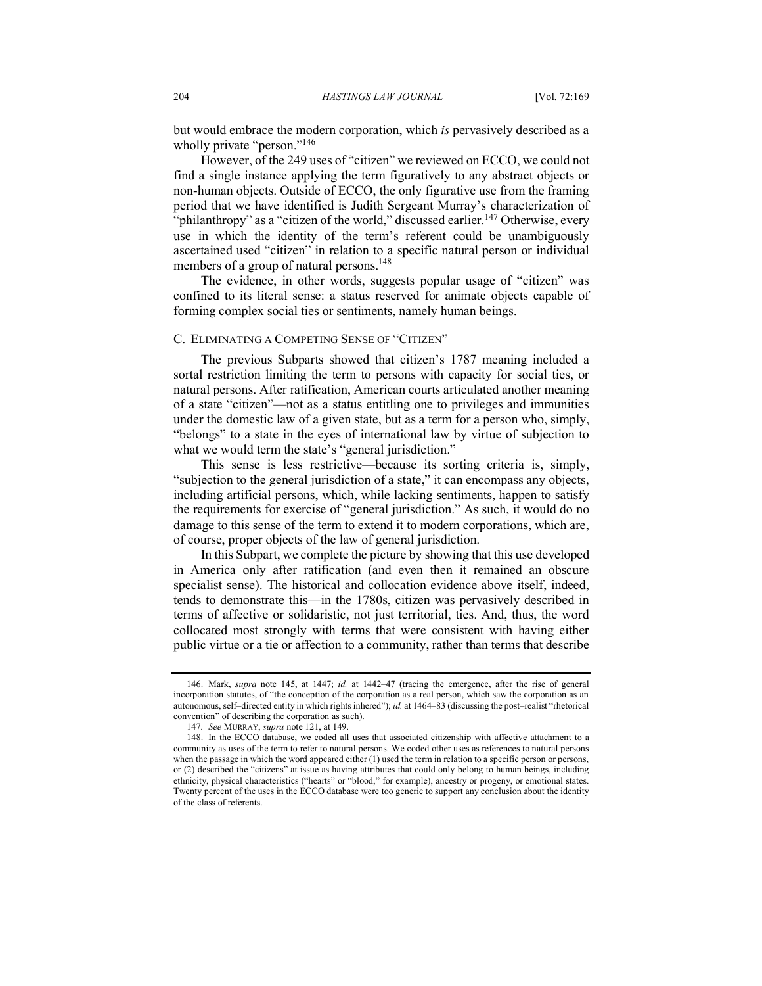but would embrace the modern corporation, which *is* pervasively described as a wholly private "person."<sup>146</sup>

However, of the 249 uses of "citizen" we reviewed on ECCO, we could not find a single instance applying the term figuratively to any abstract objects or non-human objects. Outside of ECCO, the only figurative use from the framing period that we have identified is Judith Sergeant Murray's characterization of "philanthropy" as a "citizen of the world," discussed earlier.<sup>147</sup> Otherwise, every use in which the identity of the term's referent could be unambiguously ascertained used "citizen" in relation to a specific natural person or individual members of a group of natural persons.<sup>148</sup>

The evidence, in other words, suggests popular usage of "citizen" was confined to its literal sense: a status reserved for animate objects capable of forming complex social ties or sentiments, namely human beings.

## C. ELIMINATING A COMPETING SENSE OF "CITIZEN"

The previous Subparts showed that citizen's 1787 meaning included a sortal restriction limiting the term to persons with capacity for social ties, or natural persons. After ratification, American courts articulated another meaning of a state "citizen"—not as a status entitling one to privileges and immunities under the domestic law of a given state, but as a term for a person who, simply, "belongs" to a state in the eyes of international law by virtue of subjection to what we would term the state's "general jurisdiction."

This sense is less restrictive—because its sorting criteria is, simply, "subjection to the general jurisdiction of a state," it can encompass any objects, including artificial persons, which, while lacking sentiments, happen to satisfy the requirements for exercise of "general jurisdiction." As such, it would do no damage to this sense of the term to extend it to modern corporations, which are, of course, proper objects of the law of general jurisdiction.

In this Subpart, we complete the picture by showing that this use developed in America only after ratification (and even then it remained an obscure specialist sense). The historical and collocation evidence above itself, indeed, tends to demonstrate this—in the 1780s, citizen was pervasively described in terms of affective or solidaristic, not just territorial, ties. And, thus, the word collocated most strongly with terms that were consistent with having either public virtue or a tie or affection to a community, rather than terms that describe

<sup>146.</sup> Mark, *supra* note 145, at 1447; *id.* at 1442–47 (tracing the emergence, after the rise of general incorporation statutes, of "the conception of the corporation as a real person, which saw the corporation as an autonomous, self–directed entity in which rights inhered"); *id.* at 1464–83 (discussing the post–realist "rhetorical convention" of describing the corporation as such).

<sup>147</sup>*. See* MURRAY, *supra* note 121, at 149.

<sup>148.</sup> In the ECCO database, we coded all uses that associated citizenship with affective attachment to a community as uses of the term to refer to natural persons. We coded other uses as references to natural persons when the passage in which the word appeared either (1) used the term in relation to a specific person or persons, or (2) described the "citizens" at issue as having attributes that could only belong to human beings, including ethnicity, physical characteristics ("hearts" or "blood," for example), ancestry or progeny, or emotional states. Twenty percent of the uses in the ECCO database were too generic to support any conclusion about the identity of the class of referents.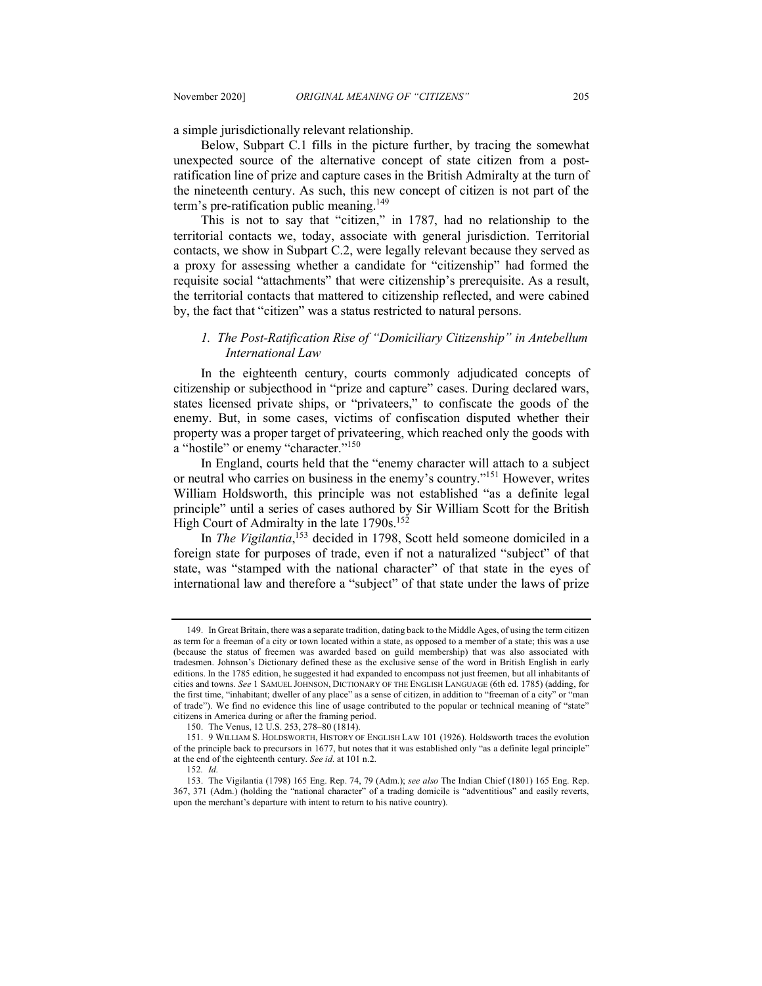a simple jurisdictionally relevant relationship.

Below, Subpart C.1 fills in the picture further, by tracing the somewhat unexpected source of the alternative concept of state citizen from a postratification line of prize and capture cases in the British Admiralty at the turn of the nineteenth century. As such, this new concept of citizen is not part of the term's pre-ratification public meaning.<sup>149</sup>

This is not to say that "citizen," in 1787, had no relationship to the territorial contacts we, today, associate with general jurisdiction. Territorial contacts, we show in Subpart C.2, were legally relevant because they served as a proxy for assessing whether a candidate for "citizenship" had formed the requisite social "attachments" that were citizenship's prerequisite. As a result, the territorial contacts that mattered to citizenship reflected, and were cabined by, the fact that "citizen" was a status restricted to natural persons.

## *1. The Post-Ratification Rise of "Domiciliary Citizenship" in Antebellum International Law*

In the eighteenth century, courts commonly adjudicated concepts of citizenship or subjecthood in "prize and capture" cases. During declared wars, states licensed private ships, or "privateers," to confiscate the goods of the enemy. But, in some cases, victims of confiscation disputed whether their property was a proper target of privateering, which reached only the goods with a "hostile" or enemy "character."<sup>150</sup>

In England, courts held that the "enemy character will attach to a subject or neutral who carries on business in the enemy's country."151 However, writes William Holdsworth, this principle was not established "as a definite legal principle" until a series of cases authored by Sir William Scott for the British High Court of Admiralty in the late 1790s.<sup>152</sup>

In *The Vigilantia*, <sup>153</sup> decided in 1798, Scott held someone domiciled in a foreign state for purposes of trade, even if not a naturalized "subject" of that state, was "stamped with the national character" of that state in the eyes of international law and therefore a "subject" of that state under the laws of prize

<sup>149.</sup> In Great Britain, there was a separate tradition, dating back to the Middle Ages, of using the term citizen as term for a freeman of a city or town located within a state, as opposed to a member of a state; this was a use (because the status of freemen was awarded based on guild membership) that was also associated with tradesmen. Johnson's Dictionary defined these as the exclusive sense of the word in British English in early editions. In the 1785 edition, he suggested it had expanded to encompass not just freemen, but all inhabitants of cities and towns. *See* 1 SAMUEL JOHNSON, DICTIONARY OF THE ENGLISH LANGUAGE (6th ed. 1785) (adding, for the first time, "inhabitant; dweller of any place" as a sense of citizen, in addition to "freeman of a city" or "man of trade"). We find no evidence this line of usage contributed to the popular or technical meaning of "state" citizens in America during or after the framing period.

<sup>150.</sup> The Venus, 12 U.S. 253, 278–80 (1814).

<sup>151.</sup> 9 WILLIAM S. HOLDSWORTH, HISTORY OF ENGLISH LAW 101 (1926). Holdsworth traces the evolution of the principle back to precursors in 1677, but notes that it was established only "as a definite legal principle" at the end of the eighteenth century. *See id.* at 101 n.2.

<sup>152</sup>*. Id.*

<sup>153.</sup> The Vigilantia (1798) 165 Eng. Rep. 74, 79 (Adm.); *see also* The Indian Chief (1801) 165 Eng. Rep. 367, 371 (Adm.) (holding the "national character" of a trading domicile is "adventitious" and easily reverts, upon the merchant's departure with intent to return to his native country).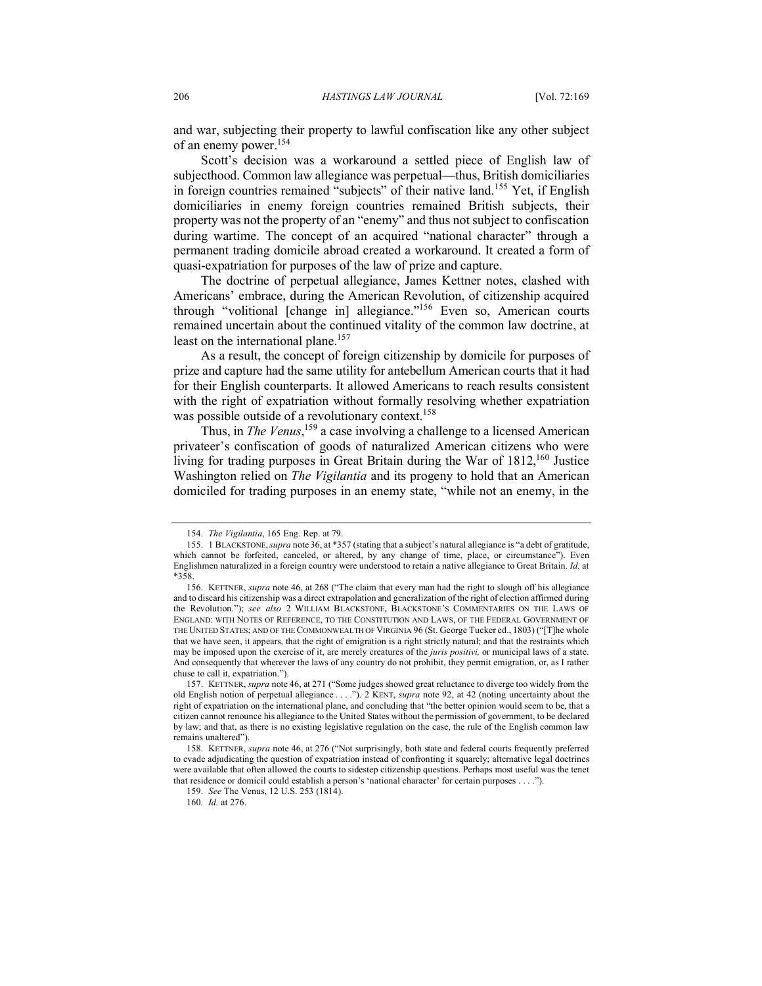and war, subjecting their property to lawful confiscation like any other subject of an enemy power.154

Scott's decision was a workaround a settled piece of English law of subjecthood. Common law allegiance was perpetual—thus, British domiciliaries in foreign countries remained "subjects" of their native land.<sup>155</sup> Yet, if English domiciliaries in enemy foreign countries remained British subjects, their property was not the property of an "enemy" and thus not subject to confiscation during wartime. The concept of an acquired "national character" through a permanent trading domicile abroad created a workaround. It created a form of quasi-expatriation for purposes of the law of prize and capture.

The doctrine of perpetual allegiance, James Kettner notes, clashed with Americans' embrace, during the American Revolution, of citizenship acquired through "volitional [change in] allegiance."<sup>156</sup> Even so, American courts remained uncertain about the continued vitality of the common law doctrine, at least on the international plane.<sup>157</sup>

As a result, the concept of foreign citizenship by domicile for purposes of prize and capture had the same utility for antebellum American courts that it had for their English counterparts. It allowed Americans to reach results consistent with the right of expatriation without formally resolving whether expatriation was possible outside of a revolutionary context.<sup>158</sup>

Thus, in *The Venus*,<sup>159</sup> a case involving a challenge to a licensed American privateer's confiscation of goods of naturalized American citizens who were living for trading purposes in Great Britain during the War of 1812,<sup>160</sup> Justice Washington relied on *The Vigilantia* and its progeny to hold that an American domiciled for trading purposes in an enemy state, "while not an enemy, in the

<sup>154.</sup> *The Vigilantia*, 165 Eng. Rep. at 79.

<sup>155.</sup> 1 BLACKSTONE,*supra* note 36, at \*357 (stating that a subject's natural allegiance is "a debt of gratitude, which cannot be forfeited, canceled, or altered, by any change of time, place, or circumstance"). Even Englishmen naturalized in a foreign country were understood to retain a native allegiance to Great Britain. *Id.* at \*358.

<sup>156.</sup> KETTNER, *supra* note 46, at 268 ("The claim that every man had the right to slough off his allegiance and to discard his citizenship was a direct extrapolation and generalization of the right of election affirmed during the Revolution."); *see also* 2 WILLIAM BLACKSTONE, BLACKSTONE'S COMMENTARIES ON THE LAWS OF ENGLAND: WITH NOTES OF REFERENCE, TO THE CONSTITUTION AND LAWS, OF THE FEDERAL GOVERNMENT OF THE UNITED STATES; AND OF THE COMMONWEALTH OF VIRGINIA 96 (St. George Tucker ed., 1803) ("[T]he whole that we have seen, it appears, that the right of emigration is a right strictly natural; and that the restraints which may be imposed upon the exercise of it, are merely creatures of the *juris positivi,* or municipal laws of a state. And consequently that wherever the laws of any country do not prohibit, they permit emigration, or, as I rather chuse to call it, expatriation.").

<sup>157.</sup> KETTNER, *supra* note 46, at 271 ("Some judges showed great reluctance to diverge too widely from the old English notion of perpetual allegiance . . . ."). 2 KENT, *supra* note 92, at 42 (noting uncertainty about the right of expatriation on the international plane, and concluding that "the better opinion would seem to be, that a citizen cannot renounce his allegiance to the United States without the permission of government, to be declared by law; and that, as there is no existing legislative regulation on the case, the rule of the English common law remains unaltered").

<sup>158.</sup> KETTNER, *supra* note 46, at 276 ("Not surprisingly, both state and federal courts frequently preferred to evade adjudicating the question of expatriation instead of confronting it squarely; alternative legal doctrines were available that often allowed the courts to sidestep citizenship questions. Perhaps most useful was the tenet that residence or domicil could establish a person's 'national character' for certain purposes . . . .").

<sup>159.</sup> *See* The Venus, 12 U.S. 253 (1814).

<sup>160</sup>*. Id.* at 276.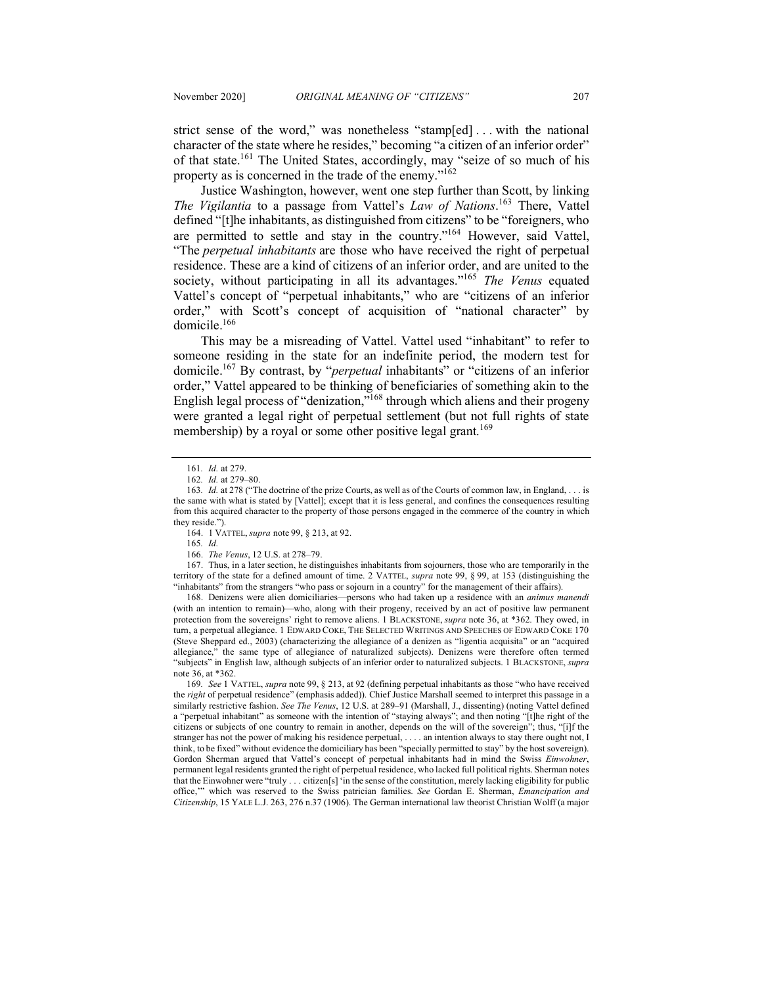strict sense of the word," was nonetheless "stamp[ed] . . . with the national character of the state where he resides," becoming "a citizen of an inferior order" of that state.161 The United States, accordingly, may "seize of so much of his property as is concerned in the trade of the enemy." $162$ 

Justice Washington, however, went one step further than Scott, by linking *The Vigilantia* to a passage from Vattel's *Law of Nations*. <sup>163</sup> There, Vattel defined "[t]he inhabitants, as distinguished from citizens" to be "foreigners, who are permitted to settle and stay in the country."164 However, said Vattel, "The *perpetual inhabitants* are those who have received the right of perpetual residence. These are a kind of citizens of an inferior order, and are united to the society, without participating in all its advantages."165 *The Venus* equated Vattel's concept of "perpetual inhabitants," who are "citizens of an inferior order," with Scott's concept of acquisition of "national character" by domicile.166

This may be a misreading of Vattel. Vattel used "inhabitant" to refer to someone residing in the state for an indefinite period, the modern test for domicile.167 By contrast, by "*perpetual* inhabitants" or "citizens of an inferior order," Vattel appeared to be thinking of beneficiaries of something akin to the English legal process of "denization,"168 through which aliens and their progeny were granted a legal right of perpetual settlement (but not full rights of state membership) by a royal or some other positive legal grant.<sup>169</sup>

164. 1 VATTEL, *supra* note 99, § 213, at 92.

168. Denizens were alien domiciliaries—persons who had taken up a residence with an *animus manendi* (with an intention to remain)—who, along with their progeny, received by an act of positive law permanent protection from the sovereigns' right to remove aliens. 1 BLACKSTONE, *supra* note 36, at \*362. They owed, in turn, a perpetual allegiance. 1 EDWARD COKE, THE SELECTED WRITINGS AND SPEECHES OF EDWARD COKE 170 (Steve Sheppard ed., 2003) (characterizing the allegiance of a denizen as "ligentia acquisita" or an "acquired allegiance," the same type of allegiance of naturalized subjects). Denizens were therefore often termed "subjects" in English law, although subjects of an inferior order to naturalized subjects. 1 BLACKSTONE, *supra*  note 36, at \*362.

169*. See* 1 VATTEL, *supra* note 99, § 213, at 92 (defining perpetual inhabitants as those "who have received the *right* of perpetual residence" (emphasis added)). Chief Justice Marshall seemed to interpret this passage in a similarly restrictive fashion. *See The Venus*, 12 U.S. at 289–91 (Marshall, J., dissenting) (noting Vattel defined a "perpetual inhabitant" as someone with the intention of "staying always"; and then noting "[t]he right of the citizens or subjects of one country to remain in another, depends on the will of the sovereign"; thus, "[i]f the stranger has not the power of making his residence perpetual, . . . . an intention always to stay there ought not, I think, to be fixed" without evidence the domiciliary has been "specially permitted to stay" by the host sovereign). Gordon Sherman argued that Vattel's concept of perpetual inhabitants had in mind the Swiss *Einwohner*, permanent legal residents granted the right of perpetual residence, who lacked full political rights. Sherman notes that the Einwohner were "truly . . . citizen[s] 'in the sense of the constitution, merely lacking eligibility for public office,'" which was reserved to the Swiss patrician families. *See* Gordan E. Sherman, *Emancipation and Citizenship*, 15 YALE L.J. 263, 276 n.37 (1906). The German international law theorist Christian Wolff (a major

<sup>161</sup>*. Id.* at 279.

<sup>162</sup>*. Id.* at 279–80.

<sup>163</sup>*. Id.* at 278 ("The doctrine of the prize Courts, as well as of the Courts of common law, in England, . . . is the same with what is stated by [Vattel]; except that it is less general, and confines the consequences resulting from this acquired character to the property of those persons engaged in the commerce of the country in which they reside.").

<sup>165</sup>*. Id.*

<sup>166.</sup> *The Venus*, 12 U.S. at 278–79.

<sup>167.</sup> Thus, in a later section, he distinguishes inhabitants from sojourners, those who are temporarily in the territory of the state for a defined amount of time. 2 VATTEL, *supra* note 99, § 99, at 153 (distinguishing the "inhabitants" from the strangers "who pass or sojourn in a country" for the management of their affairs).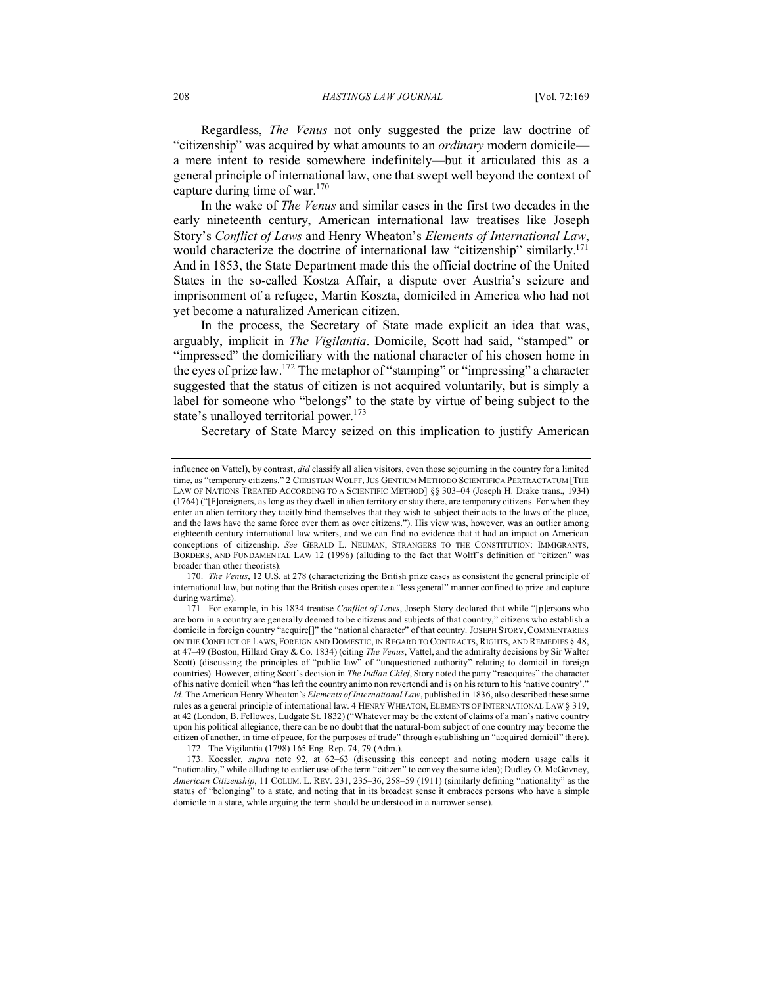Regardless, *The Venus* not only suggested the prize law doctrine of "citizenship" was acquired by what amounts to an *ordinary* modern domicile a mere intent to reside somewhere indefinitely—but it articulated this as a general principle of international law, one that swept well beyond the context of capture during time of war. $170$ 

In the wake of *The Venus* and similar cases in the first two decades in the early nineteenth century, American international law treatises like Joseph Story's *Conflict of Laws* and Henry Wheaton's *Elements of International Law*, would characterize the doctrine of international law "citizenship" similarly.<sup>171</sup> And in 1853, the State Department made this the official doctrine of the United States in the so-called Kostza Affair, a dispute over Austria's seizure and imprisonment of a refugee, Martin Koszta, domiciled in America who had not yet become a naturalized American citizen.

In the process, the Secretary of State made explicit an idea that was, arguably, implicit in *The Vigilantia*. Domicile, Scott had said, "stamped" or "impressed" the domiciliary with the national character of his chosen home in the eyes of prize law.172 The metaphor of "stamping" or "impressing" a character suggested that the status of citizen is not acquired voluntarily, but is simply a label for someone who "belongs" to the state by virtue of being subject to the state's unalloyed territorial power.<sup>173</sup>

Secretary of State Marcy seized on this implication to justify American

influence on Vattel), by contrast, *did* classify all alien visitors, even those sojourning in the country for a limited time, as "temporary citizens." 2 CHRISTIAN WOLFF,JUS GENTIUM METHODO SCIENTIFICA PERTRACTATUM [THE LAW OF NATIONS TREATED ACCORDING TO A SCIENTIFIC METHOD] §§ 303–04 (Joseph H. Drake trans., 1934) (1764) ("[F]oreigners, as long as they dwell in alien territory or stay there, are temporary citizens. For when they enter an alien territory they tacitly bind themselves that they wish to subject their acts to the laws of the place, and the laws have the same force over them as over citizens."). His view was, however, was an outlier among eighteenth century international law writers, and we can find no evidence that it had an impact on American conceptions of citizenship. *See* GERALD L. NEUMAN, STRANGERS TO THE CONSTITUTION: IMMIGRANTS, BORDERS, AND FUNDAMENTAL LAW 12 (1996) (alluding to the fact that Wolff's definition of "citizen" was broader than other theorists).

<sup>170.</sup> *The Venus*, 12 U.S. at 278 (characterizing the British prize cases as consistent the general principle of international law, but noting that the British cases operate a "less general" manner confined to prize and capture during wartime).

<sup>171.</sup> For example, in his 1834 treatise *Conflict of Laws*, Joseph Story declared that while "[p]ersons who are born in a country are generally deemed to be citizens and subjects of that country," citizens who establish a domicile in foreign country "acquire[]" the "national character" of that country. JOSEPH STORY, COMMENTARIES ON THE CONFLICT OF LAWS, FOREIGN AND DOMESTIC, IN REGARD TO CONTRACTS, RIGHTS, AND REMEDIES § 48, at 47–49 (Boston, Hillard Gray & Co. 1834) (citing *The Venus*, Vattel, and the admiralty decisions by Sir Walter Scott) (discussing the principles of "public law" of "unquestioned authority" relating to domicil in foreign countries). However, citing Scott's decision in *The Indian Chief*, Story noted the party "reacquires" the character of his native domicil when "has left the country animo non revertendi and is on his return to his 'native country'." *Id.* The American Henry Wheaton's *Elements of International Law*, published in 1836, also described these same rules as a general principle of international law. 4 HENRY WHEATON, ELEMENTS OF INTERNATIONAL LAW § 319, at 42 (London, B. Fellowes, Ludgate St. 1832) ("Whatever may be the extent of claims of a man's native country upon his political allegiance, there can be no doubt that the natural-born subject of one country may become the citizen of another, in time of peace, for the purposes of trade" through establishing an "acquired domicil" there).

<sup>172.</sup> The Vigilantia (1798) 165 Eng. Rep. 74, 79 (Adm.).

<sup>173.</sup> Koessler, *supra* note 92, at 62–63 (discussing this concept and noting modern usage calls it "nationality," while alluding to earlier use of the term "citizen" to convey the same idea); Dudley O. McGovney, *American Citizenship*, 11 COLUM. L. REV. 231, 235–36, 258–59 (1911) (similarly defining "nationality" as the status of "belonging" to a state, and noting that in its broadest sense it embraces persons who have a simple domicile in a state, while arguing the term should be understood in a narrower sense).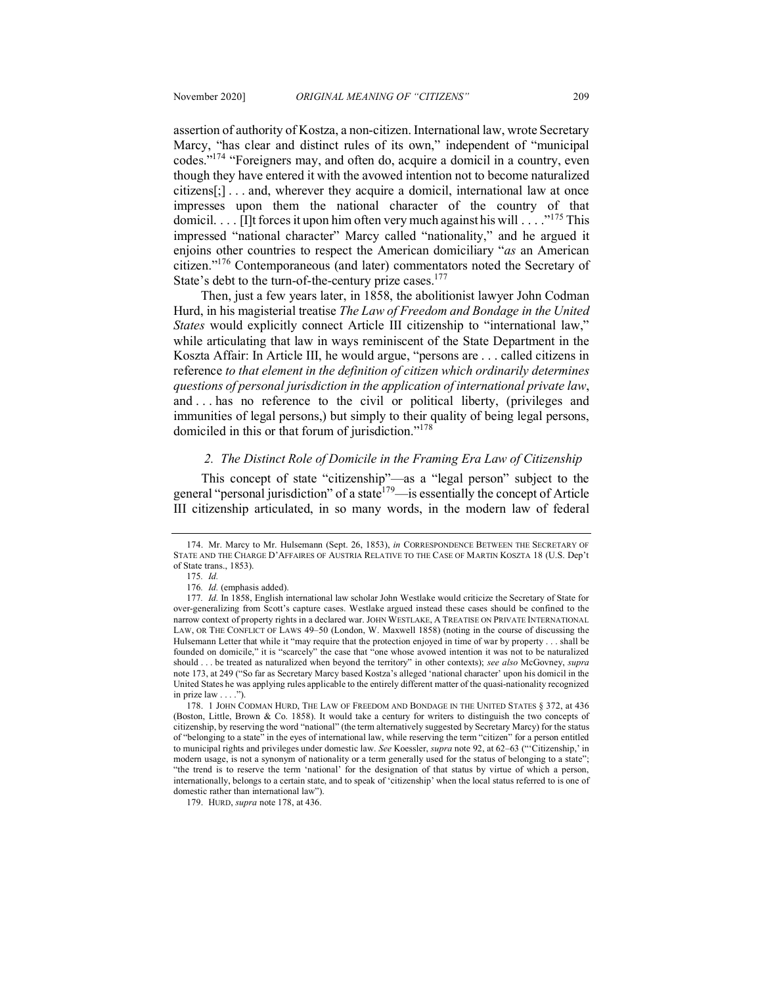assertion of authority of Kostza, a non-citizen. International law, wrote Secretary Marcy, "has clear and distinct rules of its own," independent of "municipal codes."174 "Foreigners may, and often do, acquire a domicil in a country, even though they have entered it with the avowed intention not to become naturalized citizens[;] . . . and, wherever they acquire a domicil, international law at once impresses upon them the national character of the country of that domicil. . . . [I]t forces it upon him often very much against his will . . . . "<sup>175</sup> This impressed "national character" Marcy called "nationality," and he argued it enjoins other countries to respect the American domiciliary "*as* an American citizen."176 Contemporaneous (and later) commentators noted the Secretary of State's debt to the turn-of-the-century prize cases.<sup>177</sup>

Then, just a few years later, in 1858, the abolitionist lawyer John Codman Hurd, in his magisterial treatise *The Law of Freedom and Bondage in the United States* would explicitly connect Article III citizenship to "international law," while articulating that law in ways reminiscent of the State Department in the Koszta Affair: In Article III, he would argue, "persons are . . . called citizens in reference *to that element in the definition of citizen which ordinarily determines questions of personal jurisdiction in the application of international private law*, and . . . has no reference to the civil or political liberty, (privileges and immunities of legal persons,) but simply to their quality of being legal persons, domiciled in this or that forum of jurisdiction."178

### *2. The Distinct Role of Domicile in the Framing Era Law of Citizenship*

This concept of state "citizenship"—as a "legal person" subject to the general "personal jurisdiction" of a state<sup>179</sup>—is essentially the concept of Article III citizenship articulated, in so many words, in the modern law of federal

179. HURD, *supra* note 178, at 436.

<sup>174.</sup> Mr. Marcy to Mr. Hulsemann (Sept. 26, 1853), *in* CORRESPONDENCE BETWEEN THE SECRETARY OF STATE AND THE CHARGE D'AFFAIRES OF AUSTRIA RELATIVE TO THE CASE OF MARTIN KOSZTA 18 (U.S. Dep't of State trans., 1853).

<sup>175</sup>*. Id.*

<sup>176</sup>*. Id.* (emphasis added).

<sup>177</sup>*. Id.* In 1858, English international law scholar John Westlake would criticize the Secretary of State for over-generalizing from Scott's capture cases. Westlake argued instead these cases should be confined to the narrow context of property rights in a declared war. JOHN WESTLAKE, A TREATISE ON PRIVATE INTERNATIONAL LAW, OR THE CONFLICT OF LAWS 49–50 (London, W. Maxwell 1858) (noting in the course of discussing the Hulsemann Letter that while it "may require that the protection enjoyed in time of war by property . . . shall be founded on domicile," it is "scarcely" the case that "one whose avowed intention it was not to be naturalized should . . . be treated as naturalized when beyond the territory" in other contexts); *see also* McGovney, *supra* note 173, at 249 ("So far as Secretary Marcy based Kostza's alleged 'national character' upon his domicil in the United States he was applying rules applicable to the entirely different matter of the quasi-nationality recognized in prize law . . . .").

<sup>178.</sup> 1 JOHN CODMAN HURD, THE LAW OF FREEDOM AND BONDAGE IN THE UNITED STATES § 372, at 436 (Boston, Little, Brown & Co. 1858). It would take a century for writers to distinguish the two concepts of citizenship, by reserving the word "national" (the term alternatively suggested by Secretary Marcy) for the status of "belonging to a state" in the eyes of international law, while reserving the term "citizen" for a person entitled to municipal rights and privileges under domestic law. *See* Koessler, *supra* note 92, at 62–63 ("'Citizenship,' in modern usage, is not a synonym of nationality or a term generally used for the status of belonging to a state"; "the trend is to reserve the term 'national' for the designation of that status by virtue of which a person, internationally, belongs to a certain state, and to speak of 'citizenship' when the local status referred to is one of domestic rather than international law").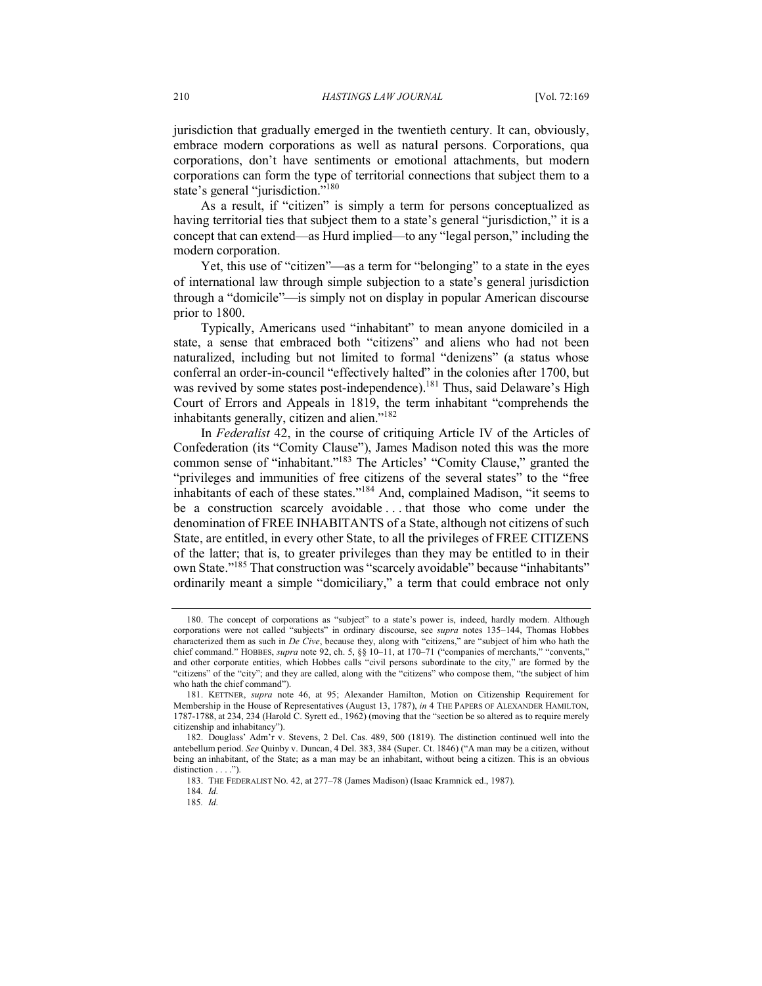jurisdiction that gradually emerged in the twentieth century. It can, obviously, embrace modern corporations as well as natural persons. Corporations, qua corporations, don't have sentiments or emotional attachments, but modern corporations can form the type of territorial connections that subject them to a state's general "jurisdiction."<sup>180</sup>

As a result, if "citizen" is simply a term for persons conceptualized as having territorial ties that subject them to a state's general "jurisdiction," it is a concept that can extend—as Hurd implied—to any "legal person," including the modern corporation.

Yet, this use of "citizen"—as a term for "belonging" to a state in the eyes of international law through simple subjection to a state's general jurisdiction through a "domicile"—is simply not on display in popular American discourse prior to 1800.

Typically, Americans used "inhabitant" to mean anyone domiciled in a state, a sense that embraced both "citizens" and aliens who had not been naturalized, including but not limited to formal "denizens" (a status whose conferral an order-in-council "effectively halted" in the colonies after 1700, but was revived by some states post-independence).<sup>181</sup> Thus, said Delaware's High Court of Errors and Appeals in 1819, the term inhabitant "comprehends the inhabitants generally, citizen and alien."182

In *Federalist* 42, in the course of critiquing Article IV of the Articles of Confederation (its "Comity Clause"), James Madison noted this was the more common sense of "inhabitant."183 The Articles' "Comity Clause," granted the "privileges and immunities of free citizens of the several states" to the "free inhabitants of each of these states."184 And, complained Madison, "it seems to be a construction scarcely avoidable . . . that those who come under the denomination of FREE INHABITANTS of a State, although not citizens of such State, are entitled, in every other State, to all the privileges of FREE CITIZENS of the latter; that is, to greater privileges than they may be entitled to in their own State."185 That construction was "scarcely avoidable" because "inhabitants" ordinarily meant a simple "domiciliary," a term that could embrace not only

<sup>180.</sup> The concept of corporations as "subject" to a state's power is, indeed, hardly modern. Although corporations were not called "subjects" in ordinary discourse, see *supra* notes 135–144, Thomas Hobbes characterized them as such in *De Cive*, because they, along with "citizens," are "subject of him who hath the chief command." HOBBES, *supra* note 92, ch. 5, §§ 10-11, at 170-71 ("companies of merchants," "convents," and other corporate entities, which Hobbes calls "civil persons subordinate to the city," are formed by the "citizens" of the "city"; and they are called, along with the "citizens" who compose them, "the subject of him who hath the chief command").

<sup>181.</sup> KETTNER, *supra* note 46, at 95; Alexander Hamilton, Motion on Citizenship Requirement for Membership in the House of Representatives (August 13, 1787), *in* 4 THE PAPERS OF ALEXANDER HAMILTON, 1787-1788, at 234, 234 (Harold C. Syrett ed., 1962) (moving that the "section be so altered as to require merely citizenship and inhabitancy").

<sup>182.</sup> Douglass' Adm'r v. Stevens, 2 Del. Cas. 489, 500 (1819). The distinction continued well into the antebellum period. *See* Quinby v. Duncan, 4 Del. 383, 384 (Super. Ct. 1846) ("A man may be a citizen, without being an inhabitant, of the State; as a man may be an inhabitant, without being a citizen. This is an obvious distinction . . . .").

<sup>183.</sup> THE FEDERALIST NO. 42, at 277–78 (James Madison) (Isaac Kramnick ed., 1987).

<sup>184</sup>*. Id.*

<sup>185</sup>*. Id.*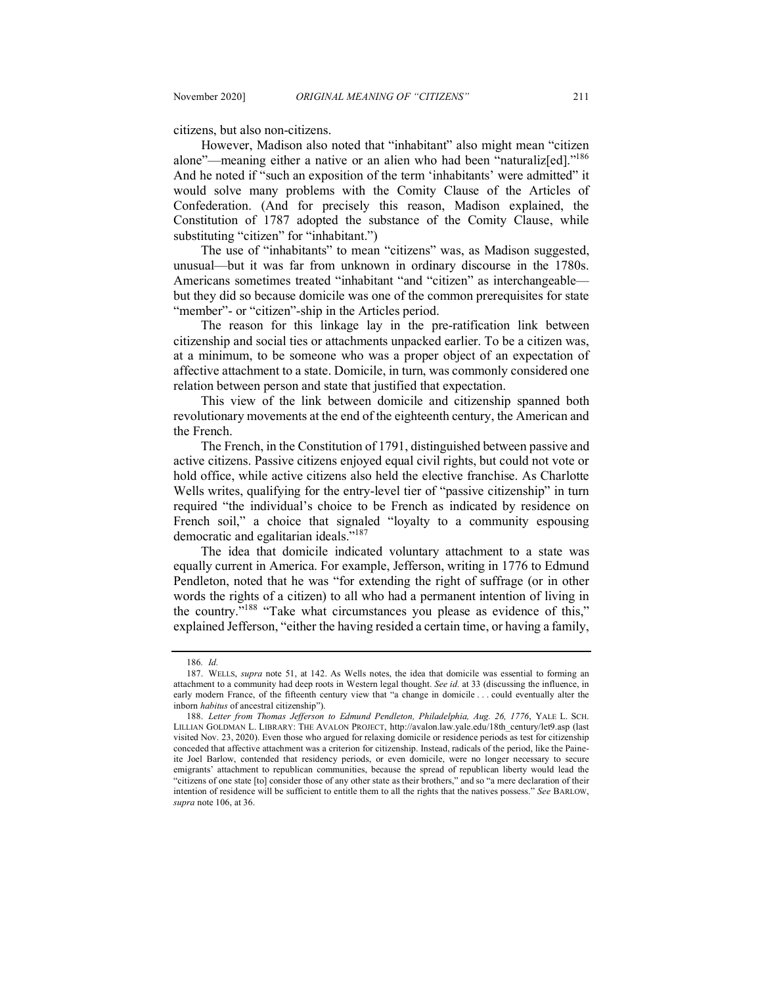citizens, but also non-citizens.

However, Madison also noted that "inhabitant" also might mean "citizen alone"—meaning either a native or an alien who had been "naturaliz[ed]."<sup>186</sup> And he noted if "such an exposition of the term 'inhabitants' were admitted" it would solve many problems with the Comity Clause of the Articles of Confederation. (And for precisely this reason, Madison explained, the Constitution of 1787 adopted the substance of the Comity Clause, while substituting "citizen" for "inhabitant.")

The use of "inhabitants" to mean "citizens" was, as Madison suggested, unusual—but it was far from unknown in ordinary discourse in the 1780s. Americans sometimes treated "inhabitant "and "citizen" as interchangeable but they did so because domicile was one of the common prerequisites for state "member"- or "citizen"-ship in the Articles period.

The reason for this linkage lay in the pre-ratification link between citizenship and social ties or attachments unpacked earlier. To be a citizen was, at a minimum, to be someone who was a proper object of an expectation of affective attachment to a state. Domicile, in turn, was commonly considered one relation between person and state that justified that expectation.

This view of the link between domicile and citizenship spanned both revolutionary movements at the end of the eighteenth century, the American and the French.

The French, in the Constitution of 1791, distinguished between passive and active citizens. Passive citizens enjoyed equal civil rights, but could not vote or hold office, while active citizens also held the elective franchise. As Charlotte Wells writes, qualifying for the entry-level tier of "passive citizenship" in turn required "the individual's choice to be French as indicated by residence on French soil," a choice that signaled "loyalty to a community espousing democratic and egalitarian ideals."187

The idea that domicile indicated voluntary attachment to a state was equally current in America. For example, Jefferson, writing in 1776 to Edmund Pendleton, noted that he was "for extending the right of suffrage (or in other words the rights of a citizen) to all who had a permanent intention of living in the country."188 "Take what circumstances you please as evidence of this," explained Jefferson, "either the having resided a certain time, or having a family,

<sup>186</sup>*. Id.*

<sup>187.</sup> WELLS, *supra* note 51, at 142. As Wells notes, the idea that domicile was essential to forming an attachment to a community had deep roots in Western legal thought. *See id.* at 33 (discussing the influence, in early modern France, of the fifteenth century view that "a change in domicile . . . could eventually alter the inborn *habitus* of ancestral citizenship").

<sup>188.</sup> *Letter from Thomas Jefferson to Edmund Pendleton, Philadelphia, Aug. 26, 1776*, YALE L. SCH. LILLIAN GOLDMAN L. LIBRARY: THE AVALON PROJECT, http://avalon.law.yale.edu/18th\_century/let9.asp (last visited Nov. 23, 2020). Even those who argued for relaxing domicile or residence periods as test for citizenship conceded that affective attachment was a criterion for citizenship. Instead, radicals of the period, like the Paineite Joel Barlow, contended that residency periods, or even domicile, were no longer necessary to secure emigrants' attachment to republican communities, because the spread of republican liberty would lead the "citizens of one state [to] consider those of any other state as their brothers," and so "a mere declaration of their intention of residence will be sufficient to entitle them to all the rights that the natives possess." *See* BARLOW, *supra* note 106, at 36.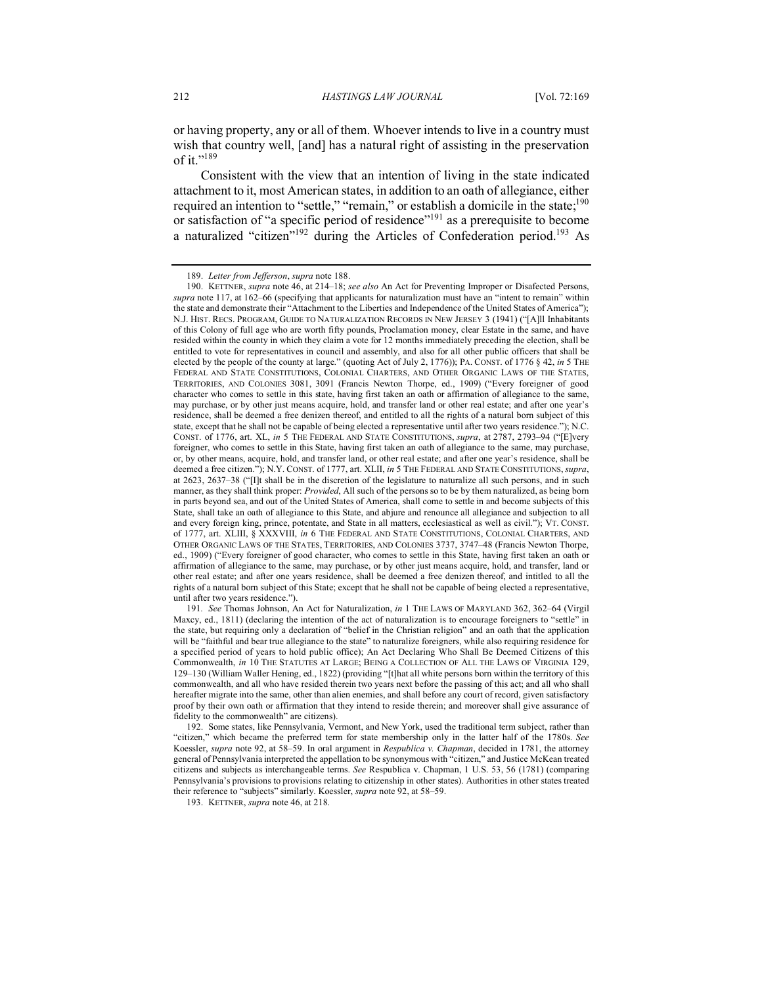or having property, any or all of them. Whoever intends to live in a country must wish that country well, [and] has a natural right of assisting in the preservation of it."189

Consistent with the view that an intention of living in the state indicated attachment to it, most American states, in addition to an oath of allegiance, either required an intention to "settle," "remain," or establish a domicile in the state;<sup>190</sup> or satisfaction of "a specific period of residence"191 as a prerequisite to become a naturalized "citizen"<sup>192</sup> during the Articles of Confederation period.<sup>193</sup> As

193. KETTNER, *supra* note 46, at 218.

<sup>189.</sup> *Letter from Jefferson*, *supra* note 188.

<sup>190.</sup> KETTNER, *supra* note 46, at 214–18; *see also* An Act for Preventing Improper or Disafected Persons, *supra* note 117, at 162–66 (specifying that applicants for naturalization must have an "intent to remain" within the state and demonstrate their "Attachment to the Liberties and Independence of the United States of America"); N.J. HIST. RECS. PROGRAM, GUIDE TO NATURALIZATION RECORDS IN NEW JERSEY 3 (1941) ("[A]ll Inhabitants of this Colony of full age who are worth fifty pounds, Proclamation money, clear Estate in the same, and have resided within the county in which they claim a vote for 12 months immediately preceding the election, shall be entitled to vote for representatives in council and assembly, and also for all other public officers that shall be elected by the people of the county at large." (quoting Act of July 2, 1776)); PA. CONST. of 1776 § 42, *in* 5 THE FEDERAL AND STATE CONSTITUTIONS, COLONIAL CHARTERS, AND OTHER ORGANIC LAWS OF THE STATES, TERRITORIES, AND COLONIES 3081, 3091 (Francis Newton Thorpe, ed., 1909) ("Every foreigner of good character who comes to settle in this state, having first taken an oath or affirmation of allegiance to the same, may purchase, or by other just means acquire, hold, and transfer land or other real estate; and after one year's residence, shall be deemed a free denizen thereof, and entitled to all the rights of a natural born subject of this state, except that he shall not be capable of being elected a representative until after two years residence."); N.C. CONST. of 1776, art. XL, *in* 5 THE FEDERAL AND STATE CONSTITUTIONS, *supra*, at 2787, 2793–94 ("[E]very foreigner, who comes to settle in this State, having first taken an oath of allegiance to the same, may purchase, or, by other means, acquire, hold, and transfer land, or other real estate; and after one year's residence, shall be deemed a free citizen."); N.Y. CONST. of 1777, art. XLII, *in* 5 THE FEDERAL AND STATE CONSTITUTIONS, *supra*, at 2623, 2637–38 ("[I]t shall be in the discretion of the legislature to naturalize all such persons, and in such manner, as they shall think proper: *Provided*, All such of the persons so to be by them naturalized, as being born in parts beyond sea, and out of the United States of America, shall come to settle in and become subjects of this State, shall take an oath of allegiance to this State, and abjure and renounce all allegiance and subjection to all and every foreign king, prince, potentate, and State in all matters, ecclesiastical as well as civil."); VT. CONST. of 1777, art. XLIII, § XXXVIII, *in* 6 THE FEDERAL AND STATE CONSTITUTIONS, COLONIAL CHARTERS, AND OTHER ORGANIC LAWS OF THE STATES, TERRITORIES, AND COLONIES 3737, 3747–48 (Francis Newton Thorpe, ed., 1909) ("Every foreigner of good character, who comes to settle in this State, having first taken an oath or affirmation of allegiance to the same, may purchase, or by other just means acquire, hold, and transfer, land or other real estate; and after one years residence, shall be deemed a free denizen thereof, and intitled to all the rights of a natural born subject of this State; except that he shall not be capable of being elected a representative, until after two years residence.").

<sup>191</sup>*. See* Thomas Johnson, An Act for Naturalization, *in* 1 THE LAWS OF MARYLAND 362, 362–64 (Virgil Maxcy, ed., 1811) (declaring the intention of the act of naturalization is to encourage foreigners to "settle" in the state, but requiring only a declaration of "belief in the Christian religion" and an oath that the application will be "faithful and bear true allegiance to the state" to naturalize foreigners, while also requiring residence for a specified period of years to hold public office); An Act Declaring Who Shall Be Deemed Citizens of this Commonwealth, *in* 10 THE STATUTES AT LARGE; BEING A COLLECTION OF ALL THE LAWS OF VIRGINIA 129, 129–130 (William Waller Hening, ed., 1822) (providing "[t]hat all white persons born within the territory of this commonwealth, and all who have resided therein two years next before the passing of this act; and all who shall hereafter migrate into the same, other than alien enemies, and shall before any court of record, given satisfactory proof by their own oath or affirmation that they intend to reside therein; and moreover shall give assurance of fidelity to the commonwealth" are citizens).

<sup>192.</sup> Some states, like Pennsylvania, Vermont, and New York, used the traditional term subject, rather than "citizen," which became the preferred term for state membership only in the latter half of the 1780s. *See* Koessler, *supra* note 92, at 58–59. In oral argument in *Respublica v. Chapman*, decided in 1781, the attorney general of Pennsylvania interpreted the appellation to be synonymous with "citizen," and Justice McKean treated citizens and subjects as interchangeable terms. *See* Respublica v. Chapman, 1 U.S. 53, 56 (1781) (comparing Pennsylvania's provisions to provisions relating to citizenship in other states). Authorities in other states treated their reference to "subjects" similarly. Koessler, *supra* note 92, at 58–59.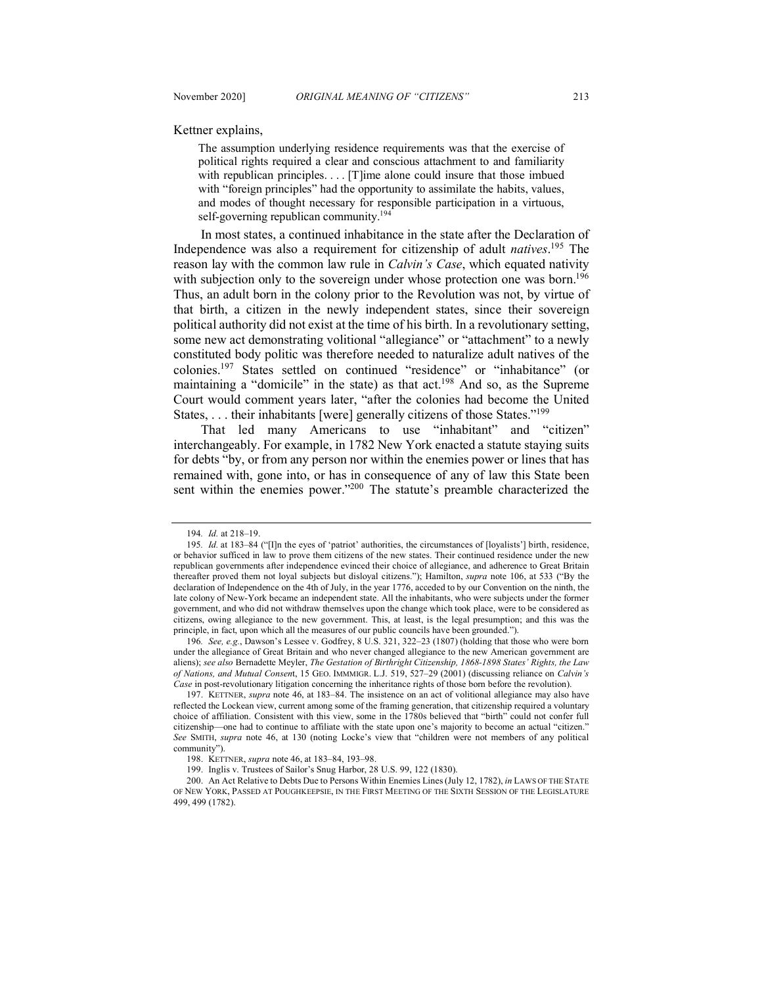Kettner explains,

The assumption underlying residence requirements was that the exercise of political rights required a clear and conscious attachment to and familiarity with republican principles. . . . [T]ime alone could insure that those imbued with "foreign principles" had the opportunity to assimilate the habits, values, and modes of thought necessary for responsible participation in a virtuous, self-governing republican community.<sup>194</sup>

In most states, a continued inhabitance in the state after the Declaration of Independence was also a requirement for citizenship of adult *natives*. <sup>195</sup> The reason lay with the common law rule in *Calvin's Case*, which equated nativity with subjection only to the sovereign under whose protection one was born.<sup>196</sup> Thus, an adult born in the colony prior to the Revolution was not, by virtue of that birth, a citizen in the newly independent states, since their sovereign political authority did not exist at the time of his birth. In a revolutionary setting, some new act demonstrating volitional "allegiance" or "attachment" to a newly constituted body politic was therefore needed to naturalize adult natives of the colonies.197 States settled on continued "residence" or "inhabitance" (or maintaining a "domicile" in the state) as that act.<sup>198</sup> And so, as the Supreme Court would comment years later, "after the colonies had become the United States, ... their inhabitants [were] generally citizens of those States."<sup>199</sup>

That led many Americans to use "inhabitant" and "citizen" interchangeably. For example, in 1782 New York enacted a statute staying suits for debts "by, or from any person nor within the enemies power or lines that has remained with, gone into, or has in consequence of any of law this State been sent within the enemies power."<sup>200</sup> The statute's preamble characterized the

<sup>194</sup>*. Id.* at 218–19.

<sup>195</sup>*. Id.* at 183–84 ("[I]n the eyes of 'patriot' authorities, the circumstances of [loyalists'] birth, residence, or behavior sufficed in law to prove them citizens of the new states. Their continued residence under the new republican governments after independence evinced their choice of allegiance, and adherence to Great Britain thereafter proved them not loyal subjects but disloyal citizens."); Hamilton, *supra* note 106, at 533 ("By the declaration of Independence on the 4th of July, in the year 1776, acceded to by our Convention on the ninth, the late colony of New-York became an independent state. All the inhabitants, who were subjects under the former government, and who did not withdraw themselves upon the change which took place, were to be considered as citizens, owing allegiance to the new government. This, at least, is the legal presumption; and this was the principle, in fact, upon which all the measures of our public councils have been grounded.").

<sup>196</sup>*. See, e.g.*, Dawson's Lessee v. Godfrey, 8 U.S. 321, 322–23 (1807) (holding that those who were born under the allegiance of Great Britain and who never changed allegiance to the new American government are aliens); *see also* Bernadette Meyler, *The Gestation of Birthright Citizenship, 1868-1898 States' Rights, the Law of Nations, and Mutual Consen*t, 15 GEO. IMMMIGR. L.J. 519, 527–29 (2001) (discussing reliance on *Calvin's Case* in post-revolutionary litigation concerning the inheritance rights of those born before the revolution).

<sup>197.</sup> KETTNER, *supra* note 46, at 183–84. The insistence on an act of volitional allegiance may also have reflected the Lockean view, current among some of the framing generation, that citizenship required a voluntary choice of affiliation. Consistent with this view, some in the 1780s believed that "birth" could not confer full citizenship—one had to continue to affiliate with the state upon one's majority to become an actual "citizen." *See* SMITH, *supra* note 46, at 130 (noting Locke's view that "children were not members of any political community").

<sup>198.</sup> KETTNER, *supra* note 46, at 183–84, 193–98.

<sup>199.</sup> Inglis v. Trustees of Sailor's Snug Harbor, 28 U.S. 99, 122 (1830).

<sup>200.</sup> An Act Relative to Debts Due to Persons Within Enemies Lines (July 12, 1782), *in* LAWS OF THE STATE OF NEW YORK, PASSED AT POUGHKEEPSIE, IN THE FIRST MEETING OF THE SIXTH SESSION OF THE LEGISLATURE 499, 499 (1782).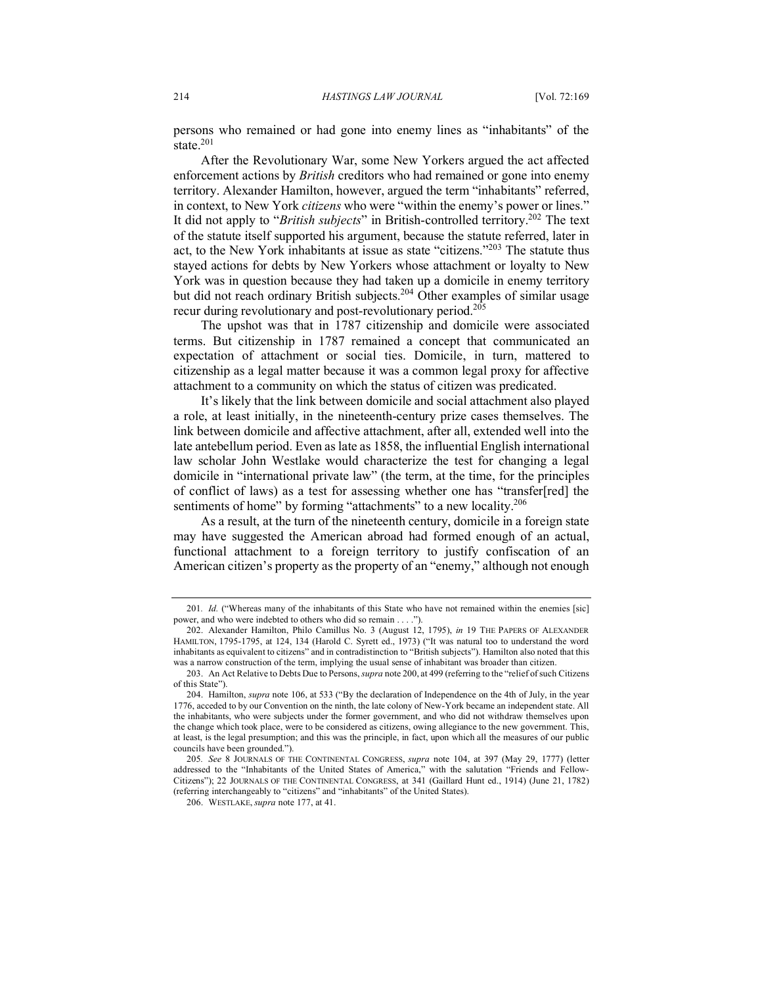persons who remained or had gone into enemy lines as "inhabitants" of the state.<sup>201</sup>

After the Revolutionary War, some New Yorkers argued the act affected enforcement actions by *British* creditors who had remained or gone into enemy territory. Alexander Hamilton, however, argued the term "inhabitants" referred, in context, to New York *citizens* who were "within the enemy's power or lines." It did not apply to "*British subjects*" in British-controlled territory.202 The text of the statute itself supported his argument, because the statute referred, later in act, to the New York inhabitants at issue as state "citizens."203 The statute thus stayed actions for debts by New Yorkers whose attachment or loyalty to New York was in question because they had taken up a domicile in enemy territory but did not reach ordinary British subjects.<sup>204</sup> Other examples of similar usage recur during revolutionary and post-revolutionary period.<sup>205</sup>

The upshot was that in 1787 citizenship and domicile were associated terms. But citizenship in 1787 remained a concept that communicated an expectation of attachment or social ties. Domicile, in turn, mattered to citizenship as a legal matter because it was a common legal proxy for affective attachment to a community on which the status of citizen was predicated.

It's likely that the link between domicile and social attachment also played a role, at least initially, in the nineteenth-century prize cases themselves. The link between domicile and affective attachment, after all, extended well into the late antebellum period. Even as late as 1858, the influential English international law scholar John Westlake would characterize the test for changing a legal domicile in "international private law" (the term, at the time, for the principles of conflict of laws) as a test for assessing whether one has "transfer[red] the sentiments of home" by forming "attachments" to a new locality.<sup>206</sup>

As a result, at the turn of the nineteenth century, domicile in a foreign state may have suggested the American abroad had formed enough of an actual, functional attachment to a foreign territory to justify confiscation of an American citizen's property as the property of an "enemy," although not enough

<sup>201</sup>*. Id.* ("Whereas many of the inhabitants of this State who have not remained within the enemies [sic] power, and who were indebted to others who did so remain . . . ."

<sup>202.</sup> Alexander Hamilton, Philo Camillus No. 3 (August 12, 1795), *in* 19 THE PAPERS OF ALEXANDER HAMILTON, 1795-1795, at 124, 134 (Harold C. Syrett ed., 1973) ("It was natural too to understand the word inhabitants as equivalent to citizens" and in contradistinction to "British subjects"). Hamilton also noted that this was a narrow construction of the term, implying the usual sense of inhabitant was broader than citizen.

<sup>203.</sup> An Act Relative to Debts Due to Persons, *supra* note 200, at 499 (referring to the "relief of such Citizens of this State").

<sup>204.</sup> Hamilton, *supra* note 106, at 533 ("By the declaration of Independence on the 4th of July, in the year 1776, acceded to by our Convention on the ninth, the late colony of New-York became an independent state. All the inhabitants, who were subjects under the former government, and who did not withdraw themselves upon the change which took place, were to be considered as citizens, owing allegiance to the new government. This, at least, is the legal presumption; and this was the principle, in fact, upon which all the measures of our public councils have been grounded.").

<sup>205</sup>*. See* 8 JOURNALS OF THE CONTINENTAL CONGRESS, *supra* note 104, at 397 (May 29, 1777) (letter addressed to the "Inhabitants of the United States of America," with the salutation "Friends and Fellow-Citizens"); 22 JOURNALS OF THE CONTINENTAL CONGRESS, at 341 (Gaillard Hunt ed., 1914) (June 21, 1782) (referring interchangeably to "citizens" and "inhabitants" of the United States).

<sup>206.</sup> WESTLAKE, *supra* note 177, at 41.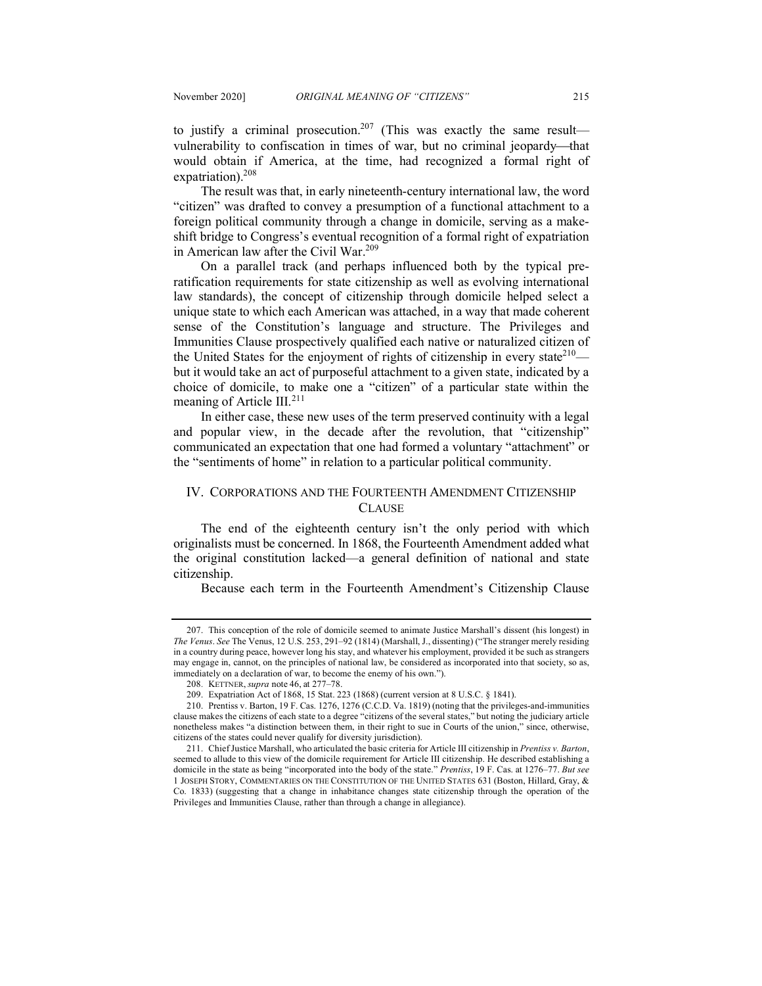to justify a criminal prosecution.<sup>207</sup> (This was exactly the same result vulnerability to confiscation in times of war, but no criminal jeopardy—that would obtain if America, at the time, had recognized a formal right of expatriation).<sup>208</sup>

The result was that, in early nineteenth-century international law, the word "citizen" was drafted to convey a presumption of a functional attachment to a foreign political community through a change in domicile, serving as a makeshift bridge to Congress's eventual recognition of a formal right of expatriation in American law after the Civil War.<sup>209</sup>

On a parallel track (and perhaps influenced both by the typical preratification requirements for state citizenship as well as evolving international law standards), the concept of citizenship through domicile helped select a unique state to which each American was attached, in a way that made coherent sense of the Constitution's language and structure. The Privileges and Immunities Clause prospectively qualified each native or naturalized citizen of the United States for the enjoyment of rights of citizenship in every state<sup>210</sup> but it would take an act of purposeful attachment to a given state, indicated by a choice of domicile, to make one a "citizen" of a particular state within the meaning of Article III.<sup>211</sup>

In either case, these new uses of the term preserved continuity with a legal and popular view, in the decade after the revolution, that "citizenship" communicated an expectation that one had formed a voluntary "attachment" or the "sentiments of home" in relation to a particular political community.

## IV. CORPORATIONS AND THE FOURTEENTH AMENDMENT CITIZENSHIP **CLAUSE**

The end of the eighteenth century isn't the only period with which originalists must be concerned. In 1868, the Fourteenth Amendment added what the original constitution lacked—a general definition of national and state citizenship.

Because each term in the Fourteenth Amendment's Citizenship Clause

<sup>207.</sup> This conception of the role of domicile seemed to animate Justice Marshall's dissent (his longest) in *The Venus*. *See* The Venus, 12 U.S. 253, 291–92 (1814) (Marshall, J., dissenting) ("The stranger merely residing in a country during peace, however long his stay, and whatever his employment, provided it be such as strangers may engage in, cannot, on the principles of national law, be considered as incorporated into that society, so as, immediately on a declaration of war, to become the enemy of his own.").

<sup>208.</sup> KETTNER, *supra* note 46, at 277–78.

<sup>209.</sup> Expatriation Act of 1868, 15 Stat. 223 (1868) (current version at 8 U.S.C. § 1841).

<sup>210.</sup> Prentiss v. Barton, 19 F. Cas. 1276, 1276 (C.C.D. Va. 1819) (noting that the privileges-and-immunities clause makes the citizens of each state to a degree "citizens of the several states," but noting the judiciary article nonetheless makes "a distinction between them, in their right to sue in Courts of the union," since, otherwise, citizens of the states could never qualify for diversity jurisdiction).

<sup>211.</sup> Chief Justice Marshall, who articulated the basic criteria for Article III citizenship in *Prentiss v. Barton*, seemed to allude to this view of the domicile requirement for Article III citizenship. He described establishing a domicile in the state as being "incorporated into the body of the state." *Prentiss*, 19 F. Cas. at 1276–77. *But see*  1 JOSEPH STORY, COMMENTARIES ON THE CONSTITUTION OF THE UNITED STATES 631 (Boston, Hillard, Gray, & Co. 1833) (suggesting that a change in inhabitance changes state citizenship through the operation of the Privileges and Immunities Clause, rather than through a change in allegiance).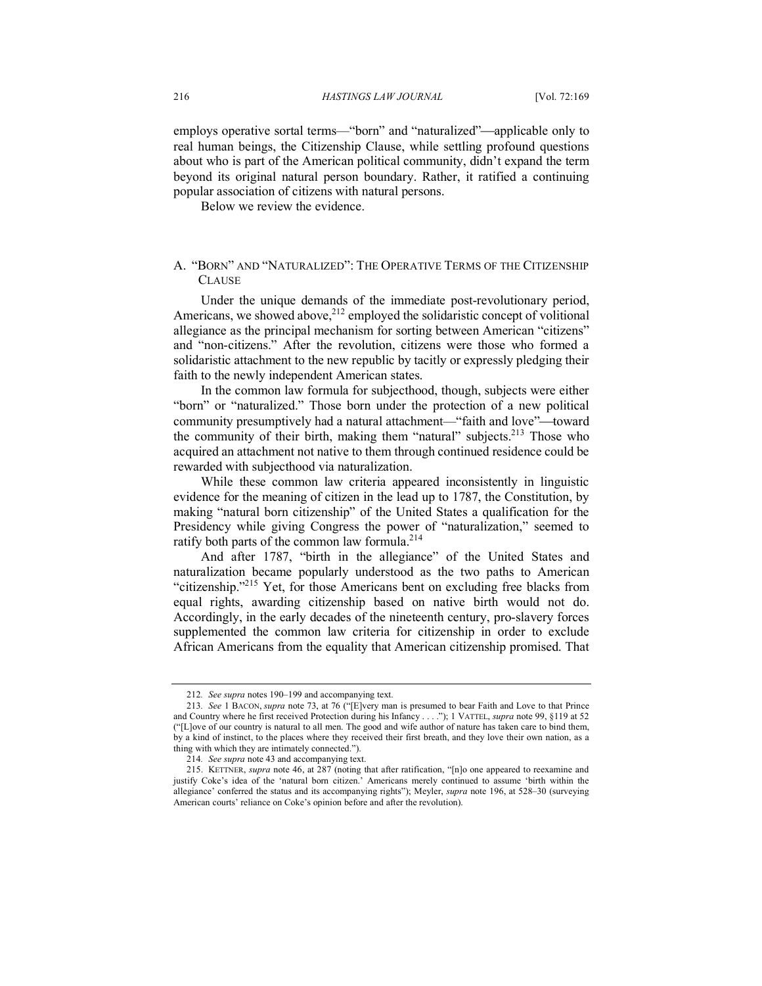employs operative sortal terms—"born" and "naturalized"—applicable only to real human beings, the Citizenship Clause, while settling profound questions about who is part of the American political community, didn't expand the term beyond its original natural person boundary. Rather, it ratified a continuing popular association of citizens with natural persons.

Below we review the evidence.

## A. "BORN" AND "NATURALIZED": THE OPERATIVE TERMS OF THE CITIZENSHIP **CLAUSE**

Under the unique demands of the immediate post-revolutionary period, Americans, we showed above, $2^{12}$  employed the solidaristic concept of volitional allegiance as the principal mechanism for sorting between American "citizens" and "non-citizens." After the revolution, citizens were those who formed a solidaristic attachment to the new republic by tacitly or expressly pledging their faith to the newly independent American states.

In the common law formula for subjecthood, though, subjects were either "born" or "naturalized." Those born under the protection of a new political community presumptively had a natural attachment—"faith and love"—toward the community of their birth, making them "natural" subjects.<sup>213</sup> Those who acquired an attachment not native to them through continued residence could be rewarded with subjecthood via naturalization.

While these common law criteria appeared inconsistently in linguistic evidence for the meaning of citizen in the lead up to 1787, the Constitution, by making "natural born citizenship" of the United States a qualification for the Presidency while giving Congress the power of "naturalization," seemed to ratify both parts of the common law formula.<sup>214</sup>

And after 1787, "birth in the allegiance" of the United States and naturalization became popularly understood as the two paths to American "citizenship."<sup>215</sup> Yet, for those Americans bent on excluding free blacks from equal rights, awarding citizenship based on native birth would not do. Accordingly, in the early decades of the nineteenth century, pro-slavery forces supplemented the common law criteria for citizenship in order to exclude African Americans from the equality that American citizenship promised. That

<sup>212</sup>*. See supra* notes 190–199 and accompanying text.

<sup>213</sup>*. See* 1 BACON, *supra* note 73, at 76 ("[E]very man is presumed to bear Faith and Love to that Prince and Country where he first received Protection during his Infancy . . . ."); 1 VATTEL, *supra* note 99, §119 at 52 ("[L]ove of our country is natural to all men. The good and wife author of nature has taken care to bind them, by a kind of instinct, to the places where they received their first breath, and they love their own nation, as a thing with which they are intimately connected.").

<sup>214</sup>*. See supra* note 43 and accompanying text.

<sup>215.</sup> KETTNER, *supra* note 46, at 287 (noting that after ratification, "[n]o one appeared to reexamine and justify Coke's idea of the 'natural born citizen.' Americans merely continued to assume 'birth within the allegiance' conferred the status and its accompanying rights"); Meyler, *supra* note 196, at 528–30 (surveying American courts' reliance on Coke's opinion before and after the revolution).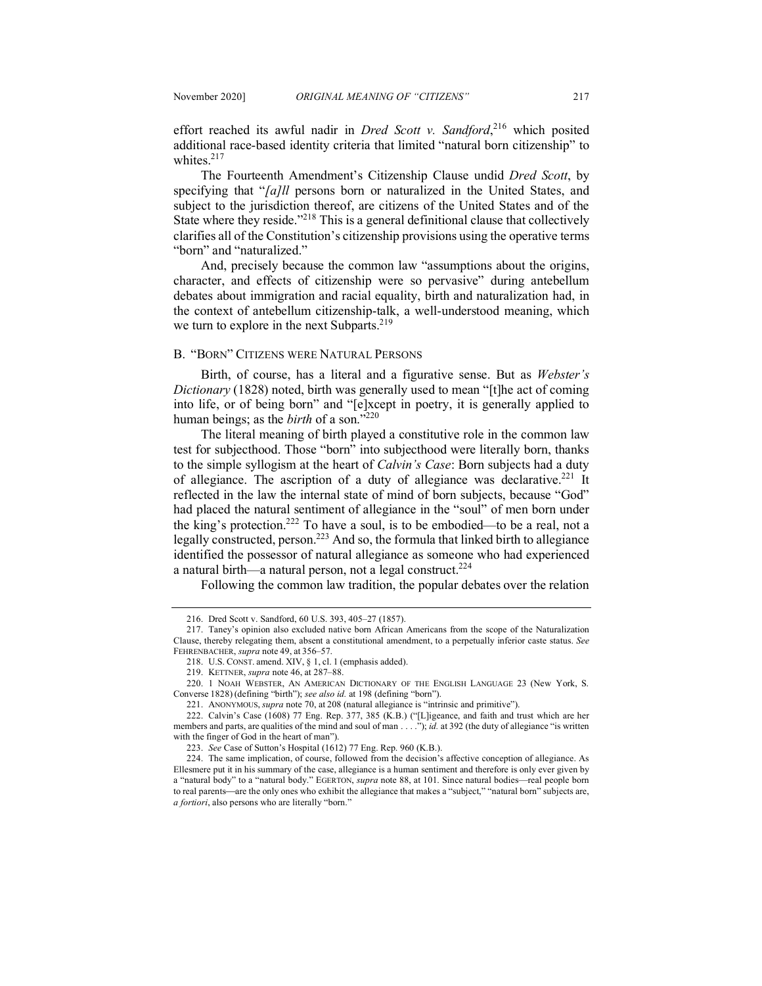effort reached its awful nadir in *Dred Scott v. Sandford*, <sup>216</sup> which posited additional race-based identity criteria that limited "natural born citizenship" to whites.<sup>217</sup>

The Fourteenth Amendment's Citizenship Clause undid *Dred Scott*, by specifying that "*[a]ll* persons born or naturalized in the United States, and subject to the jurisdiction thereof, are citizens of the United States and of the State where they reside."<sup>218</sup> This is a general definitional clause that collectively clarifies all of the Constitution's citizenship provisions using the operative terms "born" and "naturalized."

And, precisely because the common law "assumptions about the origins, character, and effects of citizenship were so pervasive" during antebellum debates about immigration and racial equality, birth and naturalization had, in the context of antebellum citizenship-talk, a well-understood meaning, which we turn to explore in the next Subparts.<sup>219</sup>

#### B. "BORN" CITIZENS WERE NATURAL PERSONS

Birth, of course, has a literal and a figurative sense. But as *Webster's Dictionary* (1828) noted, birth was generally used to mean "[t]he act of coming into life, or of being born" and "[e]xcept in poetry, it is generally applied to human beings; as the *birth* of a son."<sup>220</sup>

The literal meaning of birth played a constitutive role in the common law test for subjecthood. Those "born" into subjecthood were literally born, thanks to the simple syllogism at the heart of *Calvin's Case*: Born subjects had a duty of allegiance. The ascription of a duty of allegiance was declarative.<sup>221</sup> It reflected in the law the internal state of mind of born subjects, because "God" had placed the natural sentiment of allegiance in the "soul" of men born under the king's protection.222 To have a soul, is to be embodied—to be a real, not a legally constructed, person.<sup>223</sup> And so, the formula that linked birth to allegiance identified the possessor of natural allegiance as someone who had experienced a natural birth—a natural person, not a legal construct.<sup>224</sup>

Following the common law tradition, the popular debates over the relation

<sup>216.</sup> Dred Scott v. Sandford, 60 U.S. 393, 405–27 (1857).

<sup>217.</sup> Taney's opinion also excluded native born African Americans from the scope of the Naturalization Clause, thereby relegating them, absent a constitutional amendment, to a perpetually inferior caste status. *See* FEHRENBACHER, *supra* note 49, at 356–57.

<sup>218.</sup> U.S. CONST. amend. XIV, § 1, cl. 1 (emphasis added).

<sup>219.</sup> KETTNER, *supra* note 46, at 287–88.

<sup>220.</sup> 1 NOAH WEBSTER, AN AMERICAN DICTIONARY OF THE ENGLISH LANGUAGE 23 (New York, S. Converse 1828) (defining "birth"); *see also id.* at 198 (defining "born").

<sup>221.</sup> ANONYMOUS, *supra* note 70, at 208 (natural allegiance is "intrinsic and primitive").

<sup>222.</sup> Calvin's Case (1608) 77 Eng. Rep. 377, 385 (K.B.) ("[L]igeance, and faith and trust which are her members and parts, are qualities of the mind and soul of man . . . ."); *id.* at 392 (the duty of allegiance "is written with the finger of God in the heart of man").

<sup>223.</sup> *See* Case of Sutton's Hospital (1612) 77 Eng. Rep. 960 (K.B.).

<sup>224.</sup> The same implication, of course, followed from the decision's affective conception of allegiance. As Ellesmere put it in his summary of the case, allegiance is a human sentiment and therefore is only ever given by a "natural body" to a "natural body." EGERTON, *supra* note 88, at 101. Since natural bodies—real people born to real parents—are the only ones who exhibit the allegiance that makes a "subject," "natural born" subjects are, *a fortiori*, also persons who are literally "born."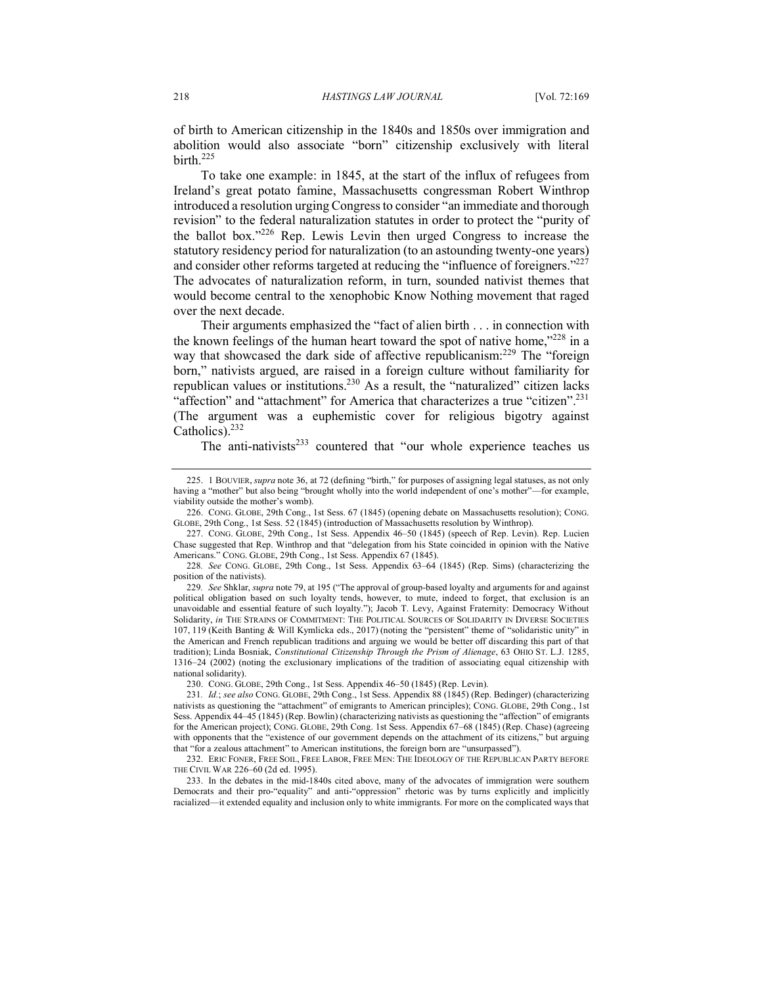of birth to American citizenship in the 1840s and 1850s over immigration and abolition would also associate "born" citizenship exclusively with literal birth.<sup>225</sup>

To take one example: in 1845, at the start of the influx of refugees from Ireland's great potato famine, Massachusetts congressman Robert Winthrop introduced a resolution urging Congress to consider "an immediate and thorough revision" to the federal naturalization statutes in order to protect the "purity of the ballot box."226 Rep. Lewis Levin then urged Congress to increase the statutory residency period for naturalization (to an astounding twenty-one years) and consider other reforms targeted at reducing the "influence of foreigners."<sup>227</sup> The advocates of naturalization reform, in turn, sounded nativist themes that would become central to the xenophobic Know Nothing movement that raged over the next decade.

Their arguments emphasized the "fact of alien birth . . . in connection with the known feelings of the human heart toward the spot of native home,"<sup>228</sup> in a way that showcased the dark side of affective republicanism:<sup>229</sup> The "foreign born," nativists argued, are raised in a foreign culture without familiarity for republican values or institutions.230 As a result, the "naturalized" citizen lacks "affection" and "attachment" for America that characterizes a true "citizen".<sup>231</sup> (The argument was a euphemistic cover for religious bigotry against Catholics).232

The anti-nativists $233$  countered that "our whole experience teaches us

228*. See* CONG. GLOBE, 29th Cong., 1st Sess. Appendix 63–64 (1845) (Rep. Sims) (characterizing the position of the nativists).

229*. See* Shklar, *supra* note 79, at 195 ("The approval of group-based loyalty and arguments for and against political obligation based on such loyalty tends, however, to mute, indeed to forget, that exclusion is an unavoidable and essential feature of such loyalty."); Jacob T. Levy, Against Fraternity: Democracy Without Solidarity, *in* THE STRAINS OF COMMITMENT: THE POLITICAL SOURCES OF SOLIDARITY IN DIVERSE SOCIETIES 107, 119 (Keith Banting & Will Kymlicka eds., 2017) (noting the "persistent" theme of "solidaristic unity" in the American and French republican traditions and arguing we would be better off discarding this part of that tradition); Linda Bosniak, *Constitutional Citizenship Through the Prism of Alienage*, 63 OHIO ST. L.J. 1285, 1316–24 (2002) (noting the exclusionary implications of the tradition of associating equal citizenship with national solidarity).

230. CONG. GLOBE, 29th Cong., 1st Sess. Appendix 46–50 (1845) (Rep. Levin).

232. ERIC FONER, FREE SOIL, FREE LABOR, FREE MEN: THE IDEOLOGY OF THE REPUBLICAN PARTY BEFORE THE CIVIL WAR 226–60 (2d ed. 1995).

233. In the debates in the mid-1840s cited above, many of the advocates of immigration were southern Democrats and their pro-"equality" and anti-"oppression" rhetoric was by turns explicitly and implicitly racialized—it extended equality and inclusion only to white immigrants. For more on the complicated ways that

<sup>225.</sup> 1 BOUVIER, *supra* note 36, at 72 (defining "birth," for purposes of assigning legal statuses, as not only having a "mother" but also being "brought wholly into the world independent of one's mother"-for example, viability outside the mother's womb).

<sup>226.</sup> CONG. GLOBE, 29th Cong., 1st Sess. 67 (1845) (opening debate on Massachusetts resolution); CONG. GLOBE, 29th Cong., 1st Sess. 52 (1845) (introduction of Massachusetts resolution by Winthrop).

<sup>227.</sup> CONG. GLOBE, 29th Cong., 1st Sess. Appendix 46–50 (1845) (speech of Rep. Levin). Rep. Lucien Chase suggested that Rep. Winthrop and that "delegation from his State coincided in opinion with the Native Americans." CONG. GLOBE, 29th Cong., 1st Sess. Appendix 67 (1845).

<sup>231</sup>*. Id.*; *see also* CONG. GLOBE, 29th Cong., 1st Sess. Appendix 88 (1845) (Rep. Bedinger) (characterizing nativists as questioning the "attachment" of emigrants to American principles); CONG. GLOBE, 29th Cong., 1st Sess. Appendix 44–45 (1845) (Rep. Bowlin) (characterizing nativists as questioning the "affection" of emigrants for the American project); CONG. GLOBE, 29th Cong. 1st Sess. Appendix 67–68 (1845) (Rep. Chase) (agreeing with opponents that the "existence of our government depends on the attachment of its citizens," but arguing that "for a zealous attachment" to American institutions, the foreign born are "unsurpassed").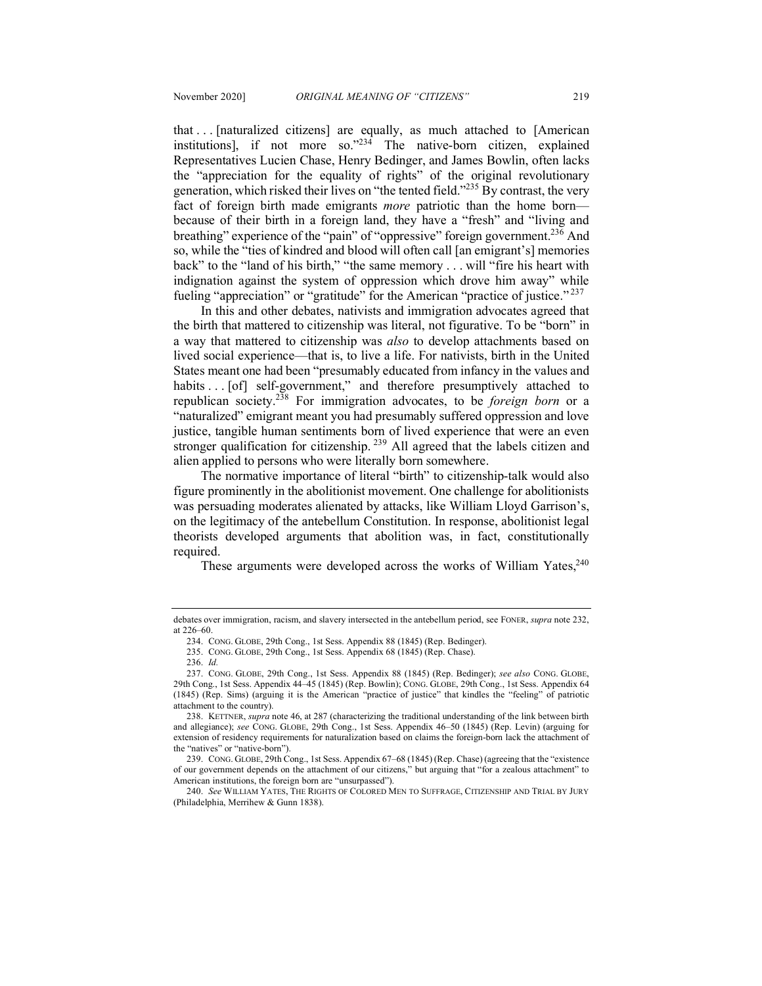that . . . [naturalized citizens] are equally, as much attached to [American institutions], if not more so. $^{234}$  The native-born citizen, explained Representatives Lucien Chase, Henry Bedinger, and James Bowlin, often lacks the "appreciation for the equality of rights" of the original revolutionary generation, which risked their lives on "the tented field."235 By contrast, the very fact of foreign birth made emigrants *more* patriotic than the home born because of their birth in a foreign land, they have a "fresh" and "living and breathing" experience of the "pain" of "oppressive" foreign government.<sup>236</sup> And so, while the "ties of kindred and blood will often call [an emigrant's] memories back" to the "land of his birth," "the same memory . . . will "fire his heart with indignation against the system of oppression which drove him away" while fueling "appreciation" or "gratitude" for the American "practice of justice."<sup>237</sup>

In this and other debates, nativists and immigration advocates agreed that the birth that mattered to citizenship was literal, not figurative. To be "born" in a way that mattered to citizenship was *also* to develop attachments based on lived social experience—that is, to live a life. For nativists, birth in the United States meant one had been "presumably educated from infancy in the values and habits . . . [of] self-government," and therefore presumptively attached to republican society.238 For immigration advocates, to be *foreign born* or a "naturalized" emigrant meant you had presumably suffered oppression and love justice, tangible human sentiments born of lived experience that were an even stronger qualification for citizenship.<sup>239</sup> All agreed that the labels citizen and alien applied to persons who were literally born somewhere.

The normative importance of literal "birth" to citizenship-talk would also figure prominently in the abolitionist movement. One challenge for abolitionists was persuading moderates alienated by attacks, like William Lloyd Garrison's, on the legitimacy of the antebellum Constitution. In response, abolitionist legal theorists developed arguments that abolition was, in fact, constitutionally required.

These arguments were developed across the works of William Yates, $240$ 

debates over immigration, racism, and slavery intersected in the antebellum period, see FONER, *supra* note 232, at 226–60.

<sup>234.</sup> CONG. GLOBE, 29th Cong., 1st Sess. Appendix 88 (1845) (Rep. Bedinger).

<sup>235.</sup> CONG. GLOBE, 29th Cong., 1st Sess. Appendix 68 (1845) (Rep. Chase).

<sup>236.</sup> *Id.*

<sup>237.</sup> CONG. GLOBE, 29th Cong., 1st Sess. Appendix 88 (1845) (Rep. Bedinger); *see also* CONG. GLOBE, 29th Cong., 1st Sess. Appendix 44–45 (1845) (Rep. Bowlin); CONG. GLOBE, 29th Cong., 1st Sess. Appendix 64 (1845) (Rep. Sims) (arguing it is the American "practice of justice" that kindles the "feeling" of patriotic attachment to the country).

<sup>238.</sup> KETTNER, *supra* note 46, at 287 (characterizing the traditional understanding of the link between birth and allegiance); *see* CONG. GLOBE, 29th Cong., 1st Sess. Appendix 46–50 (1845) (Rep. Levin) (arguing for extension of residency requirements for naturalization based on claims the foreign-born lack the attachment of the "natives" or "native-born").

<sup>239.</sup> CONG. GLOBE, 29th Cong., 1st Sess. Appendix 67–68 (1845) (Rep. Chase) (agreeing that the "existence of our government depends on the attachment of our citizens," but arguing that "for a zealous attachment" to American institutions, the foreign born are "unsurpassed").

<sup>240.</sup> *See* WILLIAM YATES, THE RIGHTS OF COLORED MEN TO SUFFRAGE, CITIZENSHIP AND TRIAL BY JURY (Philadelphia, Merrihew & Gunn 1838).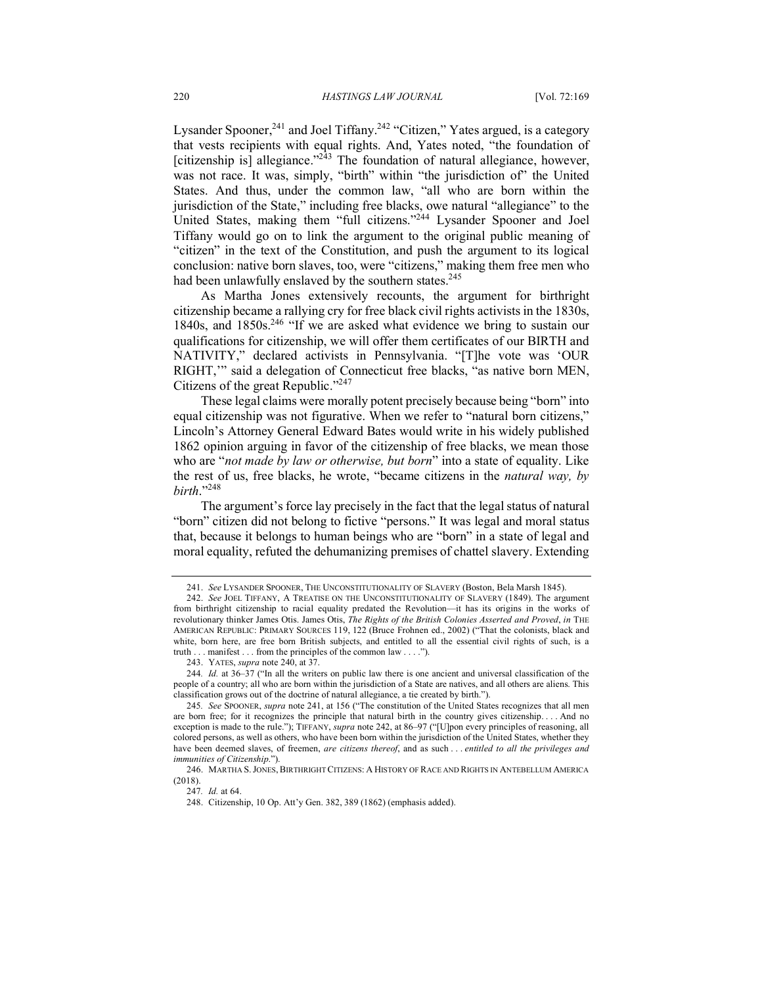Lysander Spooner,  $^{241}$  and Joel Tiffany.<sup>242</sup> "Citizen," Yates argued, is a category that vests recipients with equal rights. And, Yates noted, "the foundation of [citizenship is] allegiance." $^{243}$  The foundation of natural allegiance, however, was not race. It was, simply, "birth" within "the jurisdiction of" the United States. And thus, under the common law, "all who are born within the jurisdiction of the State," including free blacks, owe natural "allegiance" to the United States, making them "full citizens."244 Lysander Spooner and Joel Tiffany would go on to link the argument to the original public meaning of "citizen" in the text of the Constitution, and push the argument to its logical conclusion: native born slaves, too, were "citizens," making them free men who had been unlawfully enslaved by the southern states.<sup>245</sup>

As Martha Jones extensively recounts, the argument for birthright citizenship became a rallying cry for free black civil rights activists in the 1830s, 1840s, and 1850s.<sup>246</sup> "If we are asked what evidence we bring to sustain our qualifications for citizenship, we will offer them certificates of our BIRTH and NATIVITY," declared activists in Pennsylvania. "[T]he vote was 'OUR RIGHT,'" said a delegation of Connecticut free blacks, "as native born MEN, Citizens of the great Republic."247

These legal claims were morally potent precisely because being "born" into equal citizenship was not figurative. When we refer to "natural born citizens," Lincoln's Attorney General Edward Bates would write in his widely published 1862 opinion arguing in favor of the citizenship of free blacks, we mean those who are "*not made by law or otherwise, but born*" into a state of equality. Like the rest of us, free blacks, he wrote, "became citizens in the *natural way, by birth*."248

The argument's force lay precisely in the fact that the legal status of natural "born" citizen did not belong to fictive "persons." It was legal and moral status that, because it belongs to human beings who are "born" in a state of legal and moral equality, refuted the dehumanizing premises of chattel slavery. Extending

<sup>241.</sup> *See* LYSANDER SPOONER, THE UNCONSTITUTIONALITY OF SLAVERY (Boston, Bela Marsh 1845).

<sup>242.</sup> *See* JOEL TIFFANY, A TREATISE ON THE UNCONSTITUTIONALITY OF SLAVERY (1849). The argument from birthright citizenship to racial equality predated the Revolution—it has its origins in the works of revolutionary thinker James Otis. James Otis, *The Rights of the British Colonies Asserted and Proved*, *in* THE AMERICAN REPUBLIC: PRIMARY SOURCES 119, 122 (Bruce Frohnen ed., 2002) ("That the colonists, black and white, born here, are free born British subjects, and entitled to all the essential civil rights of such, is a truth . . . manifest . . . from the principles of the common law . . . .").

<sup>243.</sup> YATES, *supra* note 240, at 37.

<sup>244</sup>*. Id.* at 36–37 ("In all the writers on public law there is one ancient and universal classification of the people of a country; all who are born within the jurisdiction of a State are natives, and all others are aliens. This classification grows out of the doctrine of natural allegiance, a tie created by birth.").

<sup>245</sup>*. See* SPOONER, *supra* note 241, at 156 ("The constitution of the United States recognizes that all men are born free; for it recognizes the principle that natural birth in the country gives citizenship. . . . And no exception is made to the rule."); TIFFANY, *supra* note 242, at 86–97 ("[U]pon every principles of reasoning, all colored persons, as well as others, who have been born within the jurisdiction of the United States, whether they have been deemed slaves, of freemen, *are citizens thereof*, and as such . . . *entitled to all the privileges and immunities of Citizenship*.").

<sup>246.</sup> MARTHA S.JONES, BIRTHRIGHT CITIZENS: A HISTORY OF RACE AND RIGHTS IN ANTEBELLUM AMERICA (2018).

<sup>247</sup>*. Id.* at 64.

<sup>248.</sup> Citizenship, 10 Op. Att'y Gen. 382, 389 (1862) (emphasis added).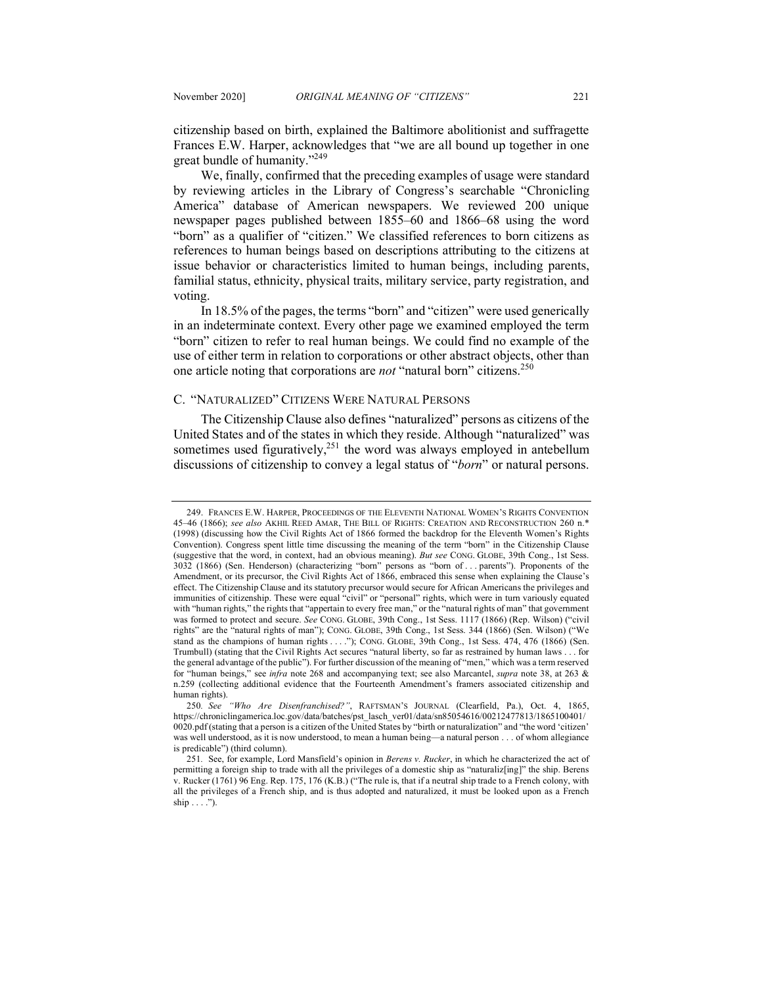citizenship based on birth, explained the Baltimore abolitionist and suffragette Frances E.W. Harper, acknowledges that "we are all bound up together in one great bundle of humanity."249

We, finally, confirmed that the preceding examples of usage were standard by reviewing articles in the Library of Congress's searchable "Chronicling America" database of American newspapers. We reviewed 200 unique newspaper pages published between 1855–60 and 1866–68 using the word "born" as a qualifier of "citizen." We classified references to born citizens as references to human beings based on descriptions attributing to the citizens at issue behavior or characteristics limited to human beings, including parents, familial status, ethnicity, physical traits, military service, party registration, and voting.

In 18.5% of the pages, the terms "born" and "citizen" were used generically in an indeterminate context. Every other page we examined employed the term "born" citizen to refer to real human beings. We could find no example of the use of either term in relation to corporations or other abstract objects, other than one article noting that corporations are *not* "natural born" citizens.<sup>250</sup>

## C. "NATURALIZED" CITIZENS WERE NATURAL PERSONS

The Citizenship Clause also defines "naturalized" persons as citizens of the United States and of the states in which they reside. Although "naturalized" was sometimes used figuratively, $251$  the word was always employed in antebellum discussions of citizenship to convey a legal status of "*born*" or natural persons.

<sup>249.</sup> FRANCES E.W. HARPER, PROCEEDINGS OF THE ELEVENTH NATIONAL WOMEN'S RIGHTS CONVENTION 45–46 (1866); *see also* AKHIL REED AMAR, THE BILL OF RIGHTS: CREATION AND RECONSTRUCTION 260 n.\* (1998) (discussing how the Civil Rights Act of 1866 formed the backdrop for the Eleventh Women's Rights Convention). Congress spent little time discussing the meaning of the term "born" in the Citizenship Clause (suggestive that the word, in context, had an obvious meaning). *But see* CONG. GLOBE, 39th Cong., 1st Sess. 3032 (1866) (Sen. Henderson) (characterizing "born" persons as "born of . . . parents"). Proponents of the Amendment, or its precursor, the Civil Rights Act of 1866, embraced this sense when explaining the Clause's effect. The Citizenship Clause and its statutory precursor would secure for African Americans the privileges and immunities of citizenship. These were equal "civil" or "personal" rights, which were in turn variously equated with "human rights," the rights that "appertain to every free man," or the "natural rights of man" that government was formed to protect and secure. *See* CONG. GLOBE, 39th Cong., 1st Sess. 1117 (1866) (Rep. Wilson) ("civil rights" are the "natural rights of man"); CONG. GLOBE, 39th Cong., 1st Sess. 344 (1866) (Sen. Wilson) ("We stand as the champions of human rights . . . ."); CONG. GLOBE, 39th Cong., 1st Sess. 474, 476 (1866) (Sen. Trumbull) (stating that the Civil Rights Act secures "natural liberty, so far as restrained by human laws . . . for the general advantage of the public"). For further discussion of the meaning of "men," which was a term reserved for "human beings," see *infra* note 268 and accompanying text; see also Marcantel, *supra* note 38, at 263 & n.259 (collecting additional evidence that the Fourteenth Amendment's framers associated citizenship and human rights).

<sup>250</sup>*. See "Who Are Disenfranchised?"*, RAFTSMAN'S JOURNAL (Clearfield, Pa.), Oct. 4, 1865, https://chroniclingamerica.loc.gov/data/batches/pst\_lasch\_ver01/data/sn85054616/00212477813/1865100401/ 0020.pdf (stating that a person is a citizen of the United States by "birth or naturalization" and "the word 'citizen' was well understood, as it is now understood, to mean a human being—a natural person . . . of whom allegiance is predicable") (third column).

<sup>251</sup>*.* See, for example, Lord Mansfield's opinion in *Berens v. Rucker*, in which he characterized the act of permitting a foreign ship to trade with all the privileges of a domestic ship as "naturaliz[ing]" the ship. Berens v. Rucker (1761) 96 Eng. Rep. 175, 176 (K.B.) ("The rule is, that if a neutral ship trade to a French colony, with all the privileges of a French ship, and is thus adopted and naturalized, it must be looked upon as a French ship  $\ldots$  .").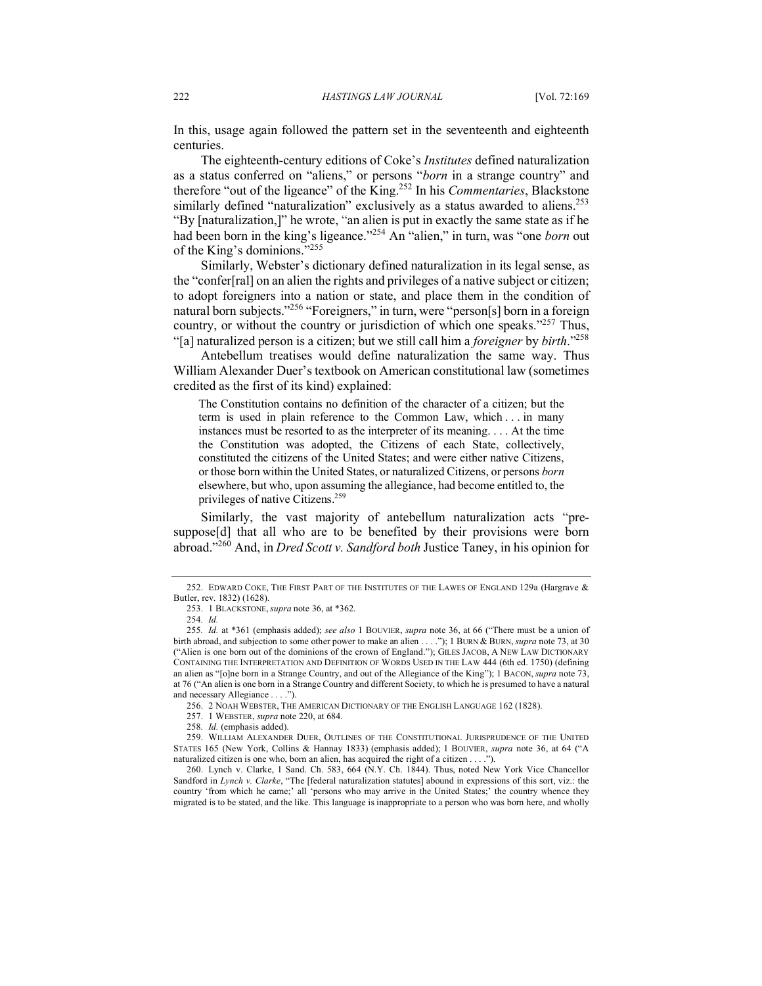In this, usage again followed the pattern set in the seventeenth and eighteenth centuries.

The eighteenth-century editions of Coke's *Institutes* defined naturalization as a status conferred on "aliens," or persons "*born* in a strange country" and therefore "out of the ligeance" of the King.252 In his *Commentaries*, Blackstone similarly defined "naturalization" exclusively as a status awarded to aliens.<sup>253</sup> "By [naturalization,]" he wrote, "an alien is put in exactly the same state as if he had been born in the king's ligeance."254 An "alien," in turn, was "one *born* out of the King's dominions."255

Similarly, Webster's dictionary defined naturalization in its legal sense, as the "confer[ral] on an alien the rights and privileges of a native subject or citizen; to adopt foreigners into a nation or state, and place them in the condition of natural born subjects."<sup>256</sup> "Foreigners," in turn, were "person[s] born in a foreign country, or without the country or jurisdiction of which one speaks."257 Thus, "[a] naturalized person is a citizen; but we still call him a *foreigner* by *birth*."258

Antebellum treatises would define naturalization the same way. Thus William Alexander Duer's textbook on American constitutional law (sometimes credited as the first of its kind) explained:

The Constitution contains no definition of the character of a citizen; but the term is used in plain reference to the Common Law, which . . . in many instances must be resorted to as the interpreter of its meaning. . . . At the time the Constitution was adopted, the Citizens of each State, collectively, constituted the citizens of the United States; and were either native Citizens, or those born within the United States, or naturalized Citizens, or persons *born*  elsewhere, but who, upon assuming the allegiance, had become entitled to, the privileges of native Citizens.259

Similarly, the vast majority of antebellum naturalization acts "presuppose[d] that all who are to be benefited by their provisions were born abroad."260 And, in *Dred Scott v. Sandford both* Justice Taney, in his opinion for

<sup>252.</sup> EDWARD COKE, THE FIRST PART OF THE INSTITUTES OF THE LAWES OF ENGLAND 129a (Hargrave & Butler, rev. 1832) (1628).

<sup>253.</sup> 1 BLACKSTONE, *supra* note 36, at \*362.

<sup>254</sup>*. Id.*

<sup>255</sup>*. Id.* at \*361 (emphasis added); *see also* 1 BOUVIER, *supra* note 36, at 66 ("There must be a union of birth abroad, and subjection to some other power to make an alien . . . ."); 1 BURN & BURN, *supra* note 73, at 30 ("Alien is one born out of the dominions of the crown of England."); GILES JACOB, A NEW LAW DICTIONARY CONTAINING THE INTERPRETATION AND DEFINITION OF WORDS USED IN THE LAW 444 (6th ed. 1750) (defining an alien as "[o]ne born in a Strange Country, and out of the Allegiance of the King"); 1 BACON, *supra* note 73, at 76 ("An alien is one born in a Strange Country and different Society, to which he is presumed to have a natural and necessary Allegiance . . . .").

<sup>256.</sup> 2 NOAH WEBSTER, THE AMERICAN DICTIONARY OF THE ENGLISH LANGUAGE 162 (1828).

<sup>257.</sup> 1 WEBSTER, *supra* note 220, at 684.

<sup>258</sup>*. Id.* (emphasis added).

<sup>259.</sup> WILLIAM ALEXANDER DUER, OUTLINES OF THE CONSTITUTIONAL JURISPRUDENCE OF THE UNITED STATES 165 (New York, Collins & Hannay 1833) (emphasis added); 1 BOUVIER, *supra* note 36, at 64 ("A naturalized citizen is one who, born an alien, has acquired the right of a citizen . . . .").

<sup>260.</sup> Lynch v. Clarke, 1 Sand. Ch. 583, 664 (N.Y. Ch. 1844). Thus, noted New York Vice Chancellor Sandford in *Lynch v. Clarke*, "The [federal naturalization statutes] abound in expressions of this sort, viz.: the country 'from which he came;' all 'persons who may arrive in the United States;' the country whence they migrated is to be stated, and the like. This language is inappropriate to a person who was born here, and wholly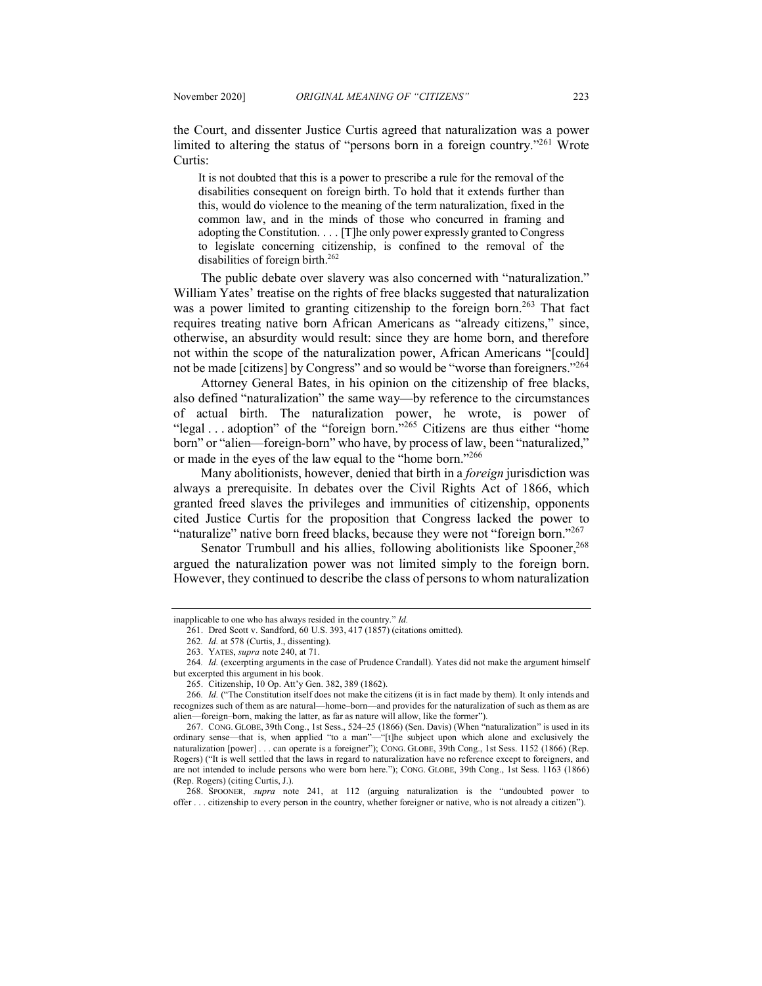the Court, and dissenter Justice Curtis agreed that naturalization was a power limited to altering the status of "persons born in a foreign country."261 Wrote Curtis:

It is not doubted that this is a power to prescribe a rule for the removal of the disabilities consequent on foreign birth. To hold that it extends further than this, would do violence to the meaning of the term naturalization, fixed in the common law, and in the minds of those who concurred in framing and adopting the Constitution. . . . [T]he only power expressly granted to Congress to legislate concerning citizenship, is confined to the removal of the disabilities of foreign birth.<sup>262</sup>

The public debate over slavery was also concerned with "naturalization." William Yates' treatise on the rights of free blacks suggested that naturalization was a power limited to granting citizenship to the foreign born.<sup>263</sup> That fact requires treating native born African Americans as "already citizens," since, otherwise, an absurdity would result: since they are home born, and therefore not within the scope of the naturalization power, African Americans "[could] not be made [citizens] by Congress" and so would be "worse than foreigners."<sup>264</sup>

Attorney General Bates, in his opinion on the citizenship of free blacks, also defined "naturalization" the same way—by reference to the circumstances of actual birth. The naturalization power, he wrote, is power of "legal . . . adoption" of the "foreign born."<sup>265</sup> Citizens are thus either "home born" or "alien—foreign-born" who have, by process of law, been "naturalized," or made in the eyes of the law equal to the "home born."266

Many abolitionists, however, denied that birth in a *foreign* jurisdiction was always a prerequisite. In debates over the Civil Rights Act of 1866, which granted freed slaves the privileges and immunities of citizenship, opponents cited Justice Curtis for the proposition that Congress lacked the power to "naturalize" native born freed blacks, because they were not "foreign born."<sup>267</sup>

Senator Trumbull and his allies, following abolitionists like Spooner,<sup>268</sup> argued the naturalization power was not limited simply to the foreign born. However, they continued to describe the class of persons to whom naturalization

268. SPOONER, *supra* note 241, at 112 (arguing naturalization is the "undoubted power to offer . . . citizenship to every person in the country, whether foreigner or native, who is not already a citizen").

inapplicable to one who has always resided in the country." *Id.*

<sup>261.</sup> Dred Scott v. Sandford, 60 U.S. 393, 417 (1857) (citations omitted).

<sup>262</sup>*. Id.* at 578 (Curtis, J., dissenting).

<sup>263.</sup> YATES, *supra* note 240, at 71.

<sup>264</sup>*. Id.* (excerpting arguments in the case of Prudence Crandall). Yates did not make the argument himself but excerpted this argument in his book.

<sup>265.</sup> Citizenship, 10 Op. Att'y Gen. 382, 389 (1862).

<sup>266</sup>*. Id.* ("The Constitution itself does not make the citizens (it is in fact made by them). It only intends and recognizes such of them as are natural—home–born—and provides for the naturalization of such as them as are alien—foreign–born, making the latter, as far as nature will allow, like the former").

<sup>267.</sup> CONG. GLOBE, 39th Cong., 1st Sess., 524–25 (1866) (Sen. Davis) (When "naturalization" is used in its ordinary sense—that is, when applied "to a man"—"[t]he subject upon which alone and exclusively the naturalization [power] . . . can operate is a foreigner"); CONG. GLOBE, 39th Cong., 1st Sess. 1152 (1866) (Rep. Rogers) ("It is well settled that the laws in regard to naturalization have no reference except to foreigners, and are not intended to include persons who were born here."); CONG. GLOBE, 39th Cong., 1st Sess. 1163 (1866) (Rep. Rogers) (citing Curtis, J.).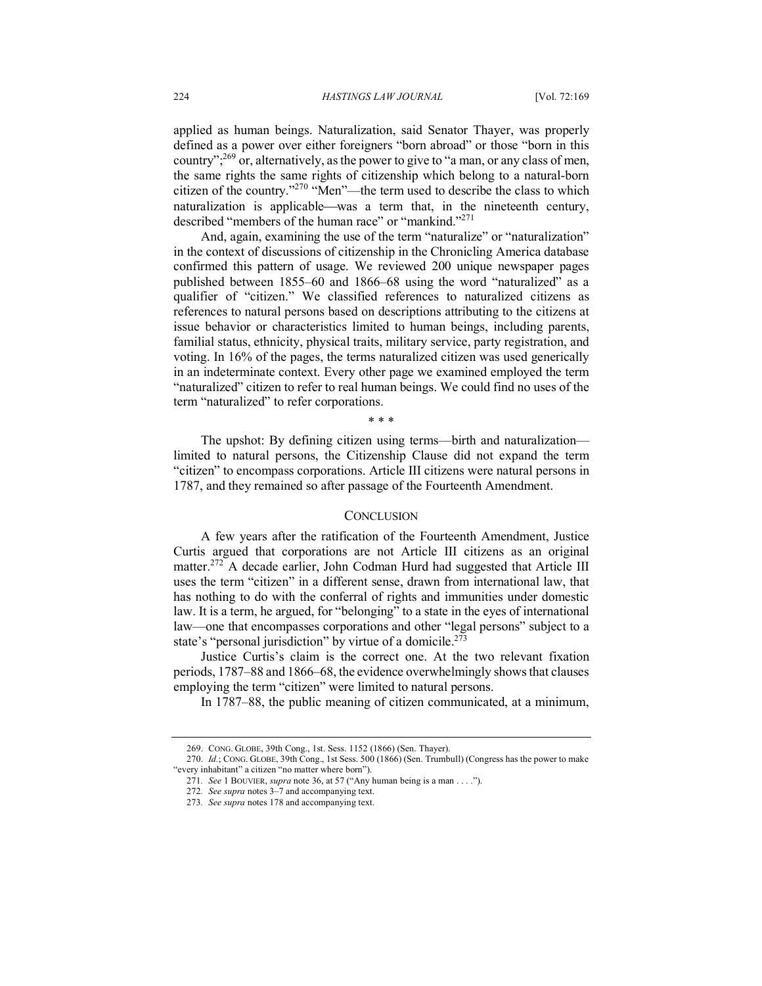applied as human beings. Naturalization, said Senator Thayer, was properly defined as a power over either foreigners "born abroad" or those "born in this country";269 or, alternatively, as the power to give to "a man, or any class of men, the same rights the same rights of citizenship which belong to a natural-born citizen of the country."270 "Men"—the term used to describe the class to which naturalization is applicable—was a term that, in the nineteenth century, described "members of the human race" or "mankind."<sup>271</sup>

And, again, examining the use of the term "naturalize" or "naturalization" in the context of discussions of citizenship in the Chronicling America database confirmed this pattern of usage. We reviewed 200 unique newspaper pages published between 1855–60 and 1866–68 using the word "naturalized" as a qualifier of "citizen." We classified references to naturalized citizens as references to natural persons based on descriptions attributing to the citizens at issue behavior or characteristics limited to human beings, including parents, familial status, ethnicity, physical traits, military service, party registration, and voting. In 16% of the pages, the terms naturalized citizen was used generically in an indeterminate context. Every other page we examined employed the term "naturalized" citizen to refer to real human beings. We could find no uses of the term "naturalized" to refer corporations.

\* \* \*

The upshot: By defining citizen using terms—birth and naturalization limited to natural persons, the Citizenship Clause did not expand the term "citizen" to encompass corporations. Article III citizens were natural persons in 1787, and they remained so after passage of the Fourteenth Amendment.

#### **CONCLUSION**

A few years after the ratification of the Fourteenth Amendment, Justice Curtis argued that corporations are not Article III citizens as an original matter.<sup>272</sup> A decade earlier, John Codman Hurd had suggested that Article III uses the term "citizen" in a different sense, drawn from international law, that has nothing to do with the conferral of rights and immunities under domestic law. It is a term, he argued, for "belonging" to a state in the eyes of international law—one that encompasses corporations and other "legal persons" subject to a state's "personal jurisdiction" by virtue of a domicile.<sup>273</sup>

Justice Curtis's claim is the correct one. At the two relevant fixation periods, 1787–88 and 1866–68, the evidence overwhelmingly shows that clauses employing the term "citizen" were limited to natural persons.

In 1787–88, the public meaning of citizen communicated, at a minimum,

<sup>269.</sup> CONG. GLOBE, 39th Cong., 1st. Sess. 1152 (1866) (Sen. Thayer).

<sup>270.</sup> *Id.*; CONG. GLOBE, 39th Cong., 1st Sess. 500 (1866) (Sen. Trumbull) (Congress has the power to make "every inhabitant" a citizen "no matter where born").

<sup>271</sup>*. See* 1 BOUVIER, *supra* note 36, at 57 ("Any human being is a man . . . .").

<sup>272</sup>*. See supra* notes 3–7 and accompanying text.

<sup>273</sup>*. See supra* notes 178 and accompanying text.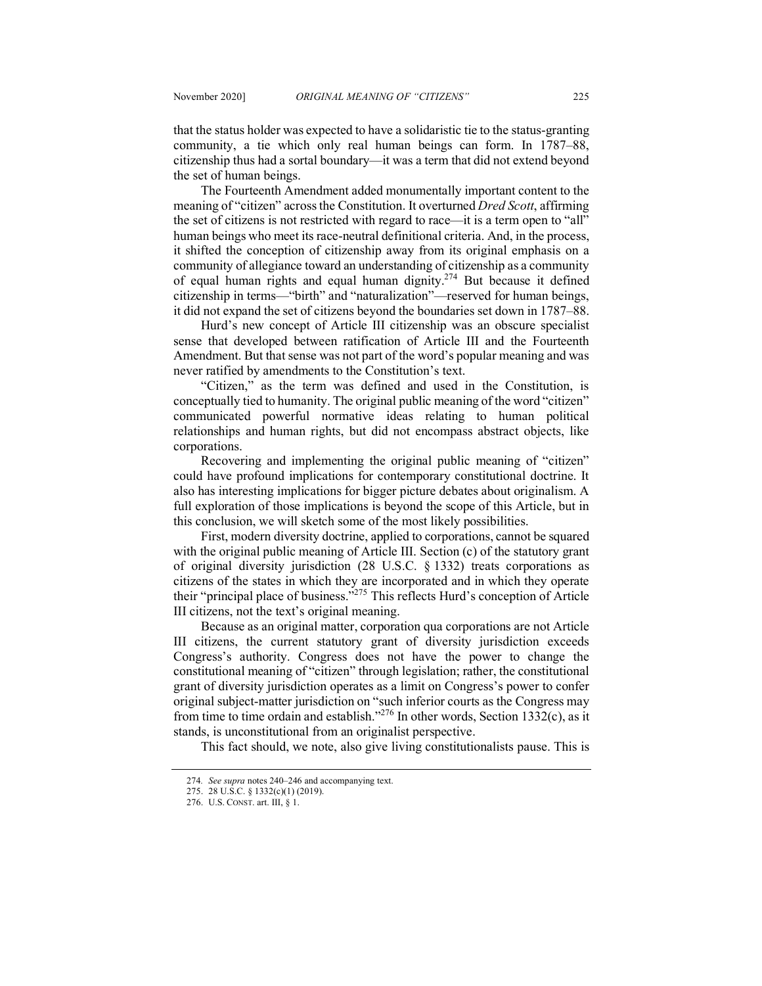that the status holder was expected to have a solidaristic tie to the status-granting community, a tie which only real human beings can form. In 1787–88, citizenship thus had a sortal boundary—it was a term that did not extend beyond the set of human beings.

The Fourteenth Amendment added monumentally important content to the meaning of "citizen" across the Constitution. It overturned *Dred Scott*, affirming the set of citizens is not restricted with regard to race—it is a term open to "all" human beings who meet its race-neutral definitional criteria. And, in the process, it shifted the conception of citizenship away from its original emphasis on a community of allegiance toward an understanding of citizenship as a community of equal human rights and equal human dignity.274 But because it defined citizenship in terms—"birth" and "naturalization"—reserved for human beings, it did not expand the set of citizens beyond the boundaries set down in 1787–88.

Hurd's new concept of Article III citizenship was an obscure specialist sense that developed between ratification of Article III and the Fourteenth Amendment. But that sense was not part of the word's popular meaning and was never ratified by amendments to the Constitution's text.

"Citizen," as the term was defined and used in the Constitution, is conceptually tied to humanity. The original public meaning of the word "citizen" communicated powerful normative ideas relating to human political relationships and human rights, but did not encompass abstract objects, like corporations.

Recovering and implementing the original public meaning of "citizen" could have profound implications for contemporary constitutional doctrine. It also has interesting implications for bigger picture debates about originalism. A full exploration of those implications is beyond the scope of this Article, but in this conclusion, we will sketch some of the most likely possibilities.

First, modern diversity doctrine, applied to corporations, cannot be squared with the original public meaning of Article III. Section (c) of the statutory grant of original diversity jurisdiction (28 U.S.C. § 1332) treats corporations as citizens of the states in which they are incorporated and in which they operate their "principal place of business."275 This reflects Hurd's conception of Article III citizens, not the text's original meaning.

Because as an original matter, corporation qua corporations are not Article III citizens, the current statutory grant of diversity jurisdiction exceeds Congress's authority. Congress does not have the power to change the constitutional meaning of "citizen" through legislation; rather, the constitutional grant of diversity jurisdiction operates as a limit on Congress's power to confer original subject-matter jurisdiction on "such inferior courts as the Congress may from time to time ordain and establish."<sup>276</sup> In other words, Section 1332(c), as it stands, is unconstitutional from an originalist perspective.

This fact should, we note, also give living constitutionalists pause. This is

<sup>274</sup>*. See supra* notes 240–246 and accompanying text.

<sup>275.</sup> 28 U.S.C. § 1332(c)(1) (2019).

<sup>276.</sup> U.S. CONST. art. III, § 1.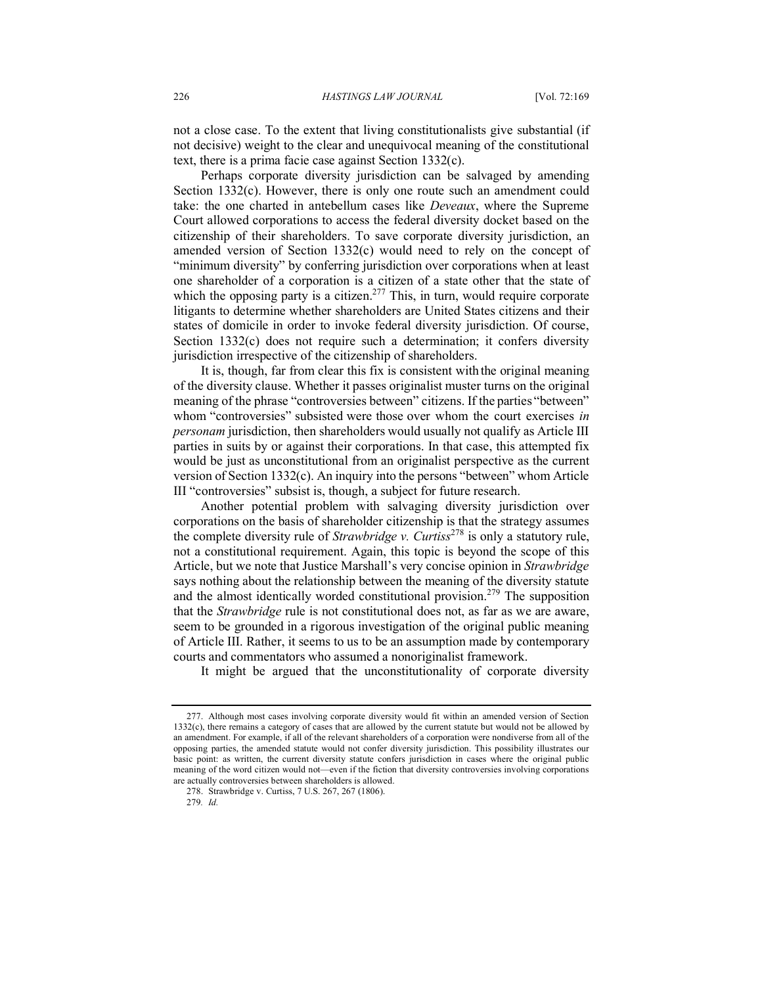not a close case. To the extent that living constitutionalists give substantial (if not decisive) weight to the clear and unequivocal meaning of the constitutional text, there is a prima facie case against Section 1332(c).

Perhaps corporate diversity jurisdiction can be salvaged by amending Section 1332(c). However, there is only one route such an amendment could take: the one charted in antebellum cases like *Deveaux*, where the Supreme Court allowed corporations to access the federal diversity docket based on the citizenship of their shareholders. To save corporate diversity jurisdiction, an amended version of Section 1332(c) would need to rely on the concept of "minimum diversity" by conferring jurisdiction over corporations when at least one shareholder of a corporation is a citizen of a state other that the state of which the opposing party is a citizen.<sup>277</sup> This, in turn, would require corporate litigants to determine whether shareholders are United States citizens and their states of domicile in order to invoke federal diversity jurisdiction. Of course, Section 1332(c) does not require such a determination; it confers diversity jurisdiction irrespective of the citizenship of shareholders.

It is, though, far from clear this fix is consistent with the original meaning of the diversity clause. Whether it passes originalist muster turns on the original meaning of the phrase "controversies between" citizens. If the parties "between" whom "controversies" subsisted were those over whom the court exercises *in personam* jurisdiction, then shareholders would usually not qualify as Article III parties in suits by or against their corporations. In that case, this attempted fix would be just as unconstitutional from an originalist perspective as the current version of Section 1332(c). An inquiry into the persons "between" whom Article III "controversies" subsist is, though, a subject for future research.

Another potential problem with salvaging diversity jurisdiction over corporations on the basis of shareholder citizenship is that the strategy assumes the complete diversity rule of *Strawbridge v. Curtiss*<sup>278</sup> is only a statutory rule, not a constitutional requirement. Again, this topic is beyond the scope of this Article, but we note that Justice Marshall's very concise opinion in *Strawbridge* says nothing about the relationship between the meaning of the diversity statute and the almost identically worded constitutional provision.<sup>279</sup> The supposition that the *Strawbridge* rule is not constitutional does not, as far as we are aware, seem to be grounded in a rigorous investigation of the original public meaning of Article III. Rather, it seems to us to be an assumption made by contemporary courts and commentators who assumed a nonoriginalist framework.

It might be argued that the unconstitutionality of corporate diversity

<sup>277.</sup> Although most cases involving corporate diversity would fit within an amended version of Section 1332(c), there remains a category of cases that are allowed by the current statute but would not be allowed by an amendment. For example, if all of the relevant shareholders of a corporation were nondiverse from all of the opposing parties, the amended statute would not confer diversity jurisdiction. This possibility illustrates our basic point: as written, the current diversity statute confers jurisdiction in cases where the original public meaning of the word citizen would not—even if the fiction that diversity controversies involving corporations are actually controversies between shareholders is allowed.

<sup>278.</sup> Strawbridge v. Curtiss, 7 U.S. 267, 267 (1806).

<sup>279</sup>*. Id.*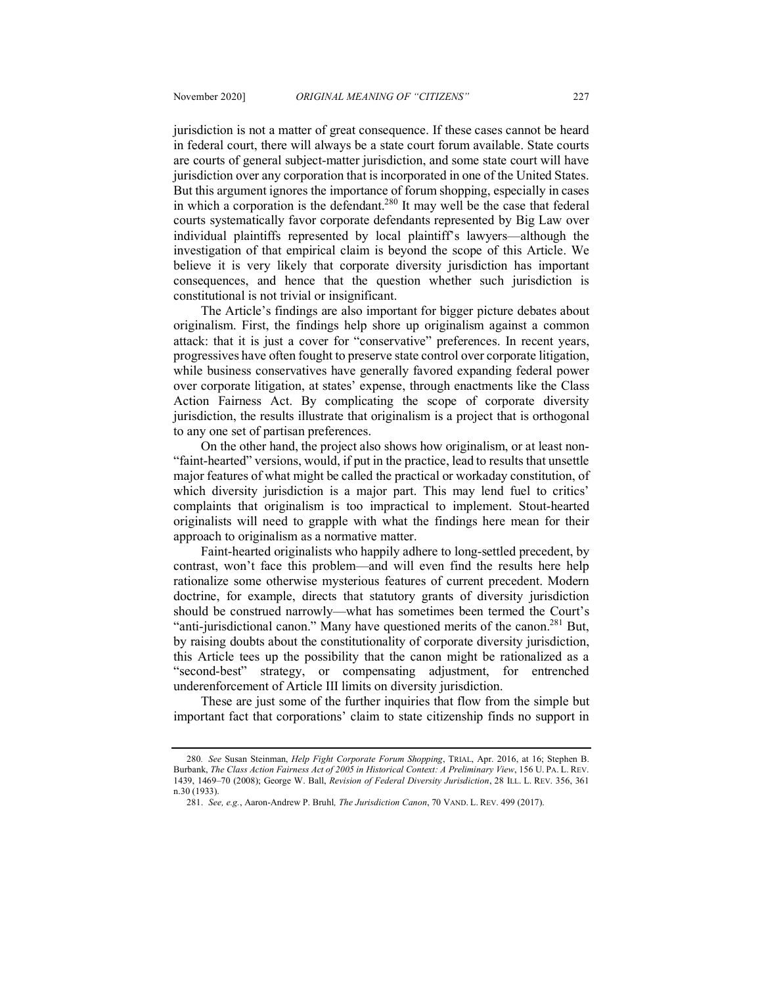jurisdiction is not a matter of great consequence. If these cases cannot be heard in federal court, there will always be a state court forum available. State courts are courts of general subject-matter jurisdiction, and some state court will have jurisdiction over any corporation that is incorporated in one of the United States. But this argument ignores the importance of forum shopping, especially in cases in which a corporation is the defendant.<sup>280</sup> It may well be the case that federal courts systematically favor corporate defendants represented by Big Law over individual plaintiffs represented by local plaintiff's lawyers—although the investigation of that empirical claim is beyond the scope of this Article. We believe it is very likely that corporate diversity jurisdiction has important consequences, and hence that the question whether such jurisdiction is constitutional is not trivial or insignificant.

The Article's findings are also important for bigger picture debates about originalism. First, the findings help shore up originalism against a common attack: that it is just a cover for "conservative" preferences. In recent years, progressives have often fought to preserve state control over corporate litigation, while business conservatives have generally favored expanding federal power over corporate litigation, at states' expense, through enactments like the Class Action Fairness Act. By complicating the scope of corporate diversity jurisdiction, the results illustrate that originalism is a project that is orthogonal to any one set of partisan preferences.

On the other hand, the project also shows how originalism, or at least non- "faint-hearted" versions, would, if put in the practice, lead to results that unsettle major features of what might be called the practical or workaday constitution, of which diversity jurisdiction is a major part. This may lend fuel to critics' complaints that originalism is too impractical to implement. Stout-hearted originalists will need to grapple with what the findings here mean for their approach to originalism as a normative matter.

Faint-hearted originalists who happily adhere to long-settled precedent, by contrast, won't face this problem—and will even find the results here help rationalize some otherwise mysterious features of current precedent. Modern doctrine, for example, directs that statutory grants of diversity jurisdiction should be construed narrowly—what has sometimes been termed the Court's "anti-jurisdictional canon." Many have questioned merits of the canon.<sup>281</sup> But, by raising doubts about the constitutionality of corporate diversity jurisdiction, this Article tees up the possibility that the canon might be rationalized as a "second-best" strategy, or compensating adjustment, for entrenched underenforcement of Article III limits on diversity jurisdiction.

These are just some of the further inquiries that flow from the simple but important fact that corporations' claim to state citizenship finds no support in

<sup>280</sup>*. See* Susan Steinman, *Help Fight Corporate Forum Shopping*, TRIAL, Apr. 2016, at 16; Stephen B. Burbank, *The Class Action Fairness Act of 2005 in Historical Context: A Preliminary View*, 156 U. PA. L. REV. 1439, 1469–70 (2008); George W. Ball, *Revision of Federal Diversity Jurisdiction*, 28 ILL. L. REV. 356, 361 n.30 (1933).

<sup>281.</sup> *See, e.g.*, Aaron-Andrew P. Bruhl*, The Jurisdiction Canon*, 70 VAND. L. REV. 499 (2017).